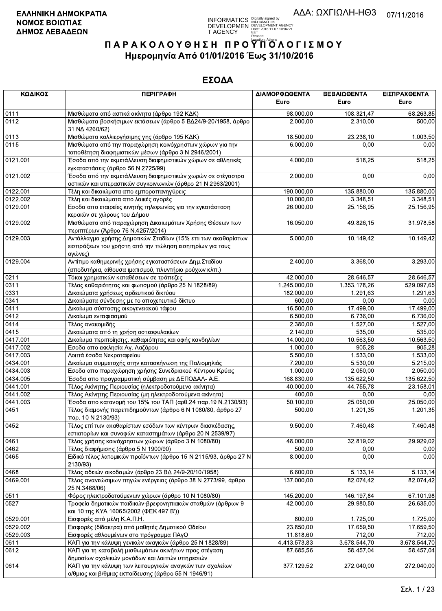**INFORMATICS** Digitally signed by<br>DEVELOPMEN DEVELOPMENT AGENCY<br>T AGENCY Early 2016.11.07 10:04:21

# ΠΑΡΑΚΟΛΟΥΘΗΣΗ ΠΡΟΥΠΌΛΟΓΙΣΜΟΥ Ημερομηνία Από 01/01/2016 Έως 31/10/2016

| ΚΩΔΙΚΟΣ  | <b>ПЕРІГРАФН</b>                                                                                                                    | ΔΙΑΜΟΡΦΩΘΕΝΤΑ          | ΒΕΒΑΙΩΘΕΝΤΑ  | ΕΙΣΠΡΑΧΘΕΝΤΑ |
|----------|-------------------------------------------------------------------------------------------------------------------------------------|------------------------|--------------|--------------|
|          |                                                                                                                                     | Euro                   | Euro         | Euro         |
| 0111     | Μισθώματα από αστικά ακίνητα (άρθρο 192 ΚΔΚ)                                                                                        | 98.000,00              | 108.321,47   | 68.263,85    |
| 0112     | Μισθώματα βοσκήσιμων εκτάσεων (άρθρο 5 ΒΔ24/9-20/1958, άρθρο<br>31 NA 4260/62)                                                      | 2.000,00               | 2.310,00     | 500,00       |
| 0113     | Μισθώματα καλλιεργήσιμης γης (άρθρο 195 ΚΔΚ)                                                                                        | 18.500,00              | 23.238,10    | 1.003,50     |
| 0115     | Μισθώματα από την παραχώρηση κοινόχρηστων χώρων για την<br>τοποθέτηση διαφημιστικών μέσων (άρθρο 3 Ν 2946/2001)                     | 6.000,00               | 0,00         | 0,00         |
| 0121.001 | Έσοδα από την εκμετάλλευση διαφημιστικών χώρων σε αθλητικές<br>εγκαταστάσεις (άρθρο 56 Ν 2725/99)                                   | 4.000,00               | 518,25       | 518,25       |
| 0121.002 | Έσοδα από την εκμετάλλευση διαφημιστικών χωρών σε στέγαστρα<br>αστικών και υπεραστικών συγκοινωνιών (άρθρο 21 Ν 2963/2001)          | 2.000,00               | 0,00         | 0,00         |
| 0122.001 | Τέλη και δικαιώματα απο εμποροπανηγύρεις                                                                                            | 190.000,00             | 135.880,00   | 135.880,00   |
| 0122.002 | Τέλη και δικαιώματα απο λαικές αγορές                                                                                               | 10.000,00              | 3 3 48, 51   | 3.348,51     |
| 0129.001 | Εσοδα απο εταιρείες κινητής τηλεφωνίας για την εγκατάσταση<br>κεραιών σε χώρους του Δήμου                                           | $\overline{26.000,00}$ | 25.156,95    | 25.156,95    |
| 0129.002 | Μισθώματα από παραχώρηση Δικαιωμάτων Χρήσης Θέσεων των<br>περιπτέρων (Άρθρο 76 Ν.4257/2014)                                         | 16.050,00              | 49.826,15    | 31.978,58    |
| 0129.003 | Αντάλλαγμα χρήσης Δημοτικών Σταδίων (15% επι των ακαθαρίστων<br>εισπράξεων του χρήστη από την πώληση εισητηρίων για τους<br>αγώνες) | 5.000,00               | 10.149,42    | 10.149,42    |
| 0129.004 | Αντίτιμο καθημερινής χρήσης εγκαταστάσεων Δημ. Σταδίου<br>(αποδυτήρια, αίθουσα ιματισμού, πλυντήριο ρούχων κλπ.)                    | 2.400,00               | 3.368,00     | 3.293,00     |
| 0211     | Τόκοι χρηματικών καταθέσεων σε τράπεζες                                                                                             | 42.000,00              | 28.646,57    | 28.646.57    |
| 0311     | Τέλος καθαριότητας και φωτισμού (άρθρο 25 Ν 1828/89)                                                                                | 1.245.000,00           | 1.353.178,26 | 529.097,65   |
| 0331     | Δικαιώματα χρήσεως αρδευτικού δικτύου                                                                                               | 182.000,00             | 1.291,63     | 1.291,63     |
| 0341     | Δικαιώματα σύνδεσης με το αποχετευτικό δίκτυο                                                                                       | 600,00                 | 0,00         | 0,00         |
| 0411     | Δικαίωμα σύστασης οικογενειακού τάφου                                                                                               | 16.500,00              | 17.499,00    | 17.499,00    |
| 0412     | Δικαίωμα ενταφιασμού                                                                                                                | 6.500,00               | 6.736,00     | 6.736,00     |
| 0414     | Τέλος ανακομιδής                                                                                                                    | 2.380,00               | 1.527,00     | 1.527,00     |
| 0415     | Δικαιώματα από τη χρήση οστεοφυλακίων                                                                                               | 2.140,00               | 535,00       | 535,00       |
| 0417.001 | Δικαίωμα περιποίησης, καθαριότητας και αφής κανδηλίων                                                                               | 14.000,00              | 10.563,50    | 10.563,50    |
| 0417.002 | Εσοδα απο εκκλησία Αγ. Λαζάρου                                                                                                      | 1.000,00               | 905,28       | 905,28       |
| 0417.003 | Λοιπά έσοδα Νεκροταφείου                                                                                                            | 5.500,00               | 1.533,00     | 1.533,00     |
| 0434.001 | Δικαίωμα συμμετοχής στην κατασκήνωση της Παλιομηλιάς                                                                                | 7.200,00               | 5.530,00     | 5.215,00     |
| 0434.003 | Εσοδα απο παραχώρηση χρήσης Συνεδριακού Κέντρου Κρύας                                                                               | 1.000,00               | 2.050,00     | 2.050,00     |
| 0434.005 | Έσοδα απο προγραμματική σύμβαση με ΔΕΠΟΔΑΛ- Α.Ε.                                                                                    | 168.830,00             | 135.622,50   | 135.622,50   |
| 0441.001 | Τέλος Ακίνητης Περιουσίας (ηλεκτροδοτούμενα ακίνητα)                                                                                | 40.000,00              | 44.755,78    | 23.158.01    |
| 0441.002 | Τέλος Ακίνητης Περιουσίας (μη ηλεκτροδοτούμενα ακίνητα)                                                                             | 400,00                 | 0,00         | 0,00         |
| 0441.003 | Έσοδα απο κατανομή του 15% του ΤΑΠ (αρθ.24 παρ.19 Ν.2130/93)                                                                        | 50.100,00              | 25.050,00    | 25.050,00    |
| 0451     | Τέλος διαμονής παρεπιδημούντων (άρθρο 6 Ν 1080/80, άρθρο 27<br>παρ. 10 N 2130/93)                                                   | 500,00                 | 1.201,35     | 1.201,35     |
| 0452     | Τέλος επί των ακαθαρίστων εσόδων των κέντρων διασκέδασης,<br>εστιατορίων και συναφών καταστημάτων (άρθρο 20 Ν 2539/97)              | 9.500,00               | 7.460,48     | 7.460,48     |
| 0461     | Τέλος χρήσης κοινόχρηστων χώρων (άρθρο 3 Ν 1080/80)                                                                                 | 48.000,00              | 32.819,02    | 29.929,02    |
| 0462     | Τέλος διαφήμισης (άρθρο 5 Ν 1900/90)                                                                                                | 500,00                 | 0,00         | 0,00         |
| 0465     | Ειδικό τέλος λατομικών προϊόντων (άρθρο 15 Ν 2115/93, άρθρο 27 Ν<br>2130/93)                                                        | 8.000,00               | 0,00         | 0,00         |
| 0468     | Τέλος αδειών οικοδομών (άρθρο 23 ΒΔ 24/9-20/10/1958)                                                                                | 6.600,00               | 5.133,14     | 5.133,14     |
| 0469.001 | Τέλος ανανεώσιμων πηγών ενέργειας (άρθρο 38 Ν 2773/99, άρθρο<br>25 N.3468/06)                                                       | 137.000,00             | 82.074,42    | 82.074,42    |
| 0511     | Φόρος ηλεκτροδοτούμενων χώρων (άρθρο 10 Ν 1080/80)                                                                                  | 145.200,00             | 146.197.84   | 67.101,98    |
| 0527     | Τροφεία δημοτικών παιδικών-βρεφονηπιακών σταθμών (άρθρων 9<br>και 10 της ΚΥΑ 16065/2002 (ΦΕΚ 497 Β'))                               | 42.000,00              | 29.980,50    | 26.635,00    |
| 0529.001 | Εισφορές από μέλη Κ.Α.Π.Η.                                                                                                          | 800,00                 | 1.725,00     | 1.725,00     |
| 0529.002 | Εισφορές (δίδακτρα) από μαθητές Δημοτικού Ωδείου                                                                                    | 23.850,00              | 17.659,50    | 17.659,50    |
| 0529.003 | Εισφορές αθλουμένων στο πρόγραμμα ΠΑγΟ                                                                                              | 11.818,60              | 712,00       | 712,00       |
| 0611     | ΚΑΠ για την κάλυψη γενικών αναγκών (άρθρο 25 Ν 1828/89)                                                                             | 4.413.573,83           | 3.678.544,70 | 3.678.544,70 |
| 0612     | ΚΑΠ για τη καταβολή μισθωμάτων ακινήτων προς στέγαση<br>δημοσίων σχολικών μονάδων και λοιπών υπηρεσιών                              | 87.685,56              | 58.457,04    | 58.457,04    |
| 0614     | ΚΑΠ για την κάλυψη των λειτουργικών αναγκών των σχολείων<br>α/θμιας και β/θμιας εκπαίδευσης (άρθρο 55 Ν 1946/91)                    | 377.129,52             | 272.040,00   | 272.040,00   |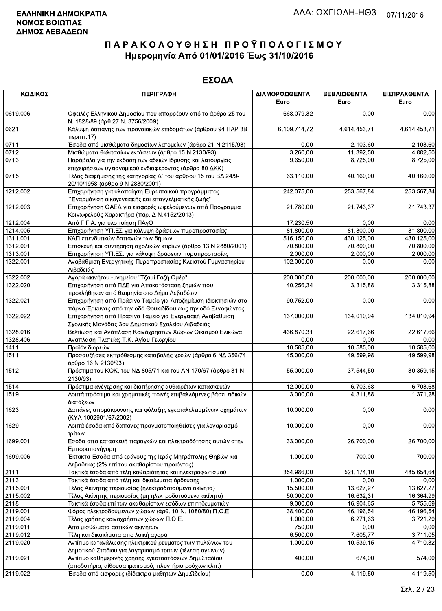| ΚΩΔΙΚΟΣ  | <b>ПЕРІГРАФН</b>                                                                                                             | ΔΙΑΜΟΡΦΩΘΕΝΤΑ<br>Euro | ΒΕΒΑΙΩΘΕΝΤΑ<br>Euro | ΕΙΣΠΡΑΧΘΕΝΤΑ<br>Euro |
|----------|------------------------------------------------------------------------------------------------------------------------------|-----------------------|---------------------|----------------------|
| 0619.006 | Οφειλές Ελληνικού Δημοσίου που απορρέουν από το άρθρο 25 του<br>Ν. 1828/89 (άρθ 27 Ν. 3756/2009)                             | 668.079,32            | 0,00                | 0,00                 |
| 0621     | Κάλυψη δαπάνης των προνοιακών επιδομάτων (άρθρου 94 ΠΑΡ 3Β<br>περιπτ.17)                                                     | 6.109.714,72          | 4.614.453,71        | 4.614.453,71         |
| 0711     | Έσοδα από μισθώματα δημοσίων λατομείων (άρθρο 21 Ν 2115/93)                                                                  | 0,00                  | 2.103,60            | 2.103,60             |
| 0712     | Μισθώματα θαλασσίων εκτάσεων (άρθρο 15 Ν 2130/93)                                                                            | 3.260,00              | 11.392,50           | 4.882,50             |
| 0713     | Παράβολα για την έκδοση των αδειών ίδρυσης και λειτουργίας                                                                   | 9.650,00              | 8.725,00            | 8.725,00             |
|          | επιχειρήσεων υγειονομικού ενδιαφέροντος (άρθρο 80 ΔΚΚ)                                                                       |                       |                     |                      |
| 0715     | Τέλος διαφήμισης της κατηγορίας Δ΄ του άρθρου 15 του ΒΔ 24/9-<br>20/10/1958 (άρθρο 9 Ν 2880/2001)                            | 63.110,00             | 40.160,00           | 40.160,00            |
| 1212.002 | Επιχορήγηση για υλοποίηση Ευρωπαικού προγράμματος<br>Έναρμόνιση οικογενειακής και επαγγελματικής ζωής"                       | 242.075,00            | 253.567,84          | 253.567,84           |
| 1212.003 | Επιχορήγηση ΟΑΕΔ για εισφορές ωφελούμενων από Προγραμμα<br>Κοινωφελούς Χαρακτήρα (παρ. ΙΔ Ν.4152/2013)                       | 21.780,00             | 21.743,37           | 21.743,37            |
| 1212.004 | Από Γ.Γ.Α. για υλοποίηση ΠΑγΟ                                                                                                | 17.230,50             | 0,00                | 0,00                 |
| 1214.005 | Επιχορήγηση ΥΠ.ΕΣ για κάλυψη δράσεων πυροπροστασίας                                                                          | 81.800,00             | 81.800,00           | 81.800,00            |
| 1311.001 | ΚΑΠ επενδυτικών δαπανών των δήμων                                                                                            | 516.150,00            | 430.125,00          | 430.125,00           |
| 1312.001 | Επισκευή και συντήρηση σχολικών κτιρίων (άρθρο 13 Ν 2880/2001)                                                               | 70.800,00             | 70.800,00           | 70.800,00            |
| 1313.001 | Επιχορήγηση ΥΠ.ΕΣ. για κάλυψη δράσεων πυροπροστασίας                                                                         | 2.000,00              | 2.000,00            | 2.000,00             |
| 1322.001 | Αναβάθμιση Ενεργητικής Πυροπροστασίας Κλειστού Γυμναστηρίου<br>Λιβαδειάς                                                     | 102.000,00            | 0,00                | 0,00                 |
| 1322.002 | Αγορά ακινήτου -μνημείου "Τζαμί Γαζή Ομέρ"                                                                                   | 200.000,00            | 200.000,00          | 200.000,00           |
|          |                                                                                                                              | 40.256,34             |                     |                      |
| 1322.020 | Επιχορήγηση από ΠΔΕ για Αποκατάσταση ζημιών που<br>προκλήθηκαν από θεομηνία στο Δήμο Λεβαδέων                                |                       | 3.315,88            | 3.315,88             |
| 1322.021 | Επιχορήγηση από Πράσινο Ταμείο για Αποζημίωση ιδιοκτησιών στο<br>πάρκο Έρκυνας από την οδό Θουκιδίδου εως την οδό Ξενοφώντος | 90.752,00             | 0,00                | 0,00                 |
| 1322.022 | Επιχορήγηση από Πράσινο Ταμειο για Ενεργειακή Αναβάθμιση<br>Σχολικής Μονάδας 3ου Δημοτικού Σχολείου Λιβαδειάς                | 137.000,00            | 134.010,94          | 134.010,94           |
| 1328.016 | Βελτίωση και Ανάπλαση Κοινόχρηστων Χώρων Οικισμού Ελικώνα                                                                    | 436.870,31            | 22.617,66           | 22.617,66            |
| 1328.406 | Ανάπλαση Πλατείας Τ.Κ. Αγίου Γεωργίου                                                                                        | 0,00                  | 0,00                | 0,00                 |
| 1411     | Προϊόν δωρεών                                                                                                                | 10.585,00             | 10.585,00           | 10.585,00            |
| 1511     | Προσαυξήσεις εκπρόθεσμης καταβολής χρεών (άρθρο 6 ΝΔ 356/74,                                                                 | 45.000,00             | 49.599,98           | 49.599,98            |
| 1512     | άρθρο 16 Ν 2130/93)<br>Πρόστιμα του ΚΟΚ, του ΝΔ 805/71 και του ΑΝ 170/67 (άρθρο 31 Ν<br>2130/93)                             | 55.000,00             | 37.544,50           | 30.359,15            |
| 1514     | Πρόστιμα ανέγερσης και διατήρησης αυθαιρέτων κατασκευών                                                                      | 12.000,00             | 6.703,68            | 6.703,68             |
| 1519     | Λοιπά πρόστιμα και χρηματικές ποινές επιβαλλόμενες βάσει ειδικών<br>διατάξεων                                                | 3.000,00              | 4.311,88            | 1.371,28             |
| 1623     | Δαπάνες απομάκρυνσης και φύλαξης εγκαταλελειμμένων οχημάτων<br>(KYA 1002901/67/2002)                                         | 10.000,00             | 0,00                | 0,00                 |
| 1629     | Λοιπά έσοδα από δαπάνες πραγματοποιηθείσες για λογαριασμό<br>τρίτων                                                          | 10.000.00             | 0,00                | 0,00                 |
| 1699.001 | Εσοδα απο κατασκευή παραγκών και ηλεκτροδότησης αυτών στην<br>Εμποροπανήγυρη                                                 | 33.000,00             | 26.700,00           | 26.700,00            |
| 1699.006 | Έκτακτα Έσοδα από εράνους της Ιεράς Μητρόπολης Θηβών και<br>Λεβαδείας (2% επί του ακαθαρίστου προιόντος)                     | 1.000,00              | 700,00              | 700,00               |
| 2111     | Τακτικά έσοδα από τέλη καθαριότητας και ηλεκτροφωτισμού                                                                      | 354.986,00            | 521.174,10          | 485.654,64           |
| 2113     | Τακτικά έσοδα από τέλη και δικαίωματα άρδευσης                                                                               | 1.000,00              | 0,00                | 0,00                 |
| 2115.001 | Τέλος Ακίνητης περιουσίας (ηλεκτροδοτούμενα ακίνητα)                                                                         | 15.500,00             | 13.627,27           | 13.627.27            |
| 2115.002 | Τέλος Ακίνητης περιουσίας (μη ηλεκτροδοτούμενα ακίνητα)                                                                      | 50.000,00             | 16.632,31           | 16.364,99            |
|          |                                                                                                                              |                       |                     |                      |
| 2118     | Τακτικά έσοδα επί των ακαθαρίστων εσόδων επιτηδευματιών                                                                      | 9.000,00              | 16.904,65           | 5.755,69             |
| 2119.001 | Φόρος ηλεκτροδούμενων χώρων (άρθ. 10 Ν. 1080/80) Π.Ο.Ε.                                                                      | 38.400,00             | 46.196,54           | 46.196,54            |
| 2119.004 | Τέλος χρήσης κοινοχρήστων χώρων Π.Ο.Ε.                                                                                       | 1.000,00              | 6.271,63            | 3.721,29             |
| 2119.011 | Απο μισθώματα αστικών ακινήτων                                                                                               | 750,00                | 0,00                | 0,00                 |
| 2119.012 | Τέλη και δικαιώματα απο λαική αγορά                                                                                          | 6.500,00              | 7.605,77            | 3.711,05             |
| 2119.020 | Αντίτιμο κατανάλωσης ηλεκτρικού ρευματος των πυλώνων του<br>Δημοτικού Σταδιου για λογαριασμό τριτων (τέλεση αγώνων)          | 1.000,00              | 10.539,15           | 4.710,32             |
| 2119.021 | Αντίτιμο καθημερινής χρήσης εγκαταστάσεων Δημ. Σταδίου                                                                       | 400,00                | 674,00              | 574,00               |
| 2119.022 | (αποδυτήρια, αίθουσα ιματισμού, πλυντήριο ρούχων κλπ.)<br>Έσοδα από εισφορές (δίδακτρα μαθητών Δημ.Ωδείου)                   | 0,00                  | 4.119,50            | 4.119,50             |
|          |                                                                                                                              |                       |                     |                      |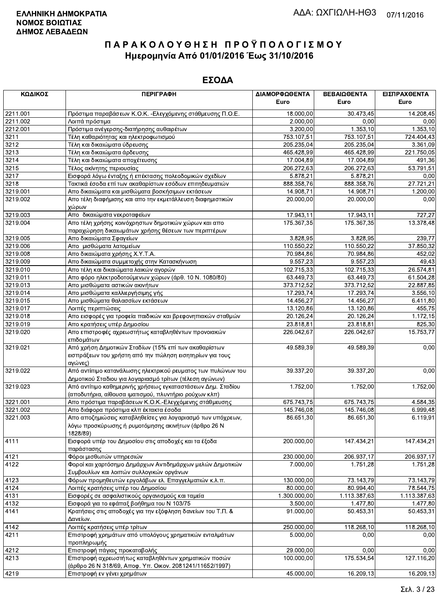| ΚΩΔΙΚΟΣ  | <b>ПЕРІГРАФН</b>                                                    | ΔΙΑΜΟΡΦΩΘΕΝΤΑ          | ΒΕΒΑΙΩΘΕΝΤΑ            | ΕΙΣΠΡΑΧΘΕΝΤΑ |
|----------|---------------------------------------------------------------------|------------------------|------------------------|--------------|
|          |                                                                     | Euro                   | Euro                   | Euro         |
| 2211.001 | Πρόστιμα παραβάσεων Κ.Ο.Κ. - Ελεγχόμενης στάθμευσης Π.Ο.Ε.          | 18.000,00              | $\overline{30.473,45}$ | 14.208,45    |
| 2211.002 | Λοιπά πρόστιμα                                                      | 2.000,00               | 0,00                   | 0,00         |
| 2212.001 | Πρόστιμα ανέγερσης-διατήρησης αυθαιρέτων                            | 3.200,00               | 1.353,10               | 1.353,10     |
| 3211     | Τέλη καθαριότητας και ηλεκτροφωτισμού                               | 753.107,51             | 753.107,51             | 724.404,43   |
| 3212     | Τέλη και δικαιώματα ύδρευσης                                        | 205.235,04             | 205.235,04             | 3.361,09     |
| 3213     | Τέλη και δικαιώματα άρδευσης                                        | 465.428,99             | 465.428,99             | 221.750,05   |
| 3214     | Τέλη και δικαιώματα αποχέτευσης                                     | 17.004,89              | 17.004,89              | 491,36       |
| 3215     | Τέλος ακίνητης περιουσίας                                           | 206.272,63             | 206.272,63             | 53.791,51    |
| 3217     | Εισφορά λόγω ένταξης ή επέκτασης πολεοδομικών σχεδίων               | 5.878,21               | 5.878,21               | 0,00         |
| 3218     | Τακτικά έσοδα επί των ακαθαρίστων εσόδων επιτηδευματιών             | 888.358,76             | 888.358,76             | 27.721,21    |
| 3219.001 | Απο δικαιώματα και μισθώματα βοσκήσιμων εκτάσεων                    | 14.908,71<br>20.000,00 | 14.908,71              | 1.200,00     |
| 3219.002 | Απο τέλη διαφήμισης και απο την εκμετάλλευση διαφημιστικών<br>χώρων |                        | 20.000,00              | 0,00         |
| 3219.003 | Απο δικαιώματα νεκροταφείων                                         | 17.943,11              | 17.943,11              | 727,27       |
| 3219.004 | Απο τέλη χρήσης κοινόχρηστων δημοτικών χώρων και απο                | 175.367,35             | 175.367,35             | 13.378,48    |
|          | παραχώρηση δικαιωμάτων χρήσης θέσεων των περιπτέρων                 |                        |                        |              |
| 3219.005 | Απο δικαιώματα Σφαγείων                                             | 3.828,95               | 3.828,95               | 239,77       |
| 3219.006 | Απο μισθώματα λατομείων                                             | 110.550,22             | 110.550,22             | 37.850,32    |
| 3219.008 | Απο δικαιώματα χρήσης Χ.Υ.Τ.Α.                                      | 70.984,86              | 70.984,86              | 452,02       |
| 3219.009 | Απο δικαιώματα συμμετοχής στην Κατασκήνωση                          | 9.557,23               | 9.557,23               | 49,43        |
| 3219.010 | Απο τέλη και δικαιώματα λαικών αγορών                               | 102.715,33             | 102.715,33             | 26.574,81    |
| 3219.011 | Απο φόρο ηλεκτροδοτούμενων χώρων (άρθ. 10 Ν. 1080/80)               | 63.449,73              | 63.449,73              | 61.504,28    |
| 3219.013 | Απο μισθώματα αστικών ακινήτων                                      | 373.712,52             | 373.712,52             | 22.887,85    |
| 3219.014 | Απο μισθώματα καλλιεργήσιμης γής                                    | 17.293,74              | 17.293,74              | 3.556,10     |
| 3219.015 | Απο μισθώματα θαλασσίων εκτάσεων                                    | 14.456,27              | 14.456,27              | 6.411,80     |
| 3219.017 | Λοιπές περιπτώσεις                                                  | 13.120,86              | 13.120,86              | 455,75       |
| 3219.018 | Απο εισφορές για τροφεία παιδικών και βρεφονηπιακών σταθμών         | 20.126,24              | 20.126,24              | 1.172,15     |
| 3219.019 | Απο κρατήσεις υπέρ Δημοσίου                                         | 23.818,81              | 23.818,81              | 825,30       |
| 3219.020 | Απο επιστροφές αχρεωστήτως καταβληθέντων προνοιακών                 | 226.042,67             | 226.042,67             | 15.753,77    |
|          | επιδομάτων                                                          |                        |                        |              |
| 3219.021 | Από χρήση Δημοτικών Σταδίων (15% επί των ακαθαρίστων                | 49.589,39              | 49.589,39              | 0,00         |
|          | εισπράξεων του χρήστη από την πώληση εισητηρίων για τους            |                        |                        |              |
|          | αγώνες)                                                             |                        |                        |              |
| 3219.022 | Από αντίιτιμο κατανάλωσης ηλεκτρικού ρευματος των πυλώνων του       | 39.337,20              | 39.337,20              | 0,00         |
|          | Δημοτικού Σταδιου για λογαριασμό τρίτων (τέλεση αγώνων)             |                        |                        |              |
| 3219.023 | Από αντίτιμο καθημερινής χρήσεως εγκαταστάσεων Δημ. Σταδίου         | 1.752,00               | 1.752,00               | 1.752,00     |
|          | (αποδυτήρια, αίθουσα ιματισμού, πλυντήριο ρούχων κλπ)               |                        |                        |              |
| 3221.001 | Απο πρόστιμα παραβάσεων Κ.Ο.Κ.-Ελεγχόμενης στάθμευσης               | 675.743,75             | 675.743,75             | 4.584,35     |
| 3221.002 | Απο διάφορα πρόστιμα κλπ έκτακτα έσοδα                              | 145.746,08             | 145.746,08             | 6.999,48     |
| 3221.003 | Απο αποζημιώσεις καταβληθείσες για λογαριασμό των υπόχρεων,         | 86.651,30              | 86.651,30              | 6.119,91     |
|          | λόγω προσκύρωσης ή ρυμοτόμησης ακινήτων (άρθρο 26 Ν                 |                        |                        |              |
| 4111     | 1828/89)                                                            | 200.000,00             | 147.434,21             | 147.434,21   |
|          | Εισφορά υπέρ του Δημοσίου στις αποδοχές και τα έξοδα<br>παράστασης  |                        |                        |              |
| 4121     | Φόροι μισθωτών υπηρεσιών                                            | 230.000,00             | 206.937,17             | 206.937,17   |
| 4122     | Φοροί και χαρτόσημο Δημάρχων Αντιδημάρχων μελών Δημοτικών           | 7.000,00               | 1.751,28               | 1.751,28     |
|          | Συμβουλίων και λοιπών συλλογικών οργάνων                            |                        |                        |              |
| 4123     | Φόρων προμηθευτών εργολάβων ελ. Επαγγελματιών κ.λ.π.                | 130.000,00             | 73.143,79              | 73.143.79    |
| 4124     | Λοιπές κρατήσεις υπέρ του Δημοσίου                                  | 80.000,00              | 80.994,40              | 78.544,75    |
| 4131     | Εισφορές σε ασφαλιστικούς οργανισμούς και ταμεία                    | 1.300.000,00           | 1.113.387,63           | 1.113.387,63 |
| 4132     | Εισφορά για το εφάπαξ βοήθημα του Ν 103/75                          | 3.500,00               | 1.477,80               | 1.477,80     |
| 4141     | Κρατήσεις στις αποδοχές για την εξόφληση δανείων του Τ.Π. &         | 91.000.00              | 50.453,31              | 50.453,31    |
|          | Δανείων.                                                            |                        |                        |              |
| 4142     | Λοιπές κρατήσεις υπέρ τρίτων                                        | 250.000,00             | 118.268,10             | 118.268,10   |
| 4211     | Επιστροφή χρημάτων από υπολόγους χρηματικών ενταλμάτων              | 5.000,00               | 0,00                   | 0,00         |
|          | προπληρωμής                                                         |                        |                        |              |
| 4212     | Επιστροφή πάγιας προκαταβολής                                       | 29.000,00              | 0,00                   | 0,00         |
| 4213     | Επιστροφή αχρεωστήτως καταβληθέντων χρηματικών ποσών                | 100.000,00             | 175.534,54             | 127.116,20   |
|          | (άρθρο 26 Ν 318/69, Αποφ. Υπ. Οικον. 2081241/11652/1997)            |                        |                        |              |
| 4219     | Επιστροφή εν γένει χρημάτων                                         | 45.000,00              | 16.209,13              | 16.209,13    |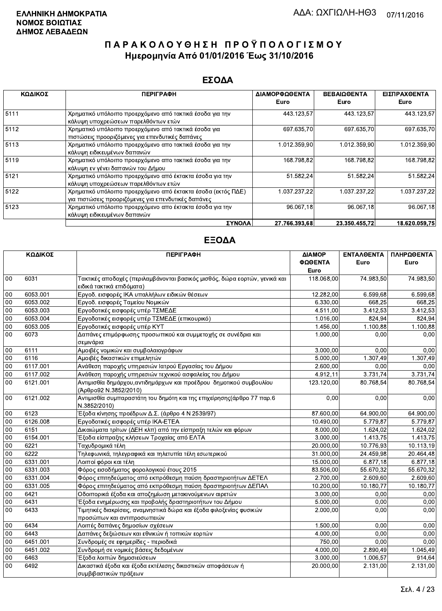#### ΕΣΟΔΑ

| ΚΩΔΙΚΟΣ | <b>ПЕРІГРАФН</b>                                                                                                    | ΔΙΑΜΟΡΦΩΘΕΝΤΑ | ΒΕΒΑΙΩΘΕΝΤΑ   | ΕΙΣΠΡΑΧΘΕΝΤΑ  |
|---------|---------------------------------------------------------------------------------------------------------------------|---------------|---------------|---------------|
|         |                                                                                                                     | Euro          | Euro          | Euro          |
| 5111    | Χρηματικό υπόλοιπο προερχόμενο από τακτικά έσοδα για την<br>κάλυψη υποχρεώσεων παρελθόντων ετών                     | 443.123,57    | 443.123,57    | 443.123,57    |
| 5112    | Χρηματικό υπόλοιπο προερχόμενο από τακτικά έσοδα για<br>πιστώσεις προοριζόμενες για επενδυτικές δαπάνες             | 697 635,70    | 697.635,70    | 697.635,70    |
| 5113    | Χρηματικό υπόλοιπο προερχόμενο απο τακτικά έσοδα για την<br>κάλυψη ειδικευμένων δαπανών                             | 1.012.359,90  | 1.012.359,90  | 1.012.359,90  |
| 5119    | Χρηματικό υπόλοιπο προερχόμενο απο τακτικά έσοδα για την<br>κάλυψη εν γένει δαπανών του Δήμου                       | 168.798,82    | 168.798,82    | 168.798,82    |
| 5121    | Χρηματικό υπόλοιπο προερχόμενο από έκτακτα έσοδα για την<br>κάλυψη υποχρεώσεων παρελθόντων ετών                     | 51.582,24     | 51.582,24     | 51.582,24     |
| 5122    | Χρηματικό υπόλοιπο προερχόμενο από έκτακτα έσοδα (εκτός ΠΔΕ)<br>για πιστώσεις προοριζόμενες για επενδυτικές δαπάνες | 1.037.237,22  | 1.037.237.22  | 1.037.237.22  |
| 5123    | Χρηματικό υπόλοιπο προερχόμενο απο έκτακτα έσοδα για την<br>κάλυψη ειδικευμένων δαπανών                             | 96.067,18     | 96.067.18     | 96.067,18     |
|         | ΣΥΝΟΛΑ                                                                                                              | 27.766.393.68 | 23.350.455.72 | 18.620.059.75 |

|        | ΚΩΔΙΚΟΣ  | <b>ПЕРІГРАФН</b>                                                                                        | ΔΙΑΜΟΡ<br>ΦΩΘΕΝΤΑ<br>Euro | ΕΝΤΑΛΘΕΝΤΑ<br>Euro | ΠΛΗΡΩΘΕΝΤΑ<br>Euro |
|--------|----------|---------------------------------------------------------------------------------------------------------|---------------------------|--------------------|--------------------|
| 00     | 6031     | Τακτικές αποδοχές (περιλαμβάνονται βασικός μισθός, δώρα εορτών, γενικά και<br>ειδικά τακτικά επιδόματα) | 118.068,00                | 74.983,50          | 74.983,50          |
| 00     | 6053.001 | Εργοδ. εισφορές ΙΚΑ υπαλλήλων ειδικών θέσεων                                                            | 12.282,00                 | 6.599,68           | 6.599,68           |
| 00     | 6053.002 | Εργοδ. εισφορές Ταμείου Νομικών                                                                         | 6.330,00                  | 668,25             | 668,25             |
| 00     | 6053.003 | Εργοδοτικές εισφορές υπέρ ΤΣΜΕΔΕ                                                                        | 4.511,00                  | 3.412,53           | 3.412,53           |
| 00     | 6053.004 | Εργοδοτικές εισφορές υπέρ ΤΣΜΕΔΕ (επικουρικό)                                                           | 1.016.00                  | 824,94             | 824,94             |
| $00\,$ | 6053.005 | Εργοδοτικές εισφορές υπέρ ΚΥΤ                                                                           | 1.456,00                  | 1.100,88           | 1.100,88           |
| 00     | 6073     | Δαπάνες επιμόρφωσης προσωπικού και συμμετοχής σε συνέδρια και<br>σεμινάρια                              | 1.000,00                  | 0,00               | 0,00               |
| 00     | 6111     | Αμοιβές νομικών και συμβολαιογράφων                                                                     | 3.000,00                  | 0.00               | 0,00               |
| 00     | 6116     | Αμοιβές δικαστικών επιμελητών                                                                           | 5.000,00                  | 1.307.49           | 1.307,49           |
| 00     | 6117.001 | Ανάθεση παροχής υπηρεσιών Ιατρού Εργασίας του Δήμου                                                     | 2.600,00                  | 0,00               | 0,00               |
| 00     | 6117.002 | Ανάθεση παροχής υπηρεσιών τεχνικού ασφαλείας του Δήμου                                                  | 4.912,11                  | 3.731,74           | 3.731,74           |
| 00     | 6121.001 | Αντιμισθία δημάρχου, αντιδημάρχων και προέδρου δημοτικού συμβουλίου<br>(Άρθρο92 Ν.3852/2010)            | 123.120,00                | 80.768,54          | 80.768,54          |
| 00     | 6121.002 | Αντιμισθία συμπαραστάτη του δημότη και της επιχείρησης(άρθρο 77 παρ.6<br>N.3852/2010)                   | 0,00                      | 0,00               | 0,00               |
| $00\,$ | 6123     | Έξοδα κίνησης προέδρων Δ.Σ. (άρθρο 4 Ν 2539/97)                                                         | 87.600,00                 | 64.900,00          | 64.900,00          |
| 00     | 6126.008 | Εργοδοτικές εισφορές υπέρ ΙΚΑ-ΕΤΕΑ                                                                      | 10.490,00                 | 5.779,87           | 5.779,87           |
| 00     | 6151     | Δικαιώματα τρίτων (ΔΕΗ κλπ) από την είσπραξη τελών και φόρων                                            | 8.000,00                  | 1.624,02           | 1.624,02           |
| $00\,$ | 6154.001 | Έξοδα είσπραξης κλήσεων Τροχαίας από ΕΛΤΑ                                                               | 3.000,00                  | 1.413,75           | 1.413,75           |
| 00     | 6221     | Ταχυδρομικά τέλη                                                                                        | 20.000,00                 | 10.776,93          | 10.113,19          |
| 00     | 6222     | Τηλεφωνικά, τηλεγραφικά και τηλετυπία τέλη εσωτερικού                                                   | 31.000,00                 | 24.459,98          | 20.464,48          |
| 00     | 6331.001 | Λοιποί φόροι και τέλη                                                                                   | 15.000,00                 | 6.877,18           | 6.877,18           |
| $00\,$ | 6331.003 | Φόρος εισοδήματος φορολογικού έτους 2015                                                                | 83.506,00                 | 55.670,32          | 55.670,32          |
| 00     | 6331.004 | Φόρος επιτηδεύματος από εκπρόθεσμη παύση δραστηριοτήτων ΔΕΤΕΛ                                           | 2.700,00                  | 2.609,60           | 2.609,60           |
| 00     | 6331.005 | Φόρος επιτηδεύματος από εκπρόθεσμη παύση δραστηριοτήτων ΔΕΠΑΛ                                           | 10.200,00                 | 10.180.77          | 10.180,77          |
| 00     | 6421     | Οδοιπορικά έξοδα και αποζημίωση μετακινούμενων αιρετών                                                  | 3.000,00                  | 0.00               | 0,00               |
| 00     | 6431     | Έξοδα ενημέρωσης και προβολής δραστηριοτήτων του Δήμου                                                  | 5.000,00                  | 0,00               | 0,00               |
| 00     | 6433     | Τιμητικές διακρίσεις, αναμνηστικά δώρα και έξοδα φιλοξενίας φυσικών<br>προσώπων και αντιπροσωπειών      | 2.000,00                  | 0,00               | 0,00               |
| 00     | 6434     | Λοιπές δαπάνες δημοσίων σχέσεων                                                                         | 1.500,00                  | 0,00               | 0,00               |
| 00     | 6443     | Δαπάνες δεξιώσεων και εθνικών ή τοπικών εορτών                                                          | 4.000,00                  | 0.00               | 0,00               |
| 00     | 6451.001 | Συνδρομές σε εφημερίδες - περιοδικά                                                                     | 750,00                    | 0,00               | 0,00               |
| 00     | 6451.002 | Συνδρομή σε νομικές βάσεις δεδομένων                                                                    | 4.000,00                  | 2.890,49           | 1.045,49           |
| 00     | 6463     | Έξοδα λοιπών δημοσιεύσεων                                                                               | 3.000,00                  | 1.006.57           | 914.64             |
| 00     | 6492     | Δικαστικά έξοδα και έξοδα εκτέλεσης δικαστικών αποφάσεων ή<br>συμβιβαστικών πράξεων                     | 20.000,00                 | 2.131,00           | 2.131,00           |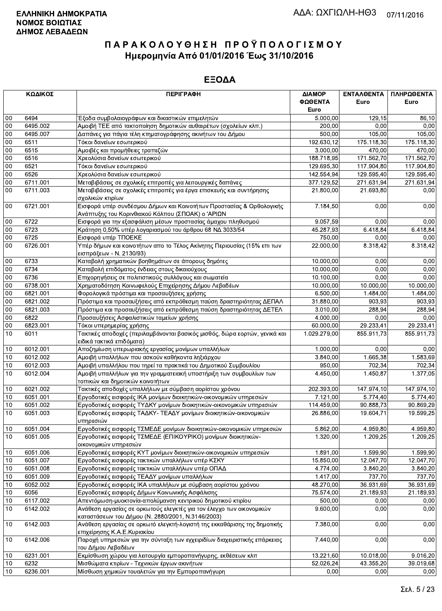|        | ΚΩΔΙΚΟΣ  | <b>ПЕРІГРАФН</b>                                                                                                          | ΔΙΑΜΟΡ<br>ΦΩΘΕΝΤΑ | <b>ENTAAGENTA</b><br>Euro | ΠΛΗΡΩΘΕΝΤΑ<br>Euro |
|--------|----------|---------------------------------------------------------------------------------------------------------------------------|-------------------|---------------------------|--------------------|
|        |          |                                                                                                                           | Euro              |                           |                    |
| 00     | 6494     | Έξοδα συμβολαιογράφων και δικαστικών επιμελητών                                                                           | 5.000,00          | 129,15                    | 86,10              |
| 00     | 6495.002 | Αμοιβή ΤΕΕ από τακτοποίηση δημοτικών αυθαιρέτων (σχολείων κλπ.)                                                           | 200,00            | 0.00                      | 0,00               |
| 00     | 6495.007 | Δαπάνες για πάγια τέλη κτηματογράφησης ακινήτων του Δήμου                                                                 | 500,00            | 105,00                    | 105,00             |
| 00     | 6511     | Τόκοι δανείων εσωτερικού                                                                                                  | 192.630,12        | 175.118,30                | 175.118,30         |
| 00     | 6515     | Αμοιβές και προμήθειες τραπεζών                                                                                           | 3.000,00          | 470,00                    | 470,00             |
| 00     | 6516     | Χρεολύσια δανείων εσωτερικού                                                                                              | 188.718,95        | 171.562,70                | 171.562,70         |
| 00     | 6521     | Τόκοι δανείων εσωτερικού                                                                                                  | 129.695,30        | 117.904,80                | 117.904,80         |
| 00     | 6526     | Χρεολύσια δανείων εσωτερικού                                                                                              | 142.554,94        | 129.595,40                | 129.595,40         |
| 00     | 6711.001 | Μεταβιβάσεις σε σχολικές επιτροπές για λειτουργικές δαπάνες                                                               | 377.129,52        | 271.631,94                | 271.631,94         |
| $00\,$ | 6711.003 | Μεταβιβάσεις σε σχολικές επιτροπές για έργα επισκευής και συντήρησης<br>σχολικών κτιρίων                                  | 21.800,00         | 21.693,80                 | 0,00               |
| $00\,$ | 6721.001 | Εισφορά υπέρ συνδέσμου Δήμων και Κοινοτήτων Προστασίας & Ορθολογικής                                                      | 7.184,50          | 0,00                      | 0,00               |
|        |          | Ανάπτυξης του Κορινθιακού Κόλπου (ΣΠΟΑΚ) ο 'ΑΡΙΩΝ                                                                         |                   |                           |                    |
| 00     | 6722     | Εισφορά για την εξασφάλιση μέσων προστασίας άμαχου πληθυσμού                                                              | 9.057,59          | 0,00                      | 0,00               |
| 00     | 6723     | Κράτηση 0,50% υπέρ λογαριασμού του άρθρου 68 ΝΔ 3033/54                                                                   | 45.287,93         | 6.418,84                  | 6.418,84           |
| 00     | 6725     | Εισφορά υπέρ ΤΠΟΕΚΕ                                                                                                       | 750,00            | 0,00                      | 0,00               |
| 00     | 6726.001 | Υπέρ δήμων και κοινοτήτων απο το Τέλος Ακίνητης Περιουσίας (15% επι των                                                   | 22.000,00         | 8.318,42                  | 8.318,42           |
|        |          | εισπράξεων - Ν. 2130/93)                                                                                                  |                   |                           |                    |
| 00     | 6733     | Καταβολή χρηματικών βοηθημάτων σε άπορους δημότες                                                                         | 10.000,00         | 0,00                      | 0,00               |
| 00     | 6734     | Καταβολή επιδόματος ένδειας στους δικαιούχους                                                                             | 10.000,00         | 0.00                      | 0,00               |
| $00\,$ | 6736     | Επιχορηγήσεις σε πολιτιστικούς συλλόγους και σωματεία                                                                     | 10.100,00         | 0,00                      | 0,00               |
| $00\,$ | 6738.001 | Χρηματοδότηση Κοινωφελούς Επιχείρησης Δήμου Λεβαδέων                                                                      | 10.000,00         | 10.000,00                 | 10.000,00          |
| 00     | 6821.001 | Φορολογικά πρόστιμα και προσαυξήσεις χρήσης                                                                               | 6.500,00          | 1.484,00                  | 1.484,00           |
| 00     | 6821.002 | Πρόστιμα και προσαυξήσεις από εκπρόθεσμη παύση δραστηριότητας ΔΕΠΑΛ                                                       | 31.880,00         | 903,93                    | 903.93             |
| 00     | 6821.003 | Πρόστιμα και προσαυξήσεις από εκπρόθεσμη παύση δραστηριότητας ΔΕΤΕΛ                                                       | 3.010,00          | 288,94                    | 288,94             |
| 00     | 6822     | Προσαυξήσεις Ασφαλιστικών ταμείων χρήσης                                                                                  | 4.000,00          | 0,00                      | 0,00               |
| 00     | 6823.001 | Τόκοι υπερημερίας χρήσης                                                                                                  | 60.000,00         | 29.233,41                 | 29.233,41          |
| 10     | 6011     | Τακτικές αποδοχές (περιλαμβάνονται βασικός μισθός, δώρα εορτών, γενικά και<br>ειδικά τακτικά επιδόματα)                   | 1.029.279,00      | 855.911,73                | 855.911,73         |
| 10     | 6012.001 | Αποζημίωση υπερωριακής εργασίας μονίμων υπαλλήλων                                                                         | 1.000,00          | 0,00                      | 0,00               |
| 10     | 6012.002 | Αμοιβή υπαλλήλων που ασκούν καθήκοντα ληξιάρχου                                                                           | 3.840,00          | 1.665.38                  | 1.583,69           |
| 10     | 6012.003 | Αμοιβή υπαλλήλου που τηρεί τα πρακτικά του Δημοτικού Συμβουλίου                                                           | 950,00            | 702,34                    | 702,34             |
| 10     | 6012.004 | Αμοιβή υπαλλήλων για την γραμματειακή υποστήριξη των συμβουλίων των<br>τοπικών και δημοτικών κοινοτήτων                   | 4.450,00          | 1.450,87                  | 1.377,05           |
| 10     | 6021.002 | Τακτικές αποδοχές υπαλλήλων με σύμβαση αορίστου χρόνου                                                                    | 202.393,00        | 147.974,10                | 147.974,10         |
| 10     | 6051.001 | Εργοδοτικές εισφορές ΙΚΑ μονίμων διοικητικών-οικονομικών υπηρεσιών                                                        | 7.121,00          | 5.774,40                  | 5.774,40           |
| 10     | 6051.002 | Εργοδοτικές εισφορές ΤΥΔΚΥ μονίμων διοικητικών-οικονομικών υπηρεσιών                                                      | 114.459,00        | 90.888,73                 | 90.869,29          |
| 10     | 6051.003 | Εργοδοτικές εισφορές ΤΑΔΚΥ- ΤΕΑΔΥ μονίμων διοικητικών-οικονομικών<br>υπηρεσιών                                            | 26.886,00         | 19.604,71                 | 19.599,25          |
| $10\,$ | 6051.004 | Εργοδοτικές εισφορές ΤΣΜΕΔΕ μονίμων διοικητικών-οικονομικών υπηρεσιών                                                     | 5.862,00          | 4.959,80                  | 4.959,80           |
| 10     | 6051.005 | Εργοδοτικές εισφορές ΤΣΜΕΔΕ (ΕΠΙΚΟΥΡΙΚΟ) μονίμων διοικητικών-<br>οικονομικών υπηρεσιών                                    | 1.320,00          | $\overline{1.209,25}$     | 1.209,25           |
| 10     | 6051.006 | Εργοδοτικές εισφορές ΚΥΤ μονίμων διοικητικών-οικονομικών υπηρεσιών                                                        | 1.891,00          | 1.599,90                  | 1.599,90           |
| 10     | 6051.007 | Εργοδοτικές εισφορές τακτικών υπαλλήλων υπέρ ΚΣΚΥ                                                                         | 15.850,00         | 12.047,70                 | 12.047,70          |
| 10     | 6051.008 | Εργοδοτικές εισφορές τακτικών υπαλλήλων υπέρ ΟΠΑΔ                                                                         | 4.774,00          | 3.840,20                  | 3.840,20           |
| 10     | 6051.009 | Εργοδοτικές εισφορές ΤΕΑΔΥ μονίμων υπαλλήλων                                                                              | 1.417,00          | 737,70                    | 737.70             |
| 10     | 6052.002 | Εργοδοτικές εισφορές ΙΚΑ υπαλλήλων με σύμβαση αορίστου χρόνου                                                             | 48.270,00         | 36.931,69                 | 36.931,69          |
| 10     | 6056     | Εργοδοτικές εισφορές Δήμων Κοινωνικής Ασφάλισης                                                                           | 75.574,00         | 21.189,93                 | 21.189,93          |
| 10     | 6117.002 | Απεντόμωση-μυοκτονία-απολύμανση κεντρικού δημοτικού κτιρίου                                                               | 500,00            | 0,00                      | 0,00               |
| 10     | 6142.002 | Ανάθεση εργασίας σε ορκωτούς ελεγκτές για τον έλεγχο των οικονομικών<br>καταστάσεων του Δήμου (Ν. 2880/2001, Ν.3146/2003) | 9.600,00          | 0,00                      | 0,00               |
| 10     | 6142.003 | Ανάθεση εργασίας σε ορκωτό ελεγκτή-λογιστή της εκκαθάρισης της δημοτικής<br>επιχείρησης Κ.Α.Ε.Κυριακίου                   | 7.380,00          | 0,00                      | 0,00               |
| 10     | 6142.006 | Παροχή υπηρεσιών για την σύνταξη των εγχειριδίων διαχειριστικής επάρκειας<br>του Δήμου Λεβαδέων                           | 7.440,00          | 0,00                      | 0,00               |
| 10     | 6231.001 | Εκμίσθωση χώρου για λειτουργία εμποροπανήγυρης, εκθέσεων κλπ                                                              | 13.221,60         | 10.018,00                 | 9.016,20           |
| 10     | 6232     | Μισθώματα κτιρίων - Τεχνικών έργων ακινήτων                                                                               | 52.026,24         | 43.355,20                 | 39.019,68          |
| 10     | 6236.001 | Μίσθωση χημικών τουαλετών για την Εμποροπανήγυρη                                                                          | 0,00              | 0,00                      | 0,00               |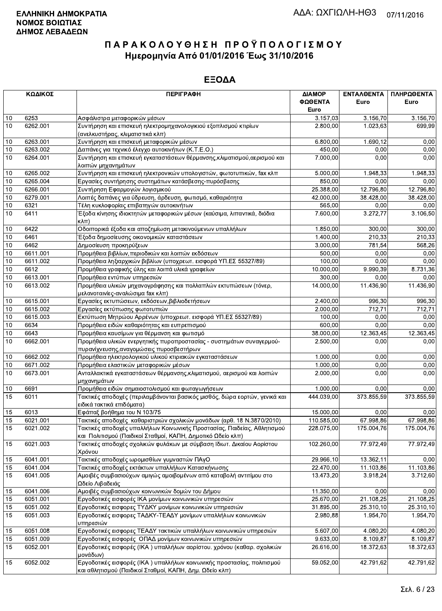|    | ΚΩΔΙΚΟΣ  | <b>ПЕРІГРАФН</b>                                                                                                                       | ΔΙΑΜΟΡ<br>ΦΩΘΕΝΤΑ<br>Euro | ΕΝΤΑΛΘΕΝΤΑ<br>Euro     | ΠΛΗΡΩΘΕΝΤΑ<br>Euro |
|----|----------|----------------------------------------------------------------------------------------------------------------------------------------|---------------------------|------------------------|--------------------|
| 10 | 6253     | Ασφάλιστρα μεταφορικών μέσων                                                                                                           | 3.157,03                  | 3.156,70               | 3.156,70           |
| 10 | 6262.001 | Συντήρηση και επισκευή ηλεκτρομηχανολογικιού εξοπλισμού κτιρίων                                                                        | 2.800,00                  | 1.023,63               | 699,99             |
|    |          | (ανελκυστήρας, κλιματιστικά κλπ)                                                                                                       |                           |                        |                    |
| 10 | 6263.001 | Συντήρηση και επισκευή μεταφορικών μέσων                                                                                               | 6.800,00                  | 1.690,12               | 0,00               |
| 10 | 6263.002 | Δαπάνες για τεχνικό έλεγχο αυτοκινήτων (Κ.Τ.Ε.Ο.)                                                                                      | 450,00                    | 0,00                   | 0,00               |
| 10 | 6264.001 | Συντήρηση και επισκευή εγκαταστάσεων θέρμανσης, κλιματισμού, αερισμού και                                                              | 7.000,00                  | 0,00                   | 0,00               |
|    |          | λοιπών μηχανημάτων                                                                                                                     |                           |                        |                    |
| 10 | 6265.002 | Συντήρηση και επισκευή ηλεκτρονικών υπολογιστών, φωτοτυπικών, fax κλπ                                                                  | 5.000,00                  | 1.948,33               | 1.948,33           |
| 10 | 6265.004 | Εργασίες συντήρησης συστημάτων κατάσβεσης-πυρόσβεσης                                                                                   | 850.00                    | 0,00                   | 0,00               |
| 10 | 6266.001 | Συντήρηση Εφαρμογών λογισμικού                                                                                                         | 25.388,00                 | 12.796,80              | 12.796,80          |
| 10 | 6279.001 | Λοιπές δαπάνες για ύδρευση, άρδευση, φωτισμό, καθαριότητα                                                                              | 42.000,00                 | 38.428.00              | 38.428,00          |
| 10 | 6321     | Τέλη κυκλοφορίας επιβατηγών αυτοκινήτων                                                                                                | 565,00                    | 0,00                   | 0,00               |
| 10 | 6411     | Έξοδα κίνησης ιδιοκτητών μεταφορικών μέσων (καύσιμα, λιπαντικά, διόδια                                                                 | 7.600,00                  | 3.272,77               | 3.106,50           |
|    |          | $\kappa\lambda\pi$                                                                                                                     |                           |                        |                    |
| 10 | 6422     | Οδοιπορικά έξοδα και αποζημίωση μετακινούμενων υπαλλήλων                                                                               | 1.850,00                  | 300,00                 | 300,00             |
| 10 | 6461     | Έξοδα δημοσίευσης οικονομικών καταστάσεων                                                                                              | 1.400,00                  | 210.33                 | 210,33             |
| 10 | 6462     | Δημοσίευση προκηρύξεων                                                                                                                 | 3.000,00                  | 781,54                 | 568,26             |
| 10 | 6611.001 | Προμήθεια βιβλίων, περιοδικών και λοιπών εκδόσεων                                                                                      | 500,00                    | 0,00                   | 0,00               |
| 10 | 6611.002 | Προμήθεια ληξιαρχικών βιβλίων (υποχρεωτ. εισφορά ΥΠ.ΕΣ 55327/89)                                                                       | 100,00                    | 0,00                   | 0,00               |
| 10 | 6612     | Προμήθεια γραφικής ύλης και λοιπά υλικά γραφείων                                                                                       | 10.000,00                 | 9.990,39               | 8.731,36           |
| 10 | 6613.001 | Προμήθεια εντύπων υπηρεσιών                                                                                                            | 300,00                    | 0,00                   | 0,00               |
| 10 | 6613.002 | Προμήθεια υλικών μηχανογράφησης και πολλαπλών εκτυπώσεων (τόνερ,<br>μελανοταινίες-αναλώσιμα fax κλπ)                                   | 14.000,00                 | 11.436,90              | 11.436,90          |
| 10 | 6615.001 | Εργασίες εκτυπώσεων, εκδόσεων, βιβλιοδετήσεων                                                                                          | 2.400,00                  | 996,30                 | 996,30             |
| 10 | 6615.002 | Εργασίες εκτύπωσης φωτοτυπιών                                                                                                          | $\overline{2.000,00}$     | 712.71                 | 712,71             |
| 10 | 6615.003 | Εκτύπωση Μητρώου Αρρένων (υποχρεωτ. εισφορά ΥΠ.ΕΣ 55327/89)                                                                            | 100,00                    | 0,00                   | 0,00               |
| 10 | 6634     | Προμήθεια ειδών καθαριότητας και ευπρεπισμού                                                                                           | 600,00                    | 0,00                   | 0,00               |
| 10 | 6643     | Προμήθεια καυσίμων για θέρμανση και φωτισμό                                                                                            | 38.000,00                 | 12.363,45              | 12.363,45          |
| 10 | 6662.001 | Προμήθεια υλικών ενεργητικής πυροπροστασίας - συστημάτων συναγερμού-<br>πυρανίχνευσης, αναγομώσεις πυροσβεστήρων                       | 2.500,00                  | 0,00                   | 0,00               |
| 10 | 6662.002 | Προμήθεια ηλεκτρολογικού υλικού κτιριακών εγκαταστάσεων                                                                                | 1.000,00                  | 0,00                   | 0,00               |
| 10 | 6671.002 | Προμήθεια ελαστικών μεταφορικών μέσων                                                                                                  | 1.000,00                  | 0.00                   | 0,00               |
| 10 | 6673.001 | Ανταλλακτικά εγκαταστάσεων θέρμανσης, κλιματισμού, αερισμού και λοιπών                                                                 | 2.000,00                  | 0,00                   | 0,00               |
|    |          | μηχανημάτων                                                                                                                            |                           |                        |                    |
| 10 | 6691     | Προμήθεια ειδών σημαιοστολισμού και φωταγωγήσεων                                                                                       | 1.000,00                  | 0,00                   | 0,00               |
| 15 | 6011     | Τακτικές αποδοχές (περιλαμβάνονται βασικός μισθός, δώρα εορτών, γενικά και                                                             | 444.039,00                | 373.855,59             | 373.855,59         |
|    |          | ειδικά τακτικά επιδόματα)                                                                                                              |                           |                        |                    |
| 15 | 6013     | Εφάπαξ βοήθημα του Ν 103/75                                                                                                            | 15.000,00                 | 0.00                   | 0,00               |
| 15 | 6021.001 | Τακτικές αποδοχές καθαριστριών σχολικών μονάδων (αρθ. 18 Ν.3870/2010)                                                                  | 110.585,00                | 67.998,86              | 67.998,86          |
| 15 | 6021.002 | Τακτικές αποδοχές υπαλλήλων Κοινωνικής Προστασίας, Παιδείας, Αθλητισμού<br>και Πολιτισμού (Παιδικοί Σταθμοί, ΚΑΠΗ, Δημοτικό Ωδείο κλπ) | 228.075,00                | 175.004,76             | 175.004,76         |
| 15 | 6021.003 | Τακτικές αποδοχές σχολικών φυλάκων με σύμβαση Ιδιωτ. Δικαίου Αορίστου<br>Χρόνου                                                        | 102.260,00                | 77.972,49              | 77.972,49          |
| 15 | 6041.001 | Τακτικές αποδοχές ωρομισθίων γυμναστών ΠΑγΟ                                                                                            | 29.966,10                 | 13.362,11              | 0,00               |
| 15 | 6041.004 | Τακτικές αποδοχές εκτάκτων υπαλλήλων Κατασκήνωσης                                                                                      | 22.470,00                 | 11.103,86              | 11.103,86          |
| 15 | 6041.005 | Αμοιβές συμβασιούχων αμιγώς αμοιβομένων από καταβολή αντιτίμου στο<br>Ωδείο Λιβαδειάς                                                  | 13.473,20                 | 3.918,24               | 3.712,60           |
| 15 | 6041.006 | Αμοιβές συμβασιούχων κοινωνικών δομών του Δήμου                                                                                        | 11.350,00                 | 0,00                   | 0,00               |
| 15 | 6051.001 | Εργοδοτικές εισφορές ΙΚΑ μονίμων κοινωνικών υπηρεσιών                                                                                  | 25.670,00                 | $\overline{21.108,25}$ | 21.108,25          |
| 15 | 6051.002 | Εργοδοτικές εισφορες ΤΥΔΚΥ μονίμων κοινωνικών υπηρεσιών                                                                                | 31.895,00                 | 25.310,10              | 25.310,10          |
|    |          | Εργοδοτικές εισφορες ΤΑΔΚΥ-ΤΕΑΔΥ μονίμων υπαλλήλων κοινωνικών                                                                          |                           | 1.954,70               |                    |
| 15 | 6051.003 | υπηρεσιών                                                                                                                              | 2.980,88                  |                        | 1.954,70           |
| 15 | 6051.008 | Εργοδοτικές εισφορες ΤΕΑΔΥ τακτικών υπαλλήλων κοινωνικών υπηρεσιών                                                                     | 5.607,00                  | 4.080,20               | 4.080,20           |
| 15 | 6051.009 | Εργοδοτικές εισφορές ΟΠΑΔ μονίμων κοινωνικών υπηρεσιών                                                                                 | 9.633,00                  | 8.109,87               | 8.109,87           |
| 15 | 6052.001 | Εργοδοτικές εισφορές (ΙΚΑ) υπαλλήλων αορίστου. χρόνου (καθαρ. σχολικών<br>μονάδων)                                                     | 26.616,00                 | 18.372,63              | 18.372,63          |
| 15 | 6052.002 | Εργοδοτικές εισφορές (ΙΚΑ) υπαλλήλων κοινωνικής προστασίας, πολιτισμού                                                                 | $\overline{59.052,00}$    | 42.791,62              | 42.791,62          |
|    |          | και αθλητισμού (Παιδικοί Σταθμοί, ΚΑΠΗ, Δημ. Ωδείο κλπ)                                                                                |                           |                        |                    |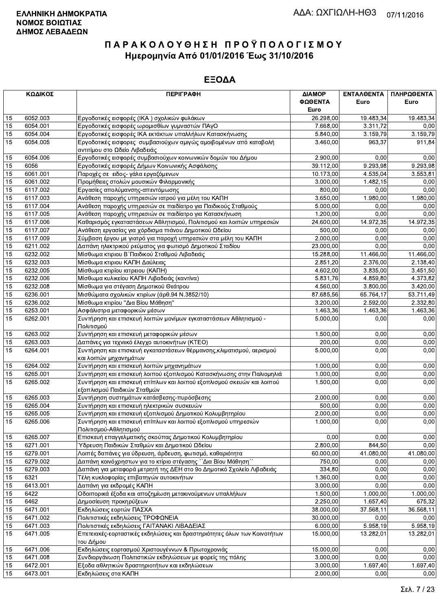|          | ΚΩΔΙΚΟΣ  | <b>ПЕРІГРАФН</b>                                                                                                   | ΔΙΑΜΟΡ               | ΕΝΤΑΛΘΕΝΤΑ | ΠΛΗΡΩΘΕΝΤΑ |
|----------|----------|--------------------------------------------------------------------------------------------------------------------|----------------------|------------|------------|
|          |          |                                                                                                                    | ΦΩΘΕΝΤΑ              | Euro       | Euro       |
|          |          |                                                                                                                    | Euro                 |            |            |
| 15       | 6052.003 | Εργοδοτικές εισφορές (ΙΚΑ) σχολικών φυλάκων                                                                        | 26.298,00            | 19.483,34  | 19.483,34  |
| 15       | 6054.001 | Εργοδοτικές εισφορές ωρομισθίων γυμναστών ΠΑγΟ                                                                     | 7.668,00             | 3.311,72   | 0,00       |
| 15       | 6054.004 | Εργοδοτικές εισφορές ΙΚΑ εκτάκτων υπαλλήλων Κατασκήνωσης                                                           | 5.840,00             | 3.159,79   | 3.159,79   |
| 15       | 6054.005 | Εργοδοτικές εισφορες συμβασιούχων αμιγώς αμοιβομένων από καταβολή                                                  | 3.460,00             | 963,37     | 911,84     |
|          |          | αντιτίμου στο Ωδείο Λιβαδειάς                                                                                      |                      |            |            |
| 15       | 6054.006 | Εργοδοτικές εισφορές συμβασιούχων κοινωνικών δομών του Δήμου                                                       | 2.900,00             | 0,00       | 0,00       |
| 15       | 6056     | Εργοδοτικές εισφορές Δήμων Κοινωνικής Ασφάλισης                                                                    | 39.112,00            | 9.293,98   | 9.293,98   |
| 15       | 6061.001 | Παροχές σε ειδος- γάλα εργαζόμενων                                                                                 | 10.173,00            | 4.535,04   | 3.553,81   |
| 15       | 6061.002 | Προμήθειες στολών μουσικών Φιλαρμονικής                                                                            | 3.000,00             | 1.482,15   | 0,00       |
| 15       | 6117.002 | Εργασίες απολύμανσης-απεντόμωσης                                                                                   | 800,00               | 0.00       | 0,00       |
| 15       | 6117.003 | Ανάθεση παροχής υπηρεσιών ιατρού για μέλη του ΚΑΠΗ                                                                 | 3.650,00             | 1.980,00   | 1.980,00   |
| 15       | 6117.004 | Ανάθεση παροχής υπηρεσιών σε παιδίατρο για Παιδικούς Σταθμούς                                                      | 5.000,00             | 0,00       | 0,00       |
| 15       | 6117.005 | Ανάθεση παροχής υπηρεσιών σε παιδίατρο για Κατασκήνωση                                                             | 1.200,00             | 0,00       | 0,00       |
| 15       | 6117.006 | Καθαρισμός εγκαταστάσεων Αθλητισμού, Πολιτισμού και λοιπών υπηρεσιών                                               | 24.600,00            | 14.972,35  | 14.972,35  |
| 15       | 6117.007 | Ανάθεση εργασίας για χόρδισμα πιάνου Δημοτικού Ωδείου                                                              | 500,00               | 0,00       | 0,00       |
| 15       | 6117.009 | Σύμβαση έργου με γιατρό για παροχή υπηρεσιών στα μέλη του ΚΑΠΗ                                                     | 2.000,00             | 0,00       | 0,00       |
| 15       | 6211.002 | Δαπάνη ηλεκτρικού ρεύματος για φωτισμό Δημοτικού Σταδίου                                                           | 23.000,00            | 0.00       | 0.00       |
| 15       | 6232.002 | Μίσθωμα κτιριου Β΄ Παιδικού Σταθμού Λιβαδειάς                                                                      | 15.288,00            | 11.466,00  | 11.466,00  |
| 15       | 6232.003 | Μίσθωμα κτιριου ΚΑΠΗ Δαύλειας                                                                                      | 2.851,20             | 2.376,00   | 2.138,40   |
| 15       | 6232.005 | Μίσθωμα κτιρίου ιατρειου (ΚΑΠΗ)                                                                                    | 4.602,00             | 3.835,00   | 3.451,50   |
| 15       | 6232.006 | Μίσθωμα κυλικείου ΚΑΠΗ Λιβαδειάς (καντίνα)                                                                         | 5.831,76             | 4.859,80   | 4.373.82   |
| 15       | 6232.008 | Μίσθωμα για στέγαση Δημοτικού Θεάτρου                                                                              | 4.560,00             | 3.800,00   | 3.420,00   |
| 15       | 6236.001 | Μισθώματα σχολικών κτιρίων (άρθ.94 Ν.3852/10)                                                                      | 87.685,56            | 65.764,17  | 53.711,49  |
| 15       | 6236.002 | Μίσθωμα κτιρίου "Δια Βίου Μάθηση"                                                                                  | 3.200,00             | 2.592,00   | 2.332,80   |
| 15       | 6253.001 | Ασφάλιστρα μεταφορικών μέσων                                                                                       | 1.463,36             | 1.463,36   | 1.463,36   |
| 15       | 6262.001 | Συντήρηση και επισκευή λοιπών μονίμων εγκαταστάσεων Αθλητισμού -                                                   | 5.000,00             | 0,00       | 0,00       |
|          |          | Πολιτισμού                                                                                                         |                      |            |            |
| 15       | 6263.002 | Συντήρηση και επισκευή μεταφορικών μέσων                                                                           | 1.500,00             | 0,00       | 0,00       |
| 15       | 6263.003 | Δαπάνες για τεχνιικό έλεγχο αυτοκινήτων (ΚΤΕΟ)                                                                     | 200,00               | 0,00       | 0,00       |
| 15       | 6264.001 | Συντήρηση και επισκευή εγκαταστάσεων θέρμανσης, κλιματισμού, αερισμού                                              | 5.000,00             | 0,00       | 0,00       |
|          | 6264.002 | και λοιπών μηχανημάτων                                                                                             |                      | 0,00       | 0,00       |
| 15<br>15 | 6265.001 | Συντήρηση και επισκευή λοιπών μηχανημάτων<br>Συντήρηση και επισκευή λοιπού εξοπλισμού Κατασκήνωσης στην Παλιομηλιά | 1.000,00<br>1.000,00 | 0,00       | 0,00       |
| 15       | 6265.002 | Συντήρηση και επισκευή επίπλων και λοιπού εξοπλισμού σκευών και λοιπού                                             | 1.500,00             | 0,00       | 0,00       |
|          |          | εξοπλισμού Παιδικών Σταθμών                                                                                        |                      |            |            |
| 15       | 6265.003 | Συντήρηση συστημάτων κατάσβεσης-πυρόσβεσης                                                                         | 2.000,00             | 0,00       | 0,00       |
| 15       | 6265.004 | Συντήρηση και επισκευή ηλεκτρικών συσκευών                                                                         | 500,00               | 0,00       | 0,00       |
| 15       | 6265.005 | Συντήρηση και επισκευή εξοπλισμού Δημοτικού Κολυμβητηρίου                                                          | 2.000,00             | 0,00       | 0,00       |
| 15       | 6265.006 | $ \Sigma$ υντήρηση και επισκευή επίπλων και λοιπού εξοπλισμού υπηρεσιών                                            | 1.000,00             | 0,00       | 0,00       |
|          |          | Πολιτισμού-Αθλητισμού                                                                                              |                      |            |            |
| 15       | 6265.007 | Επισκευή επαγγελματικής σκούπας Δημοτικού Κολυμβητηρίου                                                            | 0,00                 | 0,00       | 0,00       |
| 15       | 6271.001 | Ύδρευση Παιδικών Σταθμών και Δημοτικού Ωδείου                                                                      | 2.800,00             | 844,50     | 0,00       |
| 15       | 6279.001 | Λοιπές δαπάνες για ύδρευση, άρδευση, φωτισμό, καθαριότητα                                                          | 60.000,00            | 41.080,00  | 41.080,00  |
| 15       | 6279.002 | Δαπάνη κοινόχρηστων για το κτίριο στέγασης ΄΄Δια Βίου Μάθηση΄΄                                                     | 750,00               | 0,00       | 0.00       |
| 15       | 6279.003 | Δαπάνη για μεταφορά μετρητή της ΔΕΗ στο 9ο Δημοτικό Σχολείο Λιβαδειάς                                              | 334,80               | 0,00       | 0,00       |
| 15       | 6321     | Τέλη κυκλοφορίας επιβατηγών αυτοκινήτων                                                                            | 1.360,00             | 0.00       | 0,00       |
| 15       | 6413.001 | Δαπάνη για εκδρομές ΚΑΠΗ                                                                                           | 3.000,00             | 0,00       | 0,00       |
| 15       | 6422     | Οδοιπορικά έξοδα και αποζημίωση μετακινούμενων υπαλλήλων                                                           | 1.500,00             | 1.000,00   | 1.000,00   |
| 15       | 6462     | Δημοσίευση προκηρύξεων                                                                                             | 2.250,00             | 1.657,40   | 675,32     |
| 15       | 6471.001 | Εκδηλώσεις εορτών ΠΑΣΧΑ                                                                                            | 38.000,00            | 37.568,11  | 36.568,11  |
| 15       | 6471.002 | Πολιτιστικές εκδηλώσεις ΤΡΟΦΩΝΕΙΑ                                                                                  | 30.000,00            | 0,00       | 0,00       |
| 15       | 6471.003 | Πολιτιστικές εκδηλώσεις ΓΑΙΤΑΝΑΚΙ ΛΙΒΑΔΕΙΑΣ                                                                        | 6.000,00             | 5.958,19   | 5.958,19   |
| 15       | 6471.005 | Επετειακές-εορταστικές εκδηλώσεις και δραστηριότητες όλων των Κοινοτήτων                                           | 15.000,00            | 13.282,01  | 13.282,01  |
|          |          | του Δήμου                                                                                                          |                      |            |            |
| 15       | 6471.006 | Εκδηλώσεις εορτασμού Χριστουγέννων & Πρωτοχρονιάς                                                                  | 15.000,00            | 0,00       | 0,00       |
| 15       | 6471.008 | Συνδιοργάνωση Πολιτιστικών εκδηλώσεων με φορείς της πόλης                                                          | 3.000,00             | 0,00       | 0,00       |
| 15       | 6472.001 | Εξοδα αθλητικών δραστηριοτήτων και εκδηλώσεων                                                                      | 3.000,00             | 1.697,40   | 1.697,40   |
| 15       | 6473.001 | Εκδηλώσεις στα ΚΑΠΗ                                                                                                | 2.000,00             | 0,00       | 0,00       |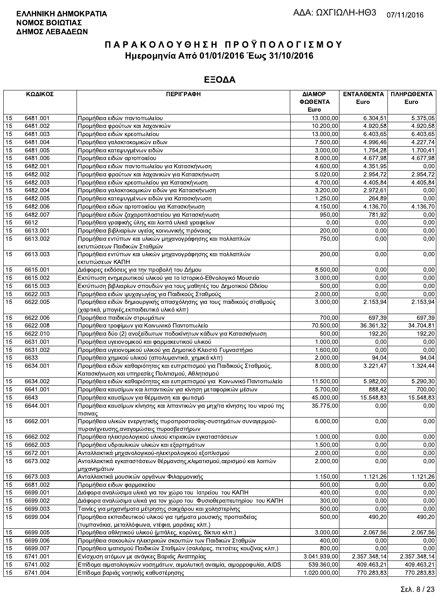|                 | ΚΩΔΙΚΟΣ  | <b>ПЕРІГРАФН</b>                                                                                                   | ΔΙΑΜΟΡ<br>ΦΩΘΕΝΤΑ<br>Euro | ΕΝΤΑΛΘΕΝΤΑ<br>Euro | ΠΛΗΡΩΘΕΝΤΑ<br>Euro |
|-----------------|----------|--------------------------------------------------------------------------------------------------------------------|---------------------------|--------------------|--------------------|
| 15              | 6481.001 | Προμήθεια ειδών παντοπωλείου                                                                                       | 13.000,00                 | 6.304,51           | 5.375,05           |
| 15              | 6481.002 | Προμήθεια φρούτων και λαχανικών                                                                                    | 10.200,00                 | 4.920,58           | 4.920,58           |
| 15              | 6481.003 | Προμήθεια ειδών κρεοπωλείου                                                                                        | 13.000,00                 | 6.403,65           | 6.403,65           |
| 15              | 6481.004 | Προμήθεια γαλακτοκομικών ειδων                                                                                     | 7.500,00                  | 4.996,46           | 4.227,74           |
| 15              | 6481.005 | Προμήθεια κατεψυγμένων ειδών                                                                                       | 3.000,00                  | 1.754,28           | 1.700,41           |
| 15              | 6481.006 | Προμήθεια ειδών αρτοποιείου                                                                                        | 8.000,00                  | 4.677,98           | 4.677,98           |
| 15              | 6482.001 | Προμήθεια ειδών παντοπωλείου για Κατασκήνωση                                                                       | 4.600,00                  | 4.351,95           | 0,00               |
| 15              | 6482.002 | Προμήθεια φρούτων και λαχανικών για Κατασκήνωση                                                                    | 5.020,00                  | 2.954,72           | 2.954,72           |
| 15              | 6482.003 | Προμήθεια ειδών κρεοπωλείου για Κατασκήνωση                                                                        | 4.700,00                  | 4.405,84           | 4.405,84           |
| 15              | 6482.004 | Προμήθεια γαλακτοκομικών ειδών για Κατασκήνωση                                                                     | 3.200,00                  | 2.972,61           | 0,00               |
| 15              | 6482.005 | Προμήθεια κατεψυγμένων ειδών για Κατασκήνωση                                                                       | 1.250,00                  | 264,89             | 0,00               |
| 15              | 6482.006 | Προμήθεια ειδών αρτοποιείου για Κατασκήνωση                                                                        | 4.150,00                  | 4.136,70           | 4.136,70           |
| 15              | 6482.007 | Προμήθεια ειδών ζαχαροπλαστείου για Κατασκήνωση                                                                    | 950,00                    | 781,92             | 0,00               |
| 15              | 6612     | Προμήθεια γραφικής ύλης και λοιπά υλικά γραφείων                                                                   | 0,00                      | 0,00               | 0,00               |
| 15              | 6613.001 | Προμήθεια βιβλιαρίων υγείας κοινωνικής πρόνοιας                                                                    | 200,00                    | 0,00               | 0,00               |
| $\overline{15}$ | 6613.002 | Προμήθεια εντύπων και υλικών μηχανογράφησης και πολλαπλών                                                          | 750,00                    | 0,00               | 0,00               |
|                 |          | εκτυπώσεων Παιδικών Σταθμών                                                                                        |                           |                    |                    |
| 15              | 6613.003 | Προμήθεια εντύπων και υλικών μηχανογράφησης και πολλαπλών<br>εκτυπώσεων ΚΑΠΗ                                       | 200,00                    | 0,00               | 0,00               |
| 15              | 6615.001 | Διάφορες εκδόσεις για την προβολή του Δήμου                                                                        | 8.500,00                  | 0,00               | 0,00               |
| 15              | 6615.002 | Εκτύπωση ενημερωτικού υλικού για το Ιστορικό-Εθνολογικό Μουσείο                                                    | 3.000,00                  | 0,00               | 0,00               |
| 15              | 6615.003 | Εκτύπωση βιβλιαρίων σπουδών για τους μαθητές του Δημοτικού Ωδείου                                                  | 500,00                    | 0,00               | 0,00               |
| 15              | 6622.003 | Προμήθεια ειδών ψυχαγωγίας για Παιδικούς Σταθμούς                                                                  | 2.000,00                  | 0,00               | 0,00               |
| 15              | 6622.005 | Προμήθεια ειδών δημιουργικής απασχόλησης για τους παιδικούς σταθμούς<br>(χαρτικά, μπογιές, εκπαιδευτικό υλικό κλπ) | 3.000,00                  | 2.153,94           | 2.153,94           |
| 15              | 6622.006 | Προμήθεια παιδικών στρωμάτων                                                                                       | 700,00                    | 697,39             | 697,39             |
| 15              | 6622.008 | Προμήθεια τροφίμων για Κοινωνικό Παντοπωλείο                                                                       | 70.500,00                 | 36.361,32          | 34.704,81          |
| 15              | 6622.010 | Προμήθεια δύο (2) ανοξείδωτων ποδοκίνητων κάδων για Κατασκήνωση                                                    | 500,00                    | 192,20             | 192,20             |
| 15              | 6631.001 | Προμήθεια υγειονομικού και φαρμακευτικού υλικού                                                                    | 1.000,00                  | 0,00               | 0,00               |
| 15              | 6631.002 | Προμήθεια υγειονομικού υλικού για Δημοτικό Κλειστό Γυμναστήριο                                                     | 1.600,00                  | 0,00               | 0,00               |
| 15              | 6633     | Προμήθεια χημικού υλικού (απολυμαντικά, χημικά κλπ)                                                                | 2.000,00                  | 94,04              | 94,04              |
| 15              | 6634.001 | Προμήθεια ειδών καθαριότητας και ευπρεπισμού για Παιδικούς Σταθμούς,                                               | 8.000,00                  | 3.221,47           | 1.324,44           |
|                 |          | Κατασκήνωση και υπηρεσίες Πολιτισμού, Αθλητισμού                                                                   |                           |                    |                    |
| 15              | 6634.002 | Προμήθεια ειδών καθαριότητας και ευπρεπισμού για Κοινωνικό Παντοπωλείο                                             | 11.500,00                 | 5.982,00           | 5.290.30           |
| 15              | 6641.001 | Προμήθεια καυσίμων και λιπαντικών για κίνηση μεταφορικών μέσων                                                     | 5.700,00                  | 888.42             | 700,00             |
| 15              | 6643     | Προμήθεια καυσίμων για θέρμανση και φωτισμό                                                                        | 45.000,00                 | 15.548,83          | 15.548,83          |
| 15              | 6644.001 | Προμήθεια καυσίμων κίνησης και λιπαντικών για μηχ/τα κίνησης του νερού της<br>πισινας                              | 35.775,00                 | 0,00               | 0,00               |
| 15              | 6662.001 | Προμήθεια υλικών ενεργητικής πυροπροστασίας-συστημάτων συναγερμού-<br>πυρανίχνευσης, αναγομώσεις πυροσβεστήρων     | 6.000,00                  | 0,00               | 0,00               |
| 15              | 6662.002 | Προμήθεια ηλεκτρολογικού υλικού κτιριακών εγκαταστάσεων                                                            | 1.000,00                  | 0,00               | 0,00               |
| 15              | 6662.003 | Προμήθεια υδραυλικών υλικών και εξαρτημάτων                                                                        | 1.500,00                  | 0,00               | 0,00               |
| 15              | 6672.001 | Ανταλλακτικά μηχανολογικού-ηλεκτρολογικού εξοπλισμού                                                               | 2.000,00                  | 0,00               | 0,00               |
| 15              | 6673.002 | Ανταλλακτικά εγκαταστάσεων θέρμανσης, κλιματισμού, αερισμού και λοιπών<br>μηχανημάτων                              | 2.000,00                  | 0,00               | 0,00               |
| 15              | 6673.003 | Ανταλλακτικά μουσικών οργάνων Φιλαρμονικής                                                                         | 1.150,00                  | 1.121,26           | 1.121,26           |
| 15              | 6681.002 | Προμήθεια ειδων φαρμακείου                                                                                         | 500,00                    | 0,00               | 0,00               |
| 15              | 6699.001 | Διάφορα αναλώσιμα υλικά για τον χώρο του Ιατρείου του ΚΑΠΗ                                                         | 400,00                    | 0,00               | 0,00               |
| 15              | 6699.002 | Διάφορα αναλώσιμα υλικά για τον χώρο του Φυσιοθεραπευτηρίου του ΚΑΠΗ                                               | 300,00                    | 0,00               | 0,00               |
| 15              | 6699.003 | Ταινίες για μηχανήματα μέτρησης σακχάρου και χοληστερίνης                                                          | 500,00                    | 0,00               | 0,00               |
| 15              | 6699.004 | Προμήθεια εκπαιδευτικού υλικού για τμήματα μουσικής προπαιδείας                                                    | 500,00                    | 490,20             | 490,20             |
|                 |          | (τυμπανάκια, μεταλλόφωνα, ντέφια, μαράκες κλπ.)                                                                    |                           |                    |                    |
| 15              | 6699.005 | Προμήθεια αθλητικού υλικού (μπάλες, κορύνες, δίκτυα κλπ.)                                                          | 3.000,00                  | 2.067,56           | 2.067,56           |
| 15              | 6699.006 | Προμήθεια σακουλών ηλεκτρικών σκουπών των Παιδικών Σταθμών                                                         | 400,00                    | 0,00               | 0,00               |
| 15              | 6699.007 | Προμήθεια ιματισμού Παιδικών Σταθμών (σαλιάρες, πετσέτες κουζίνας κλπ.)                                            | 800,00                    | 0,00               | 0,00               |
| 15              | 6741.001 | Ενίσχυση ατόμων με ανάγκες Βαριάς Αναπηρίας                                                                        | 3.041.939,00              | 2.357.348,14       | 2.357.348,14       |
| 15              | 6741.002 | Επίδομα αιματολογικών νοσημάτων, αιμολυτική αναιμία, αιμορροφυλία, AIDS                                            | 539.360,00                | 409.463,21         | 409.463,21         |
| 15              | 6741.004 | Επίδομα βαριάς νοητικής καθυστέρησης                                                                               | 1.020.000,00              | 770.283,83         | 770.283,83         |
|                 |          |                                                                                                                    |                           |                    |                    |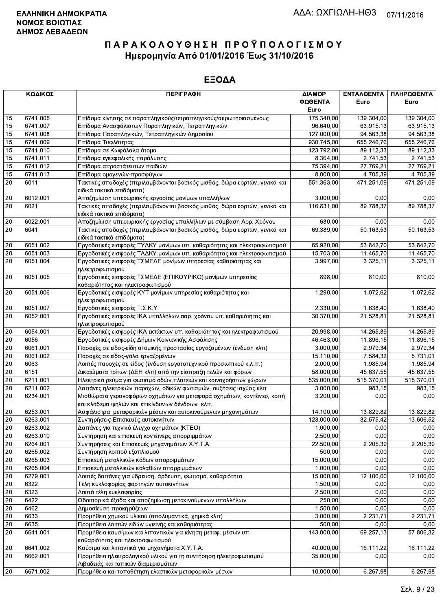|                 | ΚΩΔΙΚΟΣ  | <b>ПЕРІГРАФН</b>                                                                                                        | ΔΙΑΜΟΡ<br>ΦΩΘΕΝΤΑ | ΕΝΤΑΛΘΕΝΤΑ<br>Euro | ΠΛΗΡΩΘΕΝΤΑ<br>Euro |
|-----------------|----------|-------------------------------------------------------------------------------------------------------------------------|-------------------|--------------------|--------------------|
|                 |          |                                                                                                                         | Euro              |                    |                    |
| 15              | 6741.005 | Επίδομα κίνησης σε παραπληγικούς/τετραπληγικούς/ακρωτηριασμένους                                                        | 175.340,00        | 139.304,00         | 139.304,00         |
| 15              | 6741.007 | Επίδομα Ανασφάλιστων Παραπληγικών, Τετραπληγικών                                                                        | 96.640,00         | 63.915,13          | 63.915,13          |
| 15              | 6741.008 | Επίδομα Παραπληγικών, Τετραπληγικών Δημοσίου                                                                            | 127.000,00        | 94.563,38          | 94.563,38          |
| 15              | 6741.009 | Επίδομα Τυφλότητας                                                                                                      | 930.745,00        | 655.246,76         | 655.246,76         |
| 15              | 6741.010 | Επίδομα σε Κωφάλαλα άτομα                                                                                               | 123.792,00        | 89.112,33          | 89.112,33          |
| 15              | 6741.011 | Επίδομα εγκεφαλικής παράλυσης                                                                                           | 8.364,00          | 2.741,53           | 2.741,53           |
| 15              | 6741.012 | Επίδομα απροστάτευτων παιδιών                                                                                           | 75.394,00         | 27.769,21          | 27.769,21          |
| 15              | 6741.013 | Επίδομα ομογενών-προσφύγων                                                                                              | 8.000,00          | 4.705,39           | 4.705,39           |
| 20              | 6011     | Τακτικές αποδοχές (περιλαμβάνονται βασικός μισθός, δώρα εορτών, γενικά και<br>ειδικά τακτικά επιδόματα)                 | 551.363,00        | 471.251,09         | 471.251,09         |
| $20\,$          | 6012.001 | Αποζημίωση υπερωριακής εργασίας μονίμων υπαλλήλων                                                                       | 3.000,00          | 0,00               | 0,00               |
| 20              | 6021     | Τακτικές αποδοχές (περιλαμβάνονται βασικός μισθός, δώρα εορτών, γενικά και                                              | 116.831,00        | 89.788,37          | 89.788,37          |
|                 |          | ειδικά τακτικά επιδόματα)                                                                                               |                   |                    |                    |
| $20\,$          | 6022.001 | Αποζημίωση υπερωριακής εργασίας υπαλλήλων με σύμβαση Αορ. Χρόνου                                                        | 680,00            | 0,00               | 0,00               |
| 20              | 6041     | Τακτικές αποδοχές (περιλαμβάνονται βασικός μισθός, δώρα εορτών, γενικά και                                              | 69.389,00         | 50.163,53          | 50.163,53          |
|                 |          | ειδικά τακτικά επιδόματα)                                                                                               |                   |                    |                    |
| 20              | 6051.002 | Εργοδοτικές εισφορές ΤΥΔΚΥ μονίμων υπ. καθαριότητας και ηλεκτροφωτισμού                                                 | 65.920,00         | 53.842,70          | 53.842,70          |
| 20              | 6051.003 | Εργοδοτικές εισφορές ΤΑΔΚΥ μονίμων υπ. καθαριότητας και ηλεκτροφωτισμού                                                 | 15.703,00         | 11.465,70          | 11.465,70          |
| 20              | 6051.004 | Εργοδοτικές εισφορές ΤΣΜΕΔΕ μονίμων υπηρεσίας καθαριότητας και<br>ηλεκτροφωτισμού                                       | 3.997,00          | 3.325,11           | 3.325,11           |
| 20              | 6051.005 | Εργοδοτικές εισφορές ΤΣΜΕΔΕ (ΕΠΙΚΟΥΡΙΚΟ) μονίμων υπηρεσίας<br>καθαριότητας και ηλεκτροφωτισμού                          | 898,00            | 810,00             | 810,00             |
| 20              | 6051.006 | Εργοδοτικές εισφορές ΚΥΤ μονίμων υπηρεσίας καθαριότητας και<br>ηλεκτροφωτισμού                                          | 1.290,00          | 1.072,62           | 1.072,62           |
| 20              | 6051.007 | Εργοδοτικές εισφορές Τ.Σ.Κ.Υ                                                                                            | 2.330,00          | 1.638,40           | 1.638,40           |
| 20              | 6052.001 | Εργοδοτικές εισφορές ΙΚΑ υπαλλήλων αορ. χρόνου υπ. καθαριότητας και<br>ηλεκτροφωτισμού                                  | 30.370,00         | 21.528,81          | 21.528,81          |
| $20\,$          | 6054.001 | Εργοδοτικές εισφορές ΙΚΑ εκτάκτων υπ. καθαριότητας και ηλεκτροφωτισμού                                                  | 20.998,00         | 14.265,89          | 14.265,89          |
| 20              | 6056     | Εργοδοτικές εισφορές Δήμων Κοινωνικής Ασφάλισης                                                                         | 46.463,00         | 11.896,15          | 11.896,15          |
| $\overline{20}$ | 6061.001 | Παροχές σε είδος-είδη ατομικής προστασίας εργαζομένων (ένδυση κλπ)                                                      | 3.000,00          | 2.979.34           | 2.979,34           |
| 20              | 6061.002 | Παροχές σε είδος-γάλα εργαζομένων                                                                                       | 15.110,00         | 7.584,32           | 5.731,01           |
| 20              | 6063     | Λοιπές παροχές σε είδος (ένδυση εργατοτεχνικού προσωπικού κ.λ.π.)                                                       | 2.000,00          | 1.985,94           | 1.985,94           |
| 20              | 6151     | Δικαιώματα τρίτων (ΔΕΗ κλπ) από την είσπραξη τελών και φόρων                                                            | 58.000,00         | 45.637,55          | 45.637,55          |
| 20              | 6211.001 | Ηλεκτρικό ρεύμα για φωτισμό οδών, πλατειών και κοινοχρήστων χώρων                                                       | 535.000,00        | 515.370,01         | 515.370,01         |
| 20              | 6211.002 | Δαπάνες ηλεκτρικών παροχών, οδικών φωτισμών, αυξήσεις ισχύος κλπ                                                        | 3.000,00          | 983,15             | 983,15             |
| 20              | 6234.001 | Μισθώματα γερανοφόρων οχημάτων για μεταφορά οχημάτων, κοντέϊνερ, κοπή<br>και κλάδεμα ψηλών και επικίνδυνων δένδρων κλπ. | 3.200,00          | 0,00               | 0,00               |
| 20              | 6253.001 | Ασφάλιστρα μεταφορικών μέσων και αυτοκινούμενων μηχανημάτων                                                             | 14.100,00         | 13.829,82          | 13.829,82          |
| 20              | 6263.001 | Συντηρήσεις-Επισκευές αυτοκινήτων                                                                                       | 123.000,00        | 32.575,42          | 13.606,52          |
| 20              | 6263.002 | Δαπάνες για τεχνικό έλεγχο οχημάτων (KTEO)                                                                              | 1.000,00          | 0,00               | 0,00               |
| 20              | 6263.010 | Συντήρηση και επισκευή κοντέινερς απορριμμάτων                                                                          | 2.500,00          | 0,00               | 0,00               |
| 20              | 6264.001 | Συντηρήσεις και Επισκευές μηχανημάτων Χ.Υ.Τ.Α.                                                                          | 22.500,00         | 2.205,39           | 2.205,39           |
| 20              | 6265.002 | Συντήρηση λοιπού εξοπλισμού                                                                                             | 500,00            | 0,00               | 0,00               |
| 20              | 6265.003 | Επισκευή μεταλλικών κάδων απορριμμάτων                                                                                  | 15.000,00         | 0,00               | 0,00               |
| $20\,$          | 6265.004 | Επισκευή μεταλλικών καλαθιών απορριμμάτων                                                                               | 1.000,00          | 0,00               | 0,00               |
| 20              | 6279.001 | Λοιπές δαπάνες για ύδρευση, άρδευση, φωτισμό, καθαριότητα                                                               | 15.000,00         | 12.106,00          | 12.106,00          |
| 20              | 6322     | Τέλη κυκλοφορίας φορτηγών αυτοκινήτων                                                                                   | 1.500,00          | 0,00               | 0,00               |
| 20              | 6323     | Λοιπά τέλη κυκλοφορίας                                                                                                  | 2.500,00          | 0,00               | 0,00               |
| 20              | 6422     | Οδοιπορικά έξοδα και αποζημίωση μετακινούμενων υπαλλήλων                                                                | 250,00            | 0,00               | 0,00               |
| 20              | 6462     | Δημοσίευση προκηρύξεων                                                                                                  | 1.500,00          | 0,00               | 0,00               |
| 20              | 6633     | Προμήθεια χημικού υλικού (απολυμαντικά, χημικά κλπ)                                                                     | 3.000,00          | 2.231,71           | 2.231,71           |
| 20              | 6635     | Προμήθεια λοιπών ειδών υγιεινής και καθαριότητας                                                                        | 500,00            | 0,00               | 0,00               |
| 20              | 6641.001 | Προμήθεια καυσίμων και λιπαντικών για κίνηση μεταφ. μέσων υπ.<br>καθαριότητας και ηλεκτροφωτισμού                       | 143.000,00        | 69.257,13          | 57.806,32          |
| 20              | 6641.002 | Καύσιμα και λιπαντικά για μηχανήματα Χ.Υ.Τ.Α.                                                                           | 40.000,00         | 16.111,22          | 16.111,22          |
| 20              | 6662.001 | Προμήθεια ηλεκτρολογικού υλικού για τη συντήρηση ηλεκτροφωτισμού                                                        | 35.000,00         | 0,00               | 0,00               |
|                 |          | Λιβαδειάς και τοπικών διαμερισμάτων                                                                                     |                   |                    |                    |
| 20              | 6671.002 | Προμήθεια και τοποθέτηση ελαστικών μεταφορικών μέσων                                                                    | 10.000,00         | 6.267,98           | 6.267,98           |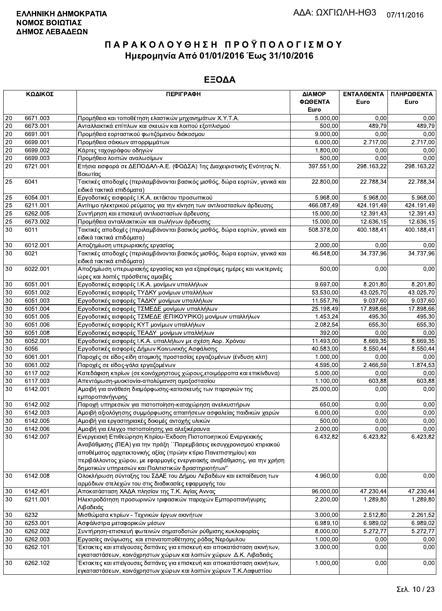|                 | ΚΩΔΙΚΟΣ  | <b>ПЕРІГРАФН</b>                                                           | ΔΙΑΜΟΡ     | ΕΝΤΑΛΘΕΝΤΑ           | ΠΛΗΡΩΘΕΝΤΑ |
|-----------------|----------|----------------------------------------------------------------------------|------------|----------------------|------------|
|                 |          |                                                                            | ΦΩΘΕΝΤΑ    | Euro                 | Euro       |
|                 |          |                                                                            | Euro       |                      |            |
| 20              | 6671.003 | Προμήθεια και τοποθέτηση ελαστικών μηχανημάτων Χ.Υ.Τ.Α.                    | 5.000,00   | 0.00                 | 0,00       |
| $20\,$          | 6673.001 | Ανταλλακτικά επίπλων και σκευών και λοιπού εξοπλισμού                      | 500,00     | 489,79               | 489,79     |
| 20              | 6691.001 | Προμήθεια εορταστικού φωτιζόμενου διάκοσμου                                | 9.000,00   | 0.00                 | 0,00       |
| $\overline{20}$ | 6699.001 | Προμήθεια σάκκων απορριμμάτων                                              | 6.000,00   | 2.717,00             | 2.717,00   |
| 20              | 6699.002 | Κάρτες ταχογράφου οδηγών                                                   | 1.800,00   | 0,00                 | 0,00       |
| $20\,$          | 6699.003 | Προμήθεια λοιπών αναλωσίμων                                                | 500,00     | 0.00                 | 0,00       |
| 20              | 6721.001 | Ετήσια εισφορά σε ΔΕΠΟΔΑΛ-Α.Ε. (ΦΟΔΣΑ) 1ης Διαχειριστικής Ενότητας Ν.      | 397.551,00 | 298.163,22           | 298.163,22 |
|                 |          | Βοιωτίας                                                                   |            |                      |            |
| 25              | 6041     | Τακτικές αποδοχές (περιλαμβάνονται βασικός μισθός, δώρα εορτών, γενικά και | 22.800,00  | 22.788,34            | 22.788,34  |
|                 |          | ειδικά τακτικά επιδόματα)                                                  |            |                      |            |
| 25              | 6054.001 | Εργοδοτικές εισφορές Ι.Κ.Α. εκτάκτου προσωπικού                            | 5.968,00   | 5.968,00             | 5.968,00   |
| 25              | 6211.001 | Αντίτιμο ηλεκτρικού ρεύματος για την κίνηση των αντλιοστασίων άρδευσης     | 466.087,49 | 424.191,49           | 424.191,49 |
| $\overline{25}$ | 6262.005 | Συντήρηση και επισκευή αντλιοστασίων άρδευσης                              | 15.000,00  | 12.391,43            | 12.391,43  |
| 25              | 6673.002 | Προμήθεια ανταλλακτικών και σωλήνων άρδευσης                               | 15.000,00  | 12.636,15            | 12.636,15  |
| 30              | 6011     | Τακτικές αποδοχές (περιλαμβάνονται βασικός μισθός, δώρα εορτών, γενικά και | 508.378,00 | 400.188,41           | 400.188,41 |
|                 |          | ειδικά τακτικά επιδόματα)                                                  |            |                      |            |
| $30\,$          | 6012.001 | Αποζημίωση υπερωριακής εργασίας                                            | 2.000,00   | 0,00                 | 0,00       |
| 30              | 6021     | Τακτικές αποδοχές (περιλαμβάνονται βασικός μισθός, δώρα εορτών, γενικά και | 46.548,00  | 34.737,96            | 34.737,96  |
|                 |          | ειδικά τακτικά επιδόματα)                                                  |            |                      |            |
| 30              | 6022.001 | Αποζημίωση υπερωριακής εργασίας και για εξαιρέσιμες ημέρες και νυκτερινές  | 500,00     | 0,00                 | 0,00       |
|                 |          | ώρες και λοιπές πρόσθετες αμοιβές                                          |            |                      |            |
| 30              | 6051.001 | Εργοδοτικές εισφορές Ι.Κ.Α. μονίμων υπαλλήλων                              | 9.697,00   | 8.201,80             | 8.201,80   |
| 30              | 6051.002 | Εργοδοτικές εισφορές ΤΥΔΚΥ μονίμων υπαλλήλων                               | 53.530,00  | 43.025,70            | 43.025,70  |
| 30              | 6051.003 | Εργοδοτικές εισφορές ΤΑΔΚΥ μονίμων υπαλλήλων                               | 11.557,76  | 9.037,60             | 9.037,60   |
| 30              | 6051.004 | Εργοδοτικές εισφορές ΤΣΜΕΔΕ μονίμων υπαλλήλων                              | 25.198,49  | 17.898,66            | 17.898,66  |
| $30\,$          | 6051.005 | Εργοδοτικές εισφορές ΤΣΜΕΔΕ (ΕΠΙΚΟΥΡΙΚΟ) μονίμων υπαλλήλων                 | 1.453,24   | 495,30               | 495,30     |
| 30              | 6051.006 | Εργοδοτικές εισφορές ΚΥΤ μονίμων υπαλλήλων                                 | 2.082,54   | 655,30               | 655,30     |
| 30              | 6051.008 | Εργοδοτικές εισφορές ΤΕΑΔΥ μονίμων υπαλλήλων                               | 392,00     | 0,00                 | 0,00       |
| 30              | 6052.001 |                                                                            | 11.493,00  |                      | 8.669,35   |
| $30\,$          | 6056     | Εργοδοτικές εισφορές Ι.Κ.Α. υπαλλήλων με σχέση Αορ. Χρόνου                 | 40.583,00  | 8.669,35<br>8.550,44 | 8.550,44   |
| 30              |          | Εργοδοτικές εισφορές Δήμων Κοινωνικής Ασφάλισης                            |            | 0.00                 |            |
|                 | 6061.001 | Παροχές σε είδος-είδη ατομικής προστασίας εργαζομένων (ένδυση κλπ)         | 1.000,00   |                      | 0,00       |
| 30              | 6061.002 | Παροχές σε είδος-γάλα εργαζομένων                                          | 4.595,00   | 2.466,59             | 1.874,53   |
| 30              | 6117.002 | Κατεδάφιση κτιρίων (σε κοινόχρηστους χώρους, ετοιμόρροπα και επικίνδυνα)   | 5.000,00   | 0,00                 | 0,00       |
| 30              | 6117.003 | Απεντόμωση-μυοκτονία-απολύμανση αμαξοστασίου                               | 1.100,00   | 603,88               | 603,88     |
| 30              | 6142.001 | Αμοιβή για ανάθεση διαμόρφωσης-κατασκευής των παραγκών της                 | 25.000,00  | 0,00                 | 0,00       |
|                 |          | εμποροπανήγυρης                                                            |            |                      |            |
| 30              | 6142.002 | Παροχή υπηρεσιών για πιστοποίηση-καταχώρηση ανελκυστήρων                   | 650,00     | 0,00                 | 0,00       |
| 30              | 6142.003 | Αμοιβή αξιολόγησης συμμόρφωσης απαιτήσεων ασφαλείας παιδικών χαρών         | 6.000,00   | 0,00                 | 0,00       |
| 30              | 6142.005 | Αμοιβή για εργαστηριακές δοκιμές αντοχής υλικών                            | 500,00     | 0,00                 | 0,00       |
| $30\,$          | 6142.006 | Αμοιβή για έλεγχο πιστοποίησης για αλεξικέραυνα                            | 2.000,00   | 0,00                 | 0,00       |
| 30              | 6142.007 | Ενεργειακή Επιθεώρηση Κτιρίου-Έκδοση Πιστοποιητικού Ενεργειακής            | 6.432,82   | 6.423,82             | 6.423,82   |
|                 |          | Αναβάθμισης (ΠΕΑ) για την πράξη ΄΄Παρεμβάσεις εκσυγχρονισμού κτιριακού     |            |                      |            |
|                 |          | αποθέματος αρχιτεκτονικής αξίας (πρώην κτίριο Πανεπιστημίου) και           |            |                      |            |
|                 |          | περιβάλλοντος χώρου, με εφαρμογές ενεργειακής αναβάθμισης, για την χρήση   |            |                      |            |
|                 |          | δημοτικών υπηρεσιών και Πολιτιστικών δραστηριοτήτων"                       |            |                      |            |
| 30              | 6142.008 | Ολοκλήρωση σύνταξης του ΣΔΑΕ του Δήμου Λεβαδέων και εκπαίδευση των         | 4.960,00   | 0,00                 | 0,00       |
|                 |          | αρμόδιων στελεχών του στις διαδικασίες εφαρμογής του                       |            |                      |            |
| 30              | 6142.401 | Αποκατάσταση ΧΑΔΑ πλησίον της Τ.Κ. Αγίας Αννας                             | 96.000,00  | 47.230,44            | 47.230,44  |
| 30              | 6211.001 | Ηλεκτροδότηση προσωρινών τριφασικών παροχών Εμποροπανήγυρης                | 2.200,00   | 1.289,80             | 1.289,80   |
|                 |          | Λιβαδειάς                                                                  |            |                      |            |
| $30\,$          | 6232     | Μισθώματα κτιρίων - Τεχνικών έργων ακινήτων                                | 3.000,00   | 2.512,80             | 2.261.52   |
| 30              | 6253.001 | Ασφάλιστρα μεταφορικών μέσων                                               | 6.989,10   | 6.989,02             | 6.989,02   |
| 30              | 6262.002 | Συντήρηση-επισκευή φωτεινών σηματοδοτών ρύθμισης κυκλοφορίας               | 8.000,00   | 5.272,77             | 5.272,77   |
| $30\,$          | 6262.003 | Εργασίες ανύψωσης και επανατοποθέτησης ρόδας Νερόμυλου                     | 1.000,00   | 0,00                 | 0,00       |
| 30              | 6262.101 | Έκτακτες και επείγουσες δαπάνες για επισκευή και αποκατάσταση ακινήτων,    | 3.000,00   | 0,00                 | 0,00       |
|                 |          | εγκαταστάσεων, κοινόχρηστων χώρων και λοιπών χώρων Δ.Κ. Λιβαδειάς          |            |                      |            |
| 30              | 6262.102 | Έκτακτες και επείγουσες δαπάνες για επισκευή και αποκατάσταση ακινήτων,    | 1.000,00   | 0,00                 | 0,00       |
|                 |          | ενκαταστάσεων, κοινόχρηστων χώρων και λοιπών χώρων Τ.Κ.Λαφυστίου           |            |                      |            |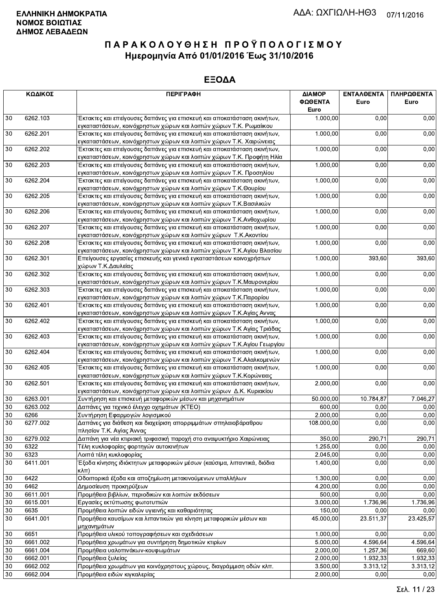|        | ΚΩΔΙΚΟΣ  | <b>ПЕРІГРАФН</b>                                                                 | ΔΙΑΜΟΡ<br>ΦΩΘΕΝΤΑ<br>Euro | <b>ENTAA@ENTA</b><br>Euro | ΠΛΗΡΩΘΕΝΤΑ<br>Euro |
|--------|----------|----------------------------------------------------------------------------------|---------------------------|---------------------------|--------------------|
| 30     | 6262.103 | Έκτακτες και επείγουσες δαπάνες για επισκευή και αποκατάσταση ακινήτων,          | 1.000,00                  | 0,00                      | 0,00               |
|        |          | εγκαταστάσεων, κοινόχρηστων χώρων και λοιπών χώρων Τ.Κ. Ρωμαίικου                |                           |                           |                    |
| 30     | 6262.201 | Έκτακτες και επείγουσες δαπάνες για επισκευή και αποκατάσταση ακινήτων,          | 1.000,00                  | 0,00                      | 0,00               |
|        |          | εγκαταστάσεων, κοινόχρηστων χώρων και λοιπών χώρων Τ.Κ. Χαιρώνειας               |                           |                           |                    |
| 30     | 6262.202 | Έκτακτες και επείγουσες δαπάνες για επισκευή και αποκατάσταση ακινήτων,          | 1.000,00                  | 0,00                      | 0,00               |
|        |          | εγκαταστάσεων, κοινόχρηστων χώρων και λοιπών χώρων Τ.Κ. Προφήτη Ηλία             |                           |                           |                    |
| 30     | 6262.203 | Έκτακτες και επείγουσες δαπάνες για επισκευή και αποκατάσταση ακινήτων,          | 1.000,00                  | 0,00                      | 0,00               |
|        |          | εγκαταστάσεων, κοινόχρηστων χώρων και λοιπών χώρων Τ.Κ. Προσηλίου                |                           |                           |                    |
| 30     | 6262.204 | Έκτακτες και επείγουσες δαπάνες για επισκευή και αποκατάσταση ακινήτων,          | 1.000,00                  | 0,00                      | 0,00               |
|        |          | εγκαταστάσεων, κοινόχρηστων χώρων και λοιπών χώρων Τ.Κ.Θουρίου                   |                           |                           |                    |
| 30     | 6262.205 | Έκτακτες και επείγουσες δαπάνες για επισκευή και αποκατάσταση ακινήτων,          | 1.000,00                  | 0,00                      | 0,00               |
|        |          | εγκαταστάσεων, κοινόχρηστων χώρων και λοιπών χώρων Τ.Κ.Βασιλικών                 |                           |                           |                    |
| 30     | 6262.206 | Έκτακτες και επείγουσες δαπάνες για επισκευή και αποκατάσταση ακινήτων,          | 1.000,00                  | 0,00                      | 0,00               |
|        |          | εγκαταστάσεων, κοινόχρηστων χώρων και λοιπών χώρων Τ.Κ.Ανθοχωρίου                |                           |                           |                    |
| 30     | 6262.207 | Έκτακτες και επείγουσες δαπάνες για επισκευή και αποκατάσταση ακινήτων,          | 1.000,00                  | 0,00                      | 0,00               |
|        |          | εγκαταστάσεων, κοινόχρηστων χώρων και λοιπών χώρων Τ.Κ. Ακοντίου                 |                           |                           |                    |
| 30     | 6262.208 | Έκτακτες και επείγουσες δαπάνες για επισκευή και αποκατάσταση ακινήτων,          | 1.000,00                  | $\overline{0,00}$         | 0,00               |
|        |          | εγκαταστάσεων, κοινόχρηστων χώρων και λοιπών χώρων Τ.Κ.Αγίου Βλασίου             |                           |                           |                    |
| 30     | 6262.301 | Επείγουσες εργασίες επισκευής και γενικά εγκαταστάσεων κοινοχρήστων              | 1.000,00                  | 393,60                    | 393,60             |
|        |          | χώρων Τ.Κ.Δαυλείας                                                               |                           |                           |                    |
| 30     | 6262.302 | Έκτακτες και επείγουσες δαπάνες για επισκευή και αποκατάσταση ακινήτων,          | 1.000,00                  | 0,00                      | 0,00               |
|        |          | εγκαταστάσεων, κοινόχρηστων χώρων και λοιπών χώρων Τ.Κ.Μαυρονερίου               |                           |                           |                    |
| 30     | 6262.303 | Έκτακτες και επείγουσες δαπάνες για επισκευή και αποκατάσταση ακινήτων,          | 1.000,00                  | 0,00                      | 0,00               |
|        |          | εγκαταστάσεων, κοινόχρηστων χώρων και λοιπών χώρων Τ.Κ.Παρορίου                  |                           |                           |                    |
| 30     | 6262.401 | Έκτακτες και επείγουσες δαπάνες για επισκευή και αποκατάσταση ακινήτων,          | 1.000,00                  | 0,00                      | 0,00               |
|        |          | εγκαταστάσεων, κοινόχρηστων χώρων και λοιπών χώρων Τ.Κ.Αγίας Αννας               |                           |                           |                    |
| 30     | 6262.402 | Έκτακτες και επείγουσες δαπάνες για επισκευή και αποκατάσταση ακινήτων,          | 1.000,00                  | 0,00                      | 0,00               |
|        |          | εγκαταστάσεων, κοινόχρηστων χώρων και λοιπών χώρων Τ.Κ Αγίας Τριάδας             |                           |                           |                    |
| $30\,$ | 6262.403 | Έκτακτες και επείγουσες δαπάνες για επισκευή και αποκατάσταση ακινήτων,          | 1.000,00                  | 0,00                      | 0,00               |
|        |          | εγκαταστάσεων, κοινόχρηστων χώρων και λοιπών χώρων Τ.Κ.Αγίου Γεωργίου            |                           |                           |                    |
| 30     | 6262.404 | Έκτακτες και επείγουσες δαπάνες για επισκευή και αποκατάσταση ακινήτων,          | 1.000,00                  | 0,00                      | 0,00               |
|        |          | εγκαταστάσεων, κοινόχρηστων χώρων και λοιπών χώρων Τ.Κ.Αλαλκομενών               |                           |                           |                    |
| 30     | 6262.405 | Έκτακτες και επείγουσες δαπάνες για επισκευή και αποκατάσταση ακινήτων,          | 1.000,00                  | 0,00                      | 0,00               |
|        |          | εγκαταστάσεων, κοινόχρηστων χώρων και λοιπών χώρων Τ.Κ.Κορώνειας                 |                           |                           |                    |
| 30     | 6262.501 | Έκτακτες και επείγουσες δαπάνες για επισκευή και αποκατάσταση ακινήτων,          | 2.000,00                  | 0,00                      | 0,00               |
|        |          | εγκαταστάσεων, κοινόχρηστων χώρων και λοιπών χώρων Δ.Κ. Κυριακίου                | 50.000.00                 |                           |                    |
| 30     | 6263.001 | Συντήρηση και επισκευή μεταφορικών μέσων και μηχανημάτων                         |                           | 10.784,87                 | 7.046,27           |
| 30     | 6263.002 | Δαπάνες για τεχνικό έλεγχο οχημάτων (ΚΤΕΟ)                                       | 600,00                    | 0,00                      | 0,00               |
| 30     | 6266     | Συντήρηση Εφαρμογών λογισμικού                                                   | 2.000,00                  | 0,00                      | 0,00               |
| 30     | 6277.002 | Δαπάνες για διάθεση και διαχείριση απορριμμάτων σπηλαιοβάραθρου                  | 108.000,00                | 0,00                      | 0,00               |
|        |          | πλησίον Τ.Κ. Αγίας Άννας                                                         |                           |                           |                    |
| 30     | 6279.002 | Δαπάνη για νέα κτιριακή τριφασική παροχή στο αναψυκτήριο Χαιρώνειας              | 350,00                    | 290,71                    | 290,71             |
| 30     | 6322     | Τέλη κυκλοφορίας φορτηγών αυτοκινήτων                                            | 1.255,00                  | 0,00                      | 0,00               |
| 30     | 6323     | Λοιπά τέλη κυκλοφορίας                                                           | 2.045,00                  | 0,00                      | 0,00               |
| 30     | 6411.001 | Έξοδα κίνησης ιδιόκτητων μεταφορικών μέσων (καύσιμα, λιπαντικά, διόδια           | 1.400,00                  | 0,00                      | 0,00               |
|        |          | $\kappa\lambda\pi$ )<br>Οδοιπορικά έξοδα και αποζημίωση μετακινούμενων υπαλλήλων |                           |                           |                    |
| 30     | 6422     |                                                                                  | 1.300,00                  | 0,00                      | 0,00               |
| 30     | 6462     | Δημοσίευση προκηρύξεων                                                           | 4.200,00                  | 0,00                      | 0,00               |
| $30\,$ | 6611.001 | Προμήθεια βιβλίων, περιοδικών και λοιπών εκδόσεων                                | 500,00                    | 0,00                      | 0,00               |
| 30     | 6615.001 | Εργασίες εκτύπωσης φωτοτυπιών                                                    | 3.000,00                  | 1.736,96                  | 1.736,96           |
| 30     | 6635     | Προμήθεια λοιπών ειδών υγιεινής και καθαριότητας                                 | 150,00                    | 0,00                      | 0,00               |
| $30\,$ | 6641.001 | Προμήθεια καυσίμων και λιπαντικών για κίνηση μεταφορικών μέσων και               | 45.000,00                 | 23.511,37                 | 23.425,57          |
|        |          | μηχανημάτων                                                                      |                           |                           |                    |
| 30     | 6651     | Προμήθεια υλικού τοπογραφήσεων και σχεδιάσεων                                    | 1.000,00                  | 0,00                      | 0,00               |
| 30     | 6661.002 | Προμήθεια χρωμάτων για συντήρηση δημοτικών κτιρίων                               | 5.000,00                  | 4.596,64                  | 4.596,64           |
| 30     | 6661.004 | Προμήθεια υαλοπινάκων-κουφωμάτων                                                 | 2.000,00                  | 1.257,36                  | 669,60             |
| 30     | 6662.001 | Προμήθεια ξυλείας                                                                | 2.000,00                  | 1.932,33                  | 1.932,33           |
| 30     | 6662.002 | Προμήθεια χρωμάτων για κοινόχρηστους χώρους, διαγράμμιση οδών κλπ.               | 3.500,00                  | 3.313,12                  | 3.313,12           |
| 30     | 6662.004 | Προμήθεια ειδών κιγκαλερίας                                                      | 2.000,00                  | 0,00                      | 0,00               |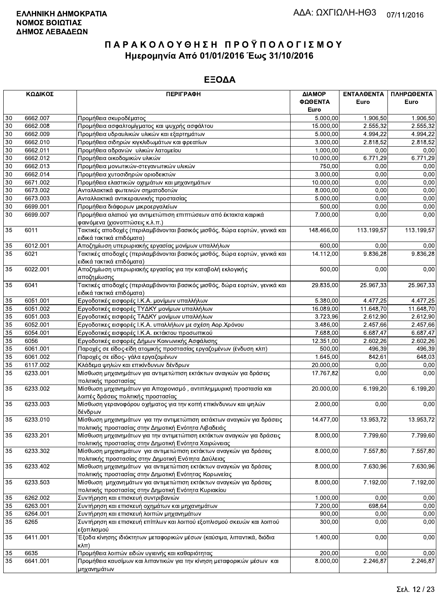|        | ΚΩΔΙΚΟΣ  | <b>ПЕРІГРАФН</b>                                                                                                               | ΔΙΑΜΟΡ<br>ΦΩΘΕΝΤΑ | <b>ENTAΛΘΕΝΤΑ</b><br>Euro | ΠΛΗΡΩΘΕΝΤΑ<br>Euro |
|--------|----------|--------------------------------------------------------------------------------------------------------------------------------|-------------------|---------------------------|--------------------|
|        |          |                                                                                                                                | Euro              |                           |                    |
| 30     | 6662.007 | Προμήθεια σκυροδέματος                                                                                                         | 5.000,00          | 1.906,50                  | 1.906,50           |
| 30     | 6662.008 | Προμήθεια ασφαλτομίγματος και ψυχρής ασφάλτου                                                                                  | 15.000,00         | 2.555.32                  | 2.555,32           |
| 30     | 6662.009 | Προμήθεια υδραυλικών υλικών και εξαρτημάτων                                                                                    | 5.000,00          | 4.994,22                  | 4.994,22           |
| 30     | 6662.010 | Προμήθεια σιδηρών κιγκλιδωμάτων και φρεατίων                                                                                   | 3.000,00          | 2.818,52                  | 2.818,52           |
| 30     | 6662.011 | Προμήθεια αδρανών υλικών λατομείου                                                                                             | 1.000,00          | 0,00                      | 0,00               |
| $30\,$ | 6662.012 | Προμήθεια οικοδομικών υλικών                                                                                                   | 10.000,00         | 6.771,29                  | 6.771,29           |
| 30     | 6662.013 | Προμήθεια μονωτικών-στεγανωτικών υλικών                                                                                        | 750,00            | 0,00                      | 0,00               |
| 30     | 6662.014 | Προμήθεια χυτοσιδηρών οριοδεικτών                                                                                              | 3.000,00          | 0,00                      | 0,00               |
| 30     | 6671.002 | Προμήθεια ελαστικών οχημάτων και μηχανημάτων                                                                                   | 10.000,00         | 0,00                      | 0,00               |
| 30     | 6673.002 | Ανταλλακτικά φωτεινών σηματοδοτών                                                                                              | 8.000,00          | 0,00                      | 0,00               |
| $30\,$ | 6673.003 | Ανταλλακτικά αντικεραυνικής προστασίας                                                                                         | 5.000,00          | 0,00                      | 0,00               |
| 30     | 6699.001 | Προμήθεια διάφορων μικροεργαλείων                                                                                              | 500,00            | 0,00                      | 0,00               |
| 30     | 6699.007 | Προμήθεια αλατιού για αντιμετώπιση επιπτώσεων από έκτακτα καιρικά<br>φαινόμενα (χιονοπτώσεις κ.λ.π.)                           | 7.000,00          | 0,00                      | 0,00               |
| 35     | 6011     | Τακτικές αποδοχές (περιλαμβάνονται βασικός μισθός, δώρα εορτών, γενικά και<br>ειδικά τακτικά επιδόματα)                        | 148.466,00        | 113.199,57                | 113.199,57         |
| 35     | 6012.001 | Αποζημίωση υπερωριακής εργασίας μονίμων υπαλλήλων                                                                              | 600,00            | 0,00                      | 0,00               |
| 35     | 6021     | Τακτικές αποδοχές (περιλαμβάνονται βασικός μισθός, δώρα εορτών, γενικά και<br>ειδικά τακτικά επιδόματα)                        | 14.112,00         | 9.836,28                  | 9.836,28           |
| 35     | 6022.001 | Αποζημίωση υπερωριακής εργασίας για την καταβολή εκλογικής<br>αποζημίωσης                                                      | 500,00            | 0,00                      | 0,00               |
| 35     | 6041     | Τακτικές αποδοχές (περιλαμβάνονται βασικός μισθός, δώρα εορτών, γενικά και<br>ειδικά τακτικά επιδόματα)                        | 29.835,00         | 25.967,33                 | 25.967,33          |
| 35     | 6051.001 | Εργοδοτικές εισφορές Ι.Κ.Α. μονίμων υπαλλήλων                                                                                  | 5.380,00          | 4.477,25                  | 4.477,25           |
| 35     | 6051.002 | Εργοδοτικές εισφορές ΤΥΔΚΥ μονίμων υπαλλήλων                                                                                   | 16.089,00         | 11.648,70                 | 11.648,70          |
| 35     | 6051.003 | Εργοδοτικές εισφορές ΤΑΔΚΥ μονίμων υπαλλήλων                                                                                   | 3.723,96          | 2.612,90                  | 2.612,90           |
| 35     | 6052.001 | Εργοδοτικες εισφορές Ι.Κ.Α. υπαλλήλων με σχέση Αορ.Χρόνου                                                                      | 3.486,00          | 2.457,66                  | 2.457,66           |
| 35     | 6054.001 | Εργοδοτικές εισφορές Ι.Κ.Α. εκτάκτου προσωπικού                                                                                | 7.688,00          | 6.687,47                  | 6.687,47           |
| 35     | 6056     | Εργοδοτικές εισφορές Δήμων Κοινωνικής Ασφάλισης                                                                                | 12.351,00         | 2.602,26                  | 2.602,26           |
| 35     | 6061.001 | Παροχές σε είδος-είδη ατομικής προστασίας εργαζομένων (ένδυση κλπ)                                                             | 500,00            | 496,39                    | 496,39             |
| 35     | 6061.002 | Παροχές σε είδος- γάλα εργαζομένων                                                                                             | 1.645,00          | 842,61                    | 648,03             |
| 35     | 6117.002 | Κλάδεμα ψηλών και επικίνδυνων δένδρων                                                                                          | 20.000,00         | 0,00                      | 0,00               |
| 35     | 6233.001 | Μίσθωση μηχανημάτων για αντιμετώπιση εκτάκτων αναγκών για δράσεις                                                              | 17.767,82         | 0,00                      | 0,00               |
|        |          | πολιτικής προστασίας                                                                                                           |                   |                           |                    |
| 35     | 6233.002 | Μίσθωση μηχανημάτων για Αποχιονισμό, αντιπλημμυρική προστασία και<br>λοιπές δράσεις πολιτικής προστασίας                       | 20.000,00         | 6.199,20                  | 6.199,20           |
| 35     | 6233.003 | Μίσθωση γερανοφόρου οχήματος για την κοπή επικίνδυνων και ψηλών<br>δένδρων                                                     | 2.000,00          | 0,00                      | 0,00               |
| 35     | 6233.010 | Μίσθωση μηχανημάτων για την αντιμετώπιση εκτάκτων αναγκών για δράσεις<br>πολιτικής προστασίας στην Δημοτική Ενότητα Λιβαδειάς  | 14.477,00         | 13.953,72                 | 13.953,72          |
| 35     | 6233.201 | Μίσθωση μηχανημάτων για την αντιμετώπιση εκτάκτων αναγκών για δράσεις<br>πολιτικής προστασίας στην Δημοτική Ενότητα Χαιρώνειας | 8.000,00          | 7.799,60                  | 7.799,60           |
| 35     | 6233.302 | Μίσθωση μηχανημάτων για αντιμετώπιση εκτάκτων αναγκών για δράσεις<br>πολιτιικής προστασίας στην Δημοτική Ενότητα Δαύλειας      | 8.000,00          | 7.557,80                  | 7.557,80           |
| 35     | 6233.402 | Μίσθωση μηχανημάτων για αντιμετώπιση εκτάκτων αναγκών για δράσεις<br>πολιτικής προστασίας στην Δημοτική Ενότητας Κορωνείας     | 8.000,00          | 7.630,96                  | 7.630,96           |
| 35     | 6233.503 | Μίσθωση μηχανημάτων για αντιμετώπιση εκτάκτων αναγκών για δράσεις<br>πολιτικής προστασίας στην Δημοτική Ενότητα Κυριακίου      | 8.000,00          | 7.192,00                  | 7.192,00           |
| 35     | 6262.002 | Συντήρηση και επισκευή συντριβανιών                                                                                            | 1.000,00          | 0,00                      | 0,00               |
| 35     | 6263.001 | Συντήρηση και επισκευή οχημάτων και μηχανημάτων                                                                                | 7.200,00          | 698.64                    | 0,00               |
| 35     | 6264.001 | Συντήρηση και επισκευή λοιπών μηχανημάτων                                                                                      | 900,00            | 0,00                      | 0,00               |
| 35     | 6265     | Συντήρηση και επισκευή επίπλων και λοιπού εξοπλισμού σκευών και λοιπού<br>εξοπλισμού                                           | 300,00            | 0,00                      | 0,00               |
| 35     | 6411.001 | Έξοδα κίνησης ιδιόκτητων μεταφορικών μέσων (καύσιμα, λιπαντικά, διόδια<br>кλπ)                                                 | 1.400,00          | 0,00                      | 0,00               |
| 35     | 6635     | Προμήθεια λοιπών ειδών υγιεινής και καθαριότητας                                                                               | 200,00            | 0,00                      | 0,00               |
| 35     | 6641.001 | Προμήθεια καυσίμων και λιπαντικών για την κίνηση μεταφορικών μέσων και<br>μηχανημάτων                                          | 8.000,00          | 2.246,87                  | 2.246,87           |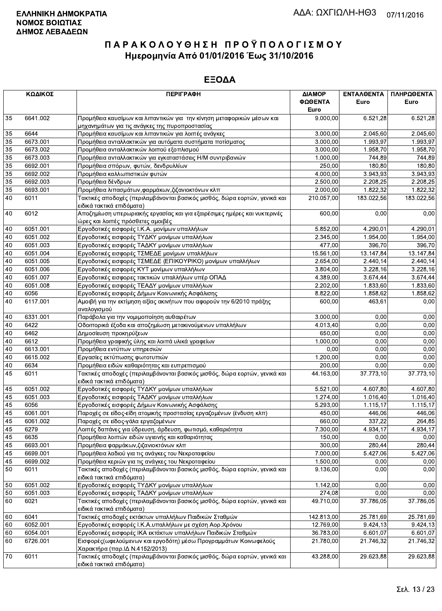|    | ΚΩΔΙΚΟΣ  | <b>ПЕРІГРАФН</b>                                                                                               | ΔΙΑΜΟΡ<br>ΦΩΘΕΝΤΑ<br>Euro | ΕΝΤΑΛΘΕΝΤΑ<br>Euro     | ΠΛΗΡΩΘΕΝΤΑ<br>Euro |
|----|----------|----------------------------------------------------------------------------------------------------------------|---------------------------|------------------------|--------------------|
| 35 | 6641.002 | Προμήθεια καυσίμων και λιπαντικών για την κίνηση μεταφορικών μέσων και                                         | 9.000,00                  | 6.521,28               | 6.521,28           |
|    |          | μηχανημάτων για τις ανάγκες της πυροπροστασίας                                                                 |                           |                        |                    |
| 35 | 6644     | Προμήθεια καυσίμων και λιπαντικών για λοιπές ανάγκες                                                           | 3.000,00                  | 2.045,60               | 2.045,60           |
| 35 | 6673.001 | Προμήθεια ανταλλακτικών για αυτόματα συστήματα ποτίσματος                                                      | 3.000,00                  | 1.993,97               | 1.993,97           |
| 35 | 6673.002 | Προμήθεια ανταλλακτικών λοιπού εξοπλισμού                                                                      | 3.000,00                  | 1.958,70               | 1.958,70           |
| 35 | 6673.003 | Προμήθεια ανταλλακτικών για εγκαταστάσεις Η/Μ συντριβανιών                                                     | 1.000,00                  | 744,89                 | 744,89             |
| 35 | 6692.001 | Προμήθεια σπόρων, φυτών, δενδρυλλίων                                                                           | 250,00                    | 180,80                 | 180,80             |
| 35 | 6692.002 | Προμήθεια καλλωπιστικών φυτών                                                                                  | 4.000,00                  | 3.943,93               | 3.943,93           |
| 35 | 6692.003 | Προμήθεια δένδρων                                                                                              | 2.500,00                  | 2.208,25               | 2.208,25           |
| 35 | 6693.001 | Προμήθεια λιπασμάτων, φαρμάκων, ζιζανιοκτόνων κλπ                                                              | 2.000,00                  | 1.822,32               | 1.822,32           |
| 40 | 6011     | Τακτικές αποδοχές (περιλαμβάνονται βασικός μισθός, δώρα εορτών, γενικά και<br>ειδικά τακτικά επιδόματα)        | 210.057,00                | 183.022.56             | 183.022,56         |
| 40 | 6012     | Αποζημίωση υπερωριακής εργασίας και για εξαιρέσιμες ημέρες και νυκτερινές<br>ώρες και λοιπές πρόσθετες αμοιβές | 600,00                    | 0,00                   | 0,00               |
| 40 | 6051.001 | Εργοδοτικές εισφορές Ι.Κ.Α. μονίμων υπαλλήλων                                                                  | 5.852,00                  | 4.290.01               | 4.290,01           |
| 40 | 6051.002 | Εργοδοτικές εισφορές ΤΥΔΚΥ μονίμων υπαλλήλων                                                                   | 2.345,00                  | 1.954,00               | 1.954,00           |
| 40 | 6051.003 | Εργοδοτικές εισφορές ΤΑΔΚΥ μονίμων υπαλλήλων                                                                   | 477,00                    | 396,70                 | 396,70             |
| 40 | 6051.004 | Εργοδοτικές εισφορές ΤΣΜΕΔΕ μονίμων υπαλλήλων                                                                  | 15.561,00                 | 13.147,84              | 13.147,84          |
| 40 | 6051.005 | Εργοδοτικές εισφορές ΤΣΜΕΔΕ (ΕΠΙΚΟΥΡΙΚΟ) μονίμων υπαλλήλων                                                     | 2.654,00                  | 2.440,14               | 2.440,14           |
| 40 | 6051.006 | Εργοδοτικές εισφορές ΚΥΤ μονίμων υπαλλήλων                                                                     | 3.804,00                  | 3.228,16               | 3.228,16           |
| 40 | 6051.007 | Εργοδοτικές εισφορες τακτικών υπαλλήλων υπέρ ΟΠΑΔ                                                              | 4.389,00                  | 3.674,44               | 3.674,44           |
| 40 | 6051.008 | Εργοδοτικές εισφορές ΤΕΑΔΥ μονίμων υπαλλήλων                                                                   | 2.202,00                  | 1.833,60               | 1.833,60           |
| 40 | 6056     | Εργοδοτικές εισφορές Δήμων Κοινωνικής Ασφάλισης                                                                | 8.822,00                  | 1.858,62               | 1.858,62           |
| 40 | 6117.001 | Αμοιβή για την εκτίμηση αξίας ακινήτων που αφορούν την 6/2010 πράξης<br>αναλογισμού                            | 600,00                    | 463,61                 | 0,00               |
| 40 | 6331.001 | Παράβολα για την νομιμοποίηση αυθαιρέτων                                                                       | 3.000,00                  | 0,00                   | 0,00               |
| 40 | 6422     | Οδοιπορικά έξοδα και αποζημίωση μετακινούμενων υπαλλήλων                                                       | 4.013,40                  | 0.00                   | 0,00               |
| 40 | 6462     | Δημοσίευση προκηρύξεων                                                                                         | 650,00                    | 0,00                   | 0,00               |
| 40 | 6612     | Προμήθεια γραφικής ύλης και λοιπά υλικά γραφείων                                                               | 1.000,00                  | 0,00                   | 0,00               |
| 40 | 6613.001 | Προμήθεια εντύπων υπηρεσιών                                                                                    | 0,00                      | 0.00                   | 0,00               |
| 40 | 6615.002 | Εργασίες εκτύπωσης φωτοτυπιών                                                                                  | 1.200,00                  | 0,00                   | 0,00               |
| 40 | 6634     | Προμήθεια ειδών καθαριότητας και ευπρεπισμού                                                                   | 200,00                    | 0,00                   | 0,00               |
| 45 | 6011     | Τακτικές αποδοχές (περιλαμβάνονται βασικός μισθός, δώρα εορτών, γενικά και<br>ειδικά τακτικά επιδόματα)        | 44.163,00                 | 37.773,10              | 37.773,10          |
| 45 | 6051.002 | Εργοδοτικές εισφορές ΤΥΔΚΥ μονίμων υπαλλήλων                                                                   | 5.521,00                  | 4.607,80               | 4.607,80           |
| 45 | 6051.003 | Εργοδοτικές εισφορές ΤΑΔΚΥ μονίμων υπαλλήλων                                                                   | 1.274,00                  | 1.016,40               | 1.016,40           |
| 45 | 6056     | Εργοδοτικές εισφορές Δήμων Κοινωνικής Ασφάλισης                                                                | 5.293,00                  | 1.115.17               | 1.115,17           |
| 45 | 6061.001 | Παροχές σε είδος-είδη ατομικής προστασίας εργαζομένων (ένδυση κλπ)                                             | 450,00                    | 446.06                 | 446.06             |
| 45 | 6061.002 | Παροχές σε είδος-γάλα εργαζομένων                                                                              | 660,00                    | 337,22                 | 264,85             |
| 45 | 6279     | Λοιπές δαπάνες για ύδρευση, άρδευση, φωτισμό, καθαριότητα                                                      | 7.300,00                  | 4.934,17               | 4.934,17           |
| 45 | 6635     | Προμήθεια λοιπών ειδών υγιεινής και καθαριότητας                                                               | 150,00                    | 0,00                   | 0,00               |
| 45 | 6693.001 | Προμήθεια φαρμάκων, ζιζανιοκτόνων κλπ                                                                          | 300,00                    | 280,44                 | 280,44             |
| 45 | 6699.001 | Προμήθεια λαδιού για τις ανάγκες του Νεκροταφείου                                                              | 7.000,00                  | 5.427,06               | 5.427,06           |
| 45 | 6699.002 | Προμήθεια κεριών για τις ανάγκες του Νεκροταφείου                                                              | 1.500,00                  | 0,00                   | 0,00               |
| 50 | 6011     | Τακτικές αποδοχές (περιλαμβάνονται βασικός μισθός, δώρα εορτών, γενικά και<br>ειδικά τακτικά επιδόματα)        | 9.136,00                  | 0,00                   | 0,00               |
| 50 | 6051.002 | Εργοδοτικές εισφορές ΤΥΔΚΥ μονίμων υπαλλήλων                                                                   | 1.142,00                  | 0,00                   | 0,00               |
| 50 | 6051.003 | Εργοδοτικές εισφορές ΤΑΔΚΥ μονίμων υπαλλήλων                                                                   | 274,08                    | 0,00                   | 0,00               |
| 60 | 6021     | Τακτικές αποδοχές (περιλαμβάνονται βασικός μισθός, δώρα εορτών, γενικά και<br>ειδικά τακτικά επιδόματα)        | 49.710,00                 | 37.786,05              | 37.786,05          |
| 60 | 6041     | Τακτικές αποδοχές εκτάκτων υπαλλήλων Παιδικών Σταθμών                                                          | 142.813,00                | 25.781,69              | 25.781,69          |
| 60 | 6052.001 | Εργοδοτικές εισφορές Ι.Κ.Α.υπαλλήλων με σχέση Αορ.Χρόνου                                                       | 12.769,00                 | $\overline{9.424, 13}$ | 9.424,13           |
| 60 | 6054.001 | Εργοδοτικές εισφορές ΙΚΑ εκτάκτων υπαλλήλων Παιδικών Σταθμών                                                   | 36.783,00                 | 6.601,07               | 6.601,07           |
| 60 | 6726.001 | Εισφορές (ωφελούμενων και εργοδότη) μέσω Προγραμμάτων Κοινωφελούς<br>Χαρακτήρα (παρ.ΙΔ Ν.4152/2013)            | 21.780,00                 | 21.746,32              | 21.746,32          |
| 70 | 6011     | Τακτικές αποδοχές (περιλαμβάνονται βασικός μισθός, δώρα εορτών, γενικά και<br>ειδικά τακτικά επιδόματα)        | 43.288,00                 | 29.623,88              | 29.623,88          |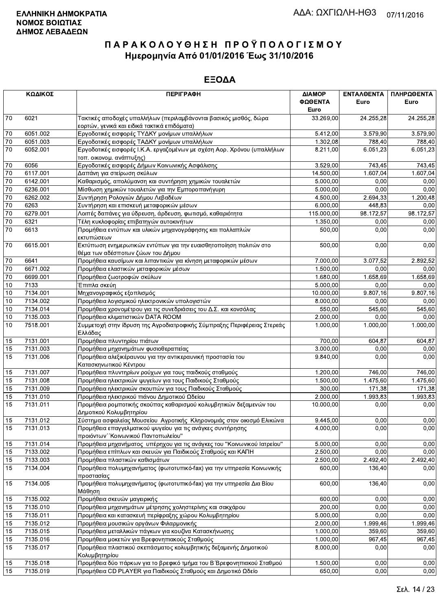|                 | ΚΩΔΙΚΟΣ  | <b>ПЕРІГРАФН</b>                                                                                                | ΔΙΑΜΟΡ<br>ΦΩΘΕΝΤΑ<br>Euro | ΕΝΤΑΛΘΕΝΤΑ<br>Euro | ΠΛΗΡΩΘΕΝΤΑ<br>Euro |
|-----------------|----------|-----------------------------------------------------------------------------------------------------------------|---------------------------|--------------------|--------------------|
| 70              | 6021     | Τακτικές αποδοχές υπαλλήλων (περιλαμβάνονται βασικός μισθός, δώρα                                               | 33.269,00                 | 24.255,28          | 24.255,28          |
|                 |          | εορτών, γενικά και ειδικά τακτικά επιδόματα)                                                                    |                           |                    |                    |
| 70              | 6051.002 | Εργοδοτικές εισφορές ΤΥΔΚΥ μονίμων υπαλλήλων                                                                    | 5.412,00                  | 3.579,90           | 3.579,90           |
| 70              | 6051.003 | Εργοδοτικές εισφορές ΤΑΔΚΥ μονίμων υπαλλήλων                                                                    | 1.302,08                  | 788,40             | 788,40             |
| 70              | 6052.001 | Εργοδοτικές εισφορές Ι.Κ.Α. εργαζομένων με σχέση Αορ. Χρόνου (υπαλλήλων<br>τοπ. οικονομ. ανάπτυξης)             | 8.211,00                  | 6.051,23           | 6.051,23           |
| $70\,$          | 6056     | Εργοδοτικές εισφορές Δήμων Κοινωνικής Ασφάλισης                                                                 | 3.529,00                  | 743,45             | 743,45             |
| $\overline{70}$ | 6117.001 | Δαπάνη για στείρωση σκύλων                                                                                      | 14.500,00                 | 1.607,04           | 1.607,04           |
| 70              | 6142.001 | Καθαρισμός, απολύμανση και συντήρηση χημικών τουαλετών                                                          | 5.000,00                  | 0,00               | 0,00               |
| $70\,$          | 6236.001 | Μίσθωση χημικών τουαλετών για την Εμποροπανήγυρη                                                                | 5.000,00                  | 0,00               | 0,00               |
| $70\,$          | 6262.002 | Συντήρηση Ρολογιών Δήμου Λεβαδέων                                                                               | 4.500,00                  | 2.694,33           | 1.200,48           |
| $\overline{70}$ | 6263     | Συντήρηση και επισκευή μεταφορικών μέσων                                                                        | 6.000,00                  | 448,83             | 0,00               |
| $\overline{70}$ | 6279.001 | Λοιπές δαπάνες για ύδρευση, άρδευση, φωτισμό, καθαριότητα                                                       | 115.000,00                | 98.172,57          | 98.172,57          |
| 70              | 6321     | Τέλη κυκλοφορίας επιβατηγών αυτοκινήτων                                                                         | 1.350,00                  | 0,00               | 0,00               |
| $\overline{70}$ | 6613     | Προμήθεια εντύπων και υλικών μηχανογράφησης και πολλαπλών<br>εκτυπώσεων                                         | 500,00                    | 0,00               | 0,00               |
| 70              | 6615.001 | Εκτύπωση ενημερωτικών εντύπων για την ευαισθητοποίηση πολιτών στο<br>θέμα των αδέσποτων ζώων του Δήμου          | 500,00                    | 0,00               | 0,00               |
| 70              | 6641     | Προμήθεια καυσίμων και λιπαντικών για κίνηση μεταφορικών μέσων                                                  | 7.000,00                  | 3.077,52           | 2.892,52           |
| 70              | 6671.002 | Προμήθεια ελαστικών μεταφορικών μέσων                                                                           | 1.500,00                  | 0,00               | 0,00               |
| $70\,$          | 6699.001 | Προμήθεια ζωοτροφών σκύλων                                                                                      | 1.680,00                  | 1.658,69           | 1.658,69           |
| $10$            | 7133     | Έπιπλα σκεύη                                                                                                    | 5.000,00                  | 0.00               | 0,00               |
| 10              | 7134.001 | Μηχανογραφικός εξοπλισμός                                                                                       | 10.000,00                 | 9.807,16           | 9.807,16           |
| 10              | 7134.002 | Προμήθεια λογισμικού ηλεκτρονικών υπολογιστών                                                                   | 8.000,00                  | 0,00               | 0,00               |
| 10              | 7134.014 | Προμήθεια χρονομέτρου για τις συνεδριάσεις του Δ.Σ. και κονσόλας                                                | 550,00                    | 545,60             | 545,60             |
| 10              | 7135.003 | Προμήθεια κλιματιστικών DATA ROOM                                                                               | 2.000,00                  | 0,00               | 0,00               |
| 10              | 7518.001 | Συμμετοχή στην ίδρυση της Αγροδιατροφικής Σύμπραξης Περιφέρειας Στερεάς<br>Ελλάδας                              | 1.000,00                  | 1.000,00           | 1.000,00           |
| 15              | 7131.001 | Προμήθεια πλυντηρίου πιάτων                                                                                     | 700,00                    | 604.87             | 604,87             |
| 15              | 7131.003 | Προμήθεια μηχανημάτων φυσιοθεραπείας                                                                            | 3.000,00                  | 0,00               | 0,00               |
| 15              | 7131.006 | Προμήθεια αλεξικέραυνου για την αντικεραυνική προστασία του<br>Κατασκηνωτικού Κέντρου                           | 9.840,00                  | 0.00               | 0,00               |
| 15              | 7131.007 | Προμήθεια πλυντηρίων ρούχων για τους παιδκούς σταθμούς                                                          | 1.200,00                  | 746,00             | 746,00             |
| 15              | 7131.008 | Προμήθεια ηλεκτρικών ψυγείων για τους Παιδικούς Σταθμούς                                                        | 1.500,00                  | 1.475,60           | 1.475,60           |
| 15              | 7131.009 | Προμήθεια ηλεκτρικών σκουπών για τους Παιδικούς Σταθμούς                                                        | 300,00                    | 171,38             | 171,38             |
| 15              | 7131.010 | Προμήθεια ηλεκτρικού πιάνου Δημοτικού Ωδείου                                                                    | 2.000,00                  | 1.993,83           | 1.993,83           |
| 15              | 7131.011 | Προμήθεια ρομποτικής σκούπας καθαρισμού κολυμβητικών δεξαμενών του                                              | 10.000,00                 | 0,00               | 0,00               |
| 15              | 7131.012 | Δημοτικού Κολυμβητηρίου<br>Σύστημα ασφαλείας Μουσείου Αγροτικής Κληρονομιάς στον οικισμό Ελικώνα                | 9.445,00                  | 0,00               | 0,00               |
| 15              | 7131.013 | Προμήθεια επαγγελματικού ψυγείου για τις ανάγκες συντήρησης                                                     | 4.000,00                  | 0,00               | 0,00               |
|                 | 7131.014 | προιόντων "Κοινωνικού Παντοπωλείου"<br>Προμήθεια μηχανήματος υπέρηχου για τις ανάγκες του "Κοινωνικού Ιατρείου" | 5.000,00                  | 0,00               | 0,00               |
| 15<br>15        | 7133.002 | Προμήθεια επίπλων και σκευών για Παιδικούς Σταθμούς και ΚΑΠΗ                                                    | 2.500,00                  | 0,00               | 0,00               |
| 15              | 7133.003 | Προμήθεια πλαστικών καθισμάτων                                                                                  | 2.500,00                  | 2.492,40           | 2.492,40           |
| 15              | 7134.004 | Προμήθεια πολυμηχανήματος (φωτοτυπικό-fax) για την υπηρεσία Κοινωνικής                                          | 600,00                    | 136,40             | 0,00               |
|                 |          | προστασίας                                                                                                      |                           |                    |                    |
| 15              | 7134.005 | Προμήθεια πολυμηχανήματος (φωτοτυπικό-fax) για την υπηρεσία Δια Βίου<br>Μάθηση                                  | 600,00                    | 136,40             | 0,00               |
| 15              | 7135.002 | Προμήθεια σκευών μαγειρικής                                                                                     | 600,00                    | 0,00               | 0,00               |
| 15              | 7135.010 | Προμήθεια μηχανημάτων μέτρησης χοληστερίνης και σακχάρου                                                        | 200,00                    | 0,00               | 0,00               |
| 15              | 7135.011 | Προμήθεια και κατασκευή περίφραξης χώρου Κολυμβητηρίου                                                          | 5.000,00                  | 0,00               | 0,00               |
| 15              | 7135.012 | Προμήθεια μουσικών οργάνων Φιλαρμονικής                                                                         | 2.000,00                  | 1.999,46           | 1.999,46           |
| 15              | 7135.015 | Προμήθεια μεταλλικών πάγκων για κουζίνα Κατασκήνωσης                                                            | 1.000,00                  | 359,60             | 359,60             |
| 15              | 7135.016 | Προμήθεια μοκετών για Βρεφονηπιακούς Σταθμούς                                                                   | 1.000,00                  | 967,45             | 967,45             |
| 15              | 7135.017 | Προμήθεια πλαστικού σκεπάσματος κολυμβητικής δεξαμενής Δημοτικού<br>Κολυμβητηρίου                               | 8.000,00                  | 0,00               | 0,00               |
| 15              | 7135.018 | Προμήθεια δύο πάρκων για το βρεφικό τμήμα του Β΄ Βρεφονηπιακού Σταθμού                                          | 1.500,00                  | 0,00               | 0,00               |
| 15              | 7135.019 | Προμήθεια CD PLAYER για Παιδικούς Σταθμούς και Δημοτικό Ωδείο                                                   | 650,00                    | 0,00               | 0,00               |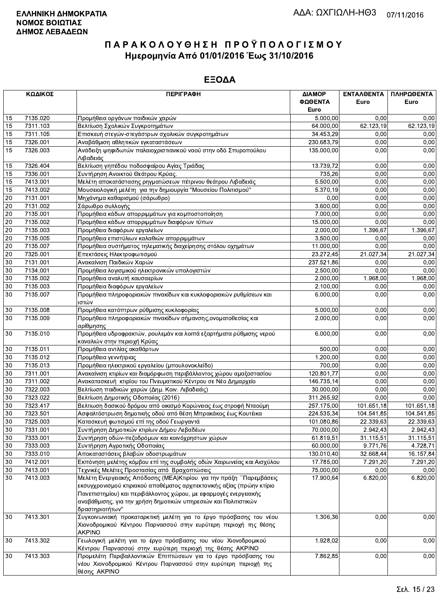|                 | ΚΩΔΙΚΟΣ  | <b>ПЕРІГРАФН</b>                                                                                                          | ΔΙΑΜΟΡ          | ΕΝΤΑΛΘΕΝΤΑ | ΠΛΗΡΩΘΕΝΤΑ |
|-----------------|----------|---------------------------------------------------------------------------------------------------------------------------|-----------------|------------|------------|
|                 |          |                                                                                                                           | ΦΩΘΕΝΤΑ<br>Euro | Euro       | Euro       |
| 15              | 7135.020 | Προμήθεια οργάνων παιδικών χαρών                                                                                          | 5.000,00        | 0,00       | 0,00       |
| 15              | 7311.103 | Βελτίωση Σχολικών Συγκροτημάτων                                                                                           | 64.000,00       | 62.123,19  | 62.123,19  |
| 15              | 7311.105 | Επισκευή στεγών-στεγάστρων σχολικών συγκροτημάτων                                                                         | 34.453,29       | 0,00       | 0,00       |
| 15              | 7326.001 | Αναβάθμιση αθλητικών εγκαταστάσεων                                                                                        | 230.683,79      | 0,00       | 0,00       |
| 15              | 7326.003 | Ανάδειξη ψηφιδωτών παλαιοχριστιανικού ναού στην οδό Σπυροπούλου                                                           | 135.000,00      | 0,00       | 0,00       |
|                 | 7326.404 | Λιβαδειάς                                                                                                                 | 13.739,72       | 0,00       | 0,00       |
| 15<br>15        | 7336.001 | Βελτίωση γηπέδου ποδοσφαίρου Αγίας Τριάδας<br>Συντήρηση Ανοικτού Θεάτρου Κρύας.                                           | 735,26          | 0,00       | 0,00       |
| 15              | 7413.001 | Μελέτη αποκατάστασης ρηγματώσεων πέτρινου θεάτρου Λιβαδειάς                                                               | 5.500,00        | 0,00       | 0,00       |
| 15              | 7413.002 | Μουσειολογική μελέτη για την δημιουργία "Μουσείου Πολιτισμού"                                                             | 5.370,19        | 0,00       | 0,00       |
| 20              | 7131.001 | Μηχάνημα καθαρισμού (σάρωθρο)                                                                                             | 0,00            | 0,00       | 0,00       |
| 20              | 7131.002 | Σάρωθρο συλλογής                                                                                                          | 3.600,00        | 0,00       | 0,00       |
| $20\,$          | 7135.001 | Προμήθεια κάδων απορριμμάτων για κομποστοποίηση                                                                           | 7.000,00        | 0,00       | 0,00       |
| $20\,$          | 7135.002 | Προμήθεια κάδων απορριμμάτων διαφόρων τύπων                                                                               | 15.000,00       | 0,00       | 0,00       |
| 20              | 7135.003 | Προμήθεια διαφόρων εργαλείων                                                                                              | 2.000,00        | 1.396,67   | 1.396,67   |
| 20              | 7135.005 | Προμήθεια επιστύλιων καλαθιών απορριμμάτων                                                                                | 3.500,00        | 0,00       | 0,00       |
| 20              | 7135.007 | Προμήθεια συστήματος τηλεματικής διαχείρησης στόλου οχημάτων                                                              | 11.000,00       | 0,00       | 0,00       |
| 20              | 7325.001 | Επεκτάσεις Ηλεκτροφωτισμού                                                                                                | 23.272,45       | 21.027,34  | 21.027,34  |
| $30\,$          | 7131.001 | Ανακαίνιση Παιδικών Χαρών                                                                                                 | 237.521,86      | 0,00       | 0,00       |
| $30\,$          | 7134.001 | Προμήθεια λογισμικού ηλεκτρονικών υπολογιστών                                                                             | 2.500,00        | 0,00       | 0,00       |
| 30              | 7135.002 | Προμήθεια αναλυτή καυσαερίων                                                                                              | 2.000,00        | 1.968,00   | 1.968,00   |
| 30              | 7135.003 | Προμήθεια διαφόρων εργαλείων                                                                                              | 2.100,00        | 0,00       | 0,00       |
| 30              | 7135.007 | Προμήθεια πληροφοριακών πινακίδων και κυκλοφοριακών ρυθμίσεων και                                                         | 6.000,00        | 0,00       | 0,00       |
|                 |          | ιστών                                                                                                                     |                 |            |            |
| 30              | 7135.008 | Προμήθεια κατόπτρων ρύθμισης κυκλοφορίας                                                                                  | 5.000,00        | 0,00       | 0,00       |
| 30              | 7135.009 | Προμήθεια πληροφοριακών πινακίδων σήμανσης,ονοματοθεσίας και<br>αρίθμησης                                                 | 2.000,00        | 0,00       | 0,00       |
| 30              | 7135.010 | Προμήθεια υδροφρακτών, ρουλεμάν και λοιπά εξαρτήματα ρύθμισης νερού<br>καναλιών στην περιοχή Κρύας                        | 6.000,00        | 0,00       | 0,00       |
| 30              | 7135.011 | Προμήθεια αντλίας ακαθάρτων                                                                                               | 500,00          | 0.00       | 0,00       |
| 30              | 7135.012 | Προμήθεια γεννήτριας                                                                                                      | 1.200,00        | 0,00       | 0,00       |
| 30              | 7135.013 | Προμήθεια ηλεκτρικού εργαλείου (μπουλονοκλείδο)                                                                           | 700,00          | 0,00       | 0,00       |
| 30              | 7311.001 | Ανακαίνιση κτιρίων και διαμόρφωση περιβάλλοντος χώρου αμαξοστασίου                                                        | 120.801,77      | 0,00       | 0,00       |
| 30              | 7311.002 | Ανακατασκευή κτιρίου του Πνευματικού Κέντρου σε Νέο Δημαρχείο                                                             | 146.735,14      | 0,00       | 0,00       |
| 30              | 7322.003 | Βελτίωση παιδικών χαρών (Δημ. Κοιν. Λιβαδειάς)                                                                            | 30.000,00       | 0,00       | 0,00       |
| 30              | 7323.022 | Βελτίωση Δημοτικής Οδοποιίας (2016)                                                                                       | 311.265,92      | 0,00       | 0,00       |
| 30              | 7323.417 | Βελτιωση δασικού δρόμου από οικισμό Κορώνειας έως στροφή Νταούμη                                                          | 257.175,00      | 101.651,18 | 101.651,18 |
| $\overline{30}$ | 7323.501 | Ασφαλτόστρωση δημοτικής οδού από θέση Μπρακάκος έως Κουτέικα                                                              | 224.535,34      | 104.541,85 | 104.541,85 |
| $30\,$          | 7325.003 | Κατασκευή φωτισμού επί της οδού Γεωργαντά                                                                                 | 101.080,86      | 22.339,63  | 22.339,63  |
| 30              | 7331.001 | Συντήρηση Δημοτικών κτιρίων Δήμου Λεβαδέων                                                                                | 70.000,00       | 2.942,43   | 2.942.43   |
| 30              | 7333.001 | Συντήρηση οδών-πεζοδρόμων και κοινόχρηστων χώρων                                                                          | 61.819,51       | 31.115,51  | 31.115,51  |
| 30              | 7333.003 | Συντήρηση Αγροτικής Οδοποιίας                                                                                             | 60.000,00       | 9.771,76   | 4.728,71   |
| 30              | 7333.010 | Αποκαταστάσεις βλαβών οδοστρωμάτων                                                                                        | 130.010,40      | 32.668,44  | 16.157,84  |
| 30              | 7412.001 | Εκπόνηση μελέτης κόμβου επί της συμβολής οδών Χαιρωνείας και Αισχύλου                                                     | 17.785,00       | 7.291,20   | 7.291,20   |
| 30              | 7413.001 | Τεχνικές Μελέτες Προστασίας από Βραχοπτώσεις                                                                              | 75.000,00       | 0,00       | 0,00       |
| 30              | 7413.003 | Μελέτη Ενεργειακής Απόδοσης (ΜΕΑ) Κτιρίου για την πράξη ΄΄Παρεμβάσεις                                                     | 17.900,64       | 6.820,00   | 6.820,00   |
|                 |          | εκσυγχρονισμού κτιριακού αποθέματος αρχιτεκτονικής αξίας (πρώην κτίριο                                                    |                 |            |            |
|                 |          | Πανεπιστημίου) και περιβάλλοντος χώρου, με εφαρμογές ενεργειακής                                                          |                 |            |            |
|                 |          | αναβάθμισης, για την χρήση δημοτικών υπηρεσιών και Πολιτιστικών<br>δραστηριοτήτων"                                        |                 |            |            |
| 30              | 7413.301 | Συγκοινωνιακή προκαταρκτική μελέτη για το έργο πρόσβασης του νέου                                                         | 1.306,36        | 0,00       | 0,00       |
|                 |          | Χιονοδρομικού Κέντρου Παρνασσού στην ευρύτερη περιοχή της θέσης<br><b>AKPINO</b>                                          |                 |            |            |
| 30              | 7413.302 | Γεωλογική μελέτη για το έργο πρόσβασης του νέου Χιονοδρομικού<br>Κέντρου Παρνασσού στην ευρύτερη περιοχή της θέσης ΑΚΡΙΝΟ | 1.928,02        | 0,00       | 0,00       |
| 30              | 7413.303 | Προμελέτη Περιβαλλοντικών Επιπτώσεων για το έργο πρόσβασης του                                                            | 7.862,85        | 0,00       | 0,00       |
|                 |          | νέου Χιονοδρομικού Κέντρου Παρνασσού στην ευρύτερη περιοχή της<br>θέσης AKPINO                                            |                 |            |            |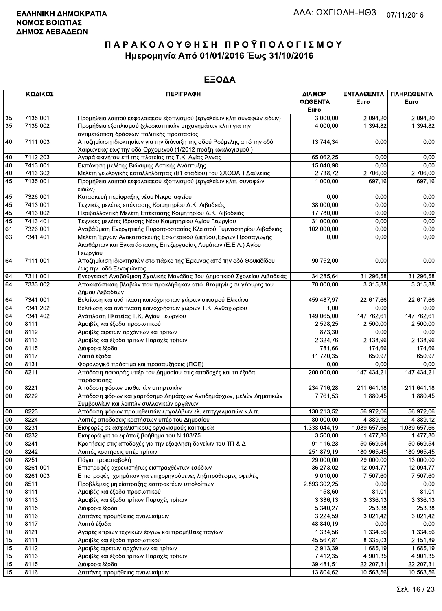| 7135.001<br>2.094,20<br>2.094.20<br>35<br>Προμήθεια λοιπού κεφαλαιακού εξοπλισμού (εργαλείων κλπ συναφών ειδών)<br>3.000,00<br>35<br>7135.002<br>Προμήθεια εξοπλισμού (χλοοκοπτικών μηχανημάτων κλπ) για την<br>4.000,00<br>1.394,82<br>1.394,82<br>αντιμετώπιση δράσεων πολιτικής προστασίας<br>Αποζημίωση ιδιοκτησίων για την διάνοιξη της οδού Ρούμελης από την οδό<br>40<br>7111.003<br>13.744,34<br>0,00<br>0,00<br>Χαιρωνείας εως την οδό Ορχομενού (1/2012 πράξη αναλογισμού)<br>7112.203<br>0,00<br>0,00<br>40<br>Αγορά ακινήτου επί της πλατείας της Τ.Κ. Αγίας Άννας<br>65.062,25<br>0,00<br>40<br>7413.001<br>Εκπόνηση μελέτης Βιώσιμης Αστικής Ανάπτυξης<br>15.040,98<br>0,00<br>7413.302<br>2.738,72<br>2.706,00<br>40<br>Μελέτη γεωλογικής καταλληλότητας (Β1 σταδίου) του ΣΧΟΟΑΠ Δαύλειας<br>2.706,00<br>7135.001<br>1.000,00<br>45<br>Προμήθεια λοιπού κεφαλαιακού εξοπλισμού (εργαλείων κλπ. συναφών<br>697,16<br>697,16<br> ειδών)<br>45<br>7326.001<br>Κατασκευή περίφραξης νέου Νεκροταφείου<br>0,00<br>0,00<br>0,00<br>7413.001<br>0.00<br>45<br>Τεχνικές μελέτες επέκτασης Κοιμητηρίου Δ.Κ. Λιβαδειάς<br>38.000,00<br>0,00<br>45<br>7413.002<br>Περιβαλλοντική Μελέτη Επέκτασης Κοιμητηρίου Δ.Κ. Λιβαδειάς<br>17.780,00<br>0,00<br>0,00<br>0,00<br>45<br>7413.401<br>Τεχνικές μελέτες ίδρυσης Νέου Κοιμητηρίου Αγίου Γεωργίου<br>31.000,00<br>0,00<br>61<br>7326.001<br>Αναβάθμιση Ενεργητικής Πυροπροστασίας Κλειστού Γυμναστηρίου Λιβαδειάς<br>102.000,00<br>0,00<br>0,00<br>63<br>7341.401<br>Μελέτη Έργων Ανακατασκευής Εσωτερικού Δικτύου, Έργων Προσαγωγής<br>0,00<br>0,00<br>0,00<br>Ακαθάρτων και Εγκατάστασης Επεξεργασίας Λυμάτων (Ε.Ε.Λ.) Αγίου<br>Γεωργίου<br>7111.001<br>Αποζημίωση ιδιοκτησιών στο πάρκο της Έρκυνας από την οδό Θουκιδίδου<br>64<br>90.752,00<br>0,00<br>0,00<br>έως την οδό Ξενοφώντος<br>7311.001<br>Ενεργειακή Αναβάθμιση Σχολικής Μονάδας 3ου Δημοτικιού Σχολείου Λιβαδειάς<br>31.296,58<br>64<br>34.285,64<br>31.296,58<br>7333.002<br>70.000,00<br>3.315,88<br>64<br>Αποκατάσταση βλαβών που προκλήθηκαν από θεομηνίες σε γέφυρες του<br>3.315,88<br>Δήμου Λεβαδέων<br>64<br>Βελτίωση και ανάπλαση κοινόχρηστων χώρων οικισμού Ελικώνα<br>7341.001<br>459.487,97<br>22.617,66<br>22.617,66<br>64<br>7341.202<br>Βελτίωση και ανάπλαση κοινοχρήστων χώρων Τ.Κ. Ανθοχωρίου<br>1,00<br>0,00<br>0,00<br>147.762,61<br>64<br>7341.402<br>149.065,00<br>147.762,61<br>Ανάπλαση Πλατείας Τ.Κ. Αγίου Γεωργίου<br>00<br>8111<br>Αμοιβές και έξοδα προσωπικού<br>2.598,25<br>2.500,00<br>2.500,00<br>00<br>8112<br>Αμοιβές αιρετών αρχόντων και τρίτων<br>873,30<br>0.00<br>0,00<br>00<br>8113<br>2.324,76<br>2.138.96<br>Αμοιβές και έξοδα τρίτων Παροχές τρίτων<br>2.138,96<br>$00\,$<br>8115<br>Διάφορα έξοδα<br>781,66<br>174,66<br>174,66<br>00<br>8117<br>Λοιπά έξοδα<br>11.720,35<br>650,97<br>650,97<br>0,00<br>0,00<br>00<br>8131<br>Φορολογικά πρόστιμα και προσαυξήσεις (ΠΟΕ)<br>0,00<br>00<br>8211<br>Απόδοση εισφοράς υπέρ του Δημοσίου στις αποδοχές και τα έξοδα<br>200.000,00<br>147.434,21<br>147.434,21<br>παράστασης<br>$00\,$<br>8221<br>Απόδοση φόρων μισθωτών υπηρεσιών<br>211.641,18<br>234.716,28<br>211.641,18<br>00<br>8222<br>Απόδοση φόρων και χαρτόσημο Δημάρχων Αντιδημάρχων, μελών Δημοτικών<br>$\overline{1.880,45}$<br>7.761,53<br>1.880,45<br>Συμβουλίων και λοιπών συλλογικών οργάνων<br>00<br>8223<br>130.213,52<br>56.972,06<br>56.972,06<br>Απόδοση φόρων προμηθευτών εργολάβων ελ. επαγγελματιών κ.λ.π.<br>00<br>8224<br>Λοιπές αποδόσεις κρατήσεων υπέρ του Δημοσίου<br>80.000,00<br>4.389,12<br>4.389,12<br>00<br>8231<br>Εισφορές σε ασφαλιστικούς οργανισμούς και ταμεία<br>1.338.044,19<br>1.089.657,66<br>1.089.657,66<br>8232<br>Εισφορά για το εφάπαξ βοήθημα του Ν 103/75<br>3.500,00<br>$\overline{1.477,80}$<br>00<br>1.477,80<br>8241<br>Κρατήσεις στις αποδοχές για την εξόφληση δανείων του ΤΠ & Δ<br>91.116,23<br>50.569,54<br>50.569,54<br>00<br>$00\,$<br>Λοιπές κρατήσεις υπέρ τρίτων<br>251.879,19<br>180.965,45<br>8242<br>180.965,45<br>$00\,$<br>8251<br>29.000,00<br>29.000,00<br>Πάγια προκαταβολή<br>13.000,00<br>Επιστροφές αχρεωστήτως εισπραχθέντων εσόδων<br>00<br>8261.001<br>36.273,02<br>12.094,77<br>12.094,77<br>8261.003<br>9.010,00<br>7.507,60<br>7.507,60<br>00<br>Επιστροφές χρημάτων για επιχορηγούμενες ληξιπρόθεσμες οφειλές<br>Προβλέψεις μη είσπραξης εισπρακτέων υπολοίπων<br>$00\,$<br>8511<br>2.893.302,25<br>0,00<br>0,00<br>Αμοιβές και έξοδα προσωπικού<br>10<br>8111<br>158,60<br>81,01<br>81,01<br>8113<br>3.336,13<br>10<br>Αμοιβές και έξοδα τρίτων Παροχές τρίτων<br>3.336,13<br>3.336,13<br>10<br>8115<br>Διάφορα έξοδα<br>5.340,27<br>253,38<br>253,38<br>8116<br>Δαπάνες προμήθειας αναλωσίμων<br>3.224,59<br>10<br>3.021,42<br>3.021,42<br>8117<br>Λοιπά έξοδα<br>48.840,19<br>0,00<br>0,00<br>10<br>Αγορές κτιρίων τεχνικών έργων και προμήθειες παγίων<br>10<br>8121<br>1.334,56<br>1.334,56<br>1.334,56<br>Αμοιβές και έξοδα προσωπικού<br>15<br>8111<br>45.567,81<br>8.335,03<br>2.151,89<br>15<br>8112<br>2.913,39<br>1.685,19<br>Αμοιβές αιρετών αρχόντων και τρίτων<br>1.685, 19<br>15<br>8113<br>Αμοιβές και έξοδα τρίτων Παροχές τρίτων<br>7.412,35<br>4.901,35<br>4.901,35<br>15<br>Διάφορα έξοδα<br>39.481,51<br>22.207,31<br>22.207,31<br>8115<br>15<br>Δαπάνες προμήθειας αναλωσίμων<br>8116<br>13.804,62<br>10.563,56<br>10.563,56 | ΚΩΔΙΚΟΣ | <b>ПЕРІГРАФН</b> | ΔΙΑΜΟΡ<br>ΦΩΘΕΝΤΑ<br>Euro | ΕΝΤΑΛΘΕΝΤΑ<br>Euro | ΠΛΗΡΩΘΕΝΤΑ<br>Euro |
|-----------------------------------------------------------------------------------------------------------------------------------------------------------------------------------------------------------------------------------------------------------------------------------------------------------------------------------------------------------------------------------------------------------------------------------------------------------------------------------------------------------------------------------------------------------------------------------------------------------------------------------------------------------------------------------------------------------------------------------------------------------------------------------------------------------------------------------------------------------------------------------------------------------------------------------------------------------------------------------------------------------------------------------------------------------------------------------------------------------------------------------------------------------------------------------------------------------------------------------------------------------------------------------------------------------------------------------------------------------------------------------------------------------------------------------------------------------------------------------------------------------------------------------------------------------------------------------------------------------------------------------------------------------------------------------------------------------------------------------------------------------------------------------------------------------------------------------------------------------------------------------------------------------------------------------------------------------------------------------------------------------------------------------------------------------------------------------------------------------------------------------------------------------------------------------------------------------------------------------------------------------------------------------------------------------------------------------------------------------------------------------------------------------------------------------------------------------------------------------------------------------------------------------------------------------------------------------------------------------------------------------------------------------------------------------------------------------------------------------------------------------------------------------------------------------------------------------------------------------------------------------------------------------------------------------------------------------------------------------------------------------------------------------------------------------------------------------------------------------------------------------------------------------------------------------------------------------------------------------------------------------------------------------------------------------------------------------------------------------------------------------------------------------------------------------------------------------------------------------------------------------------------------------------------------------------------------------------------------------------------------------------------------------------------------------------------------------------------------------------------------------------------------------------------------------------------------------------------------------------------------------------------------------------------------------------------------------------------------------------------------------------------------------------------------------------------------------------------------------------------------------------------------------------------------------------------------------------------------------------------------------------------------------------------------------------------------------------------------------------------------------------------------------------------------------------------------------------------------------------------------------------------------------------------------------------------------------------------------------------------------------------------------------------------------------------------------------------------------------------------------------------------------------------------------------------------------------------------------------------------------------------------------------------------------------------------------------------------------------------------------------------------------------------------------------------------------------------------------------------------------------------------------------------------------------------------------------------------------------------------------------------------------------------------------------------------------------------------------------------------------------------------------|---------|------------------|---------------------------|--------------------|--------------------|
|                                                                                                                                                                                                                                                                                                                                                                                                                                                                                                                                                                                                                                                                                                                                                                                                                                                                                                                                                                                                                                                                                                                                                                                                                                                                                                                                                                                                                                                                                                                                                                                                                                                                                                                                                                                                                                                                                                                                                                                                                                                                                                                                                                                                                                                                                                                                                                                                                                                                                                                                                                                                                                                                                                                                                                                                                                                                                                                                                                                                                                                                                                                                                                                                                                                                                                                                                                                                                                                                                                                                                                                                                                                                                                                                                                                                                                                                                                                                                                                                                                                                                                                                                                                                                                                                                                                                                                                                                                                                                                                                                                                                                                                                                                                                                                                                                                                                                                                                                                                                                                                                                                                                                                                                                                                                                                                                                                                                     |         |                  |                           |                    |                    |
|                                                                                                                                                                                                                                                                                                                                                                                                                                                                                                                                                                                                                                                                                                                                                                                                                                                                                                                                                                                                                                                                                                                                                                                                                                                                                                                                                                                                                                                                                                                                                                                                                                                                                                                                                                                                                                                                                                                                                                                                                                                                                                                                                                                                                                                                                                                                                                                                                                                                                                                                                                                                                                                                                                                                                                                                                                                                                                                                                                                                                                                                                                                                                                                                                                                                                                                                                                                                                                                                                                                                                                                                                                                                                                                                                                                                                                                                                                                                                                                                                                                                                                                                                                                                                                                                                                                                                                                                                                                                                                                                                                                                                                                                                                                                                                                                                                                                                                                                                                                                                                                                                                                                                                                                                                                                                                                                                                                                     |         |                  |                           |                    |                    |
|                                                                                                                                                                                                                                                                                                                                                                                                                                                                                                                                                                                                                                                                                                                                                                                                                                                                                                                                                                                                                                                                                                                                                                                                                                                                                                                                                                                                                                                                                                                                                                                                                                                                                                                                                                                                                                                                                                                                                                                                                                                                                                                                                                                                                                                                                                                                                                                                                                                                                                                                                                                                                                                                                                                                                                                                                                                                                                                                                                                                                                                                                                                                                                                                                                                                                                                                                                                                                                                                                                                                                                                                                                                                                                                                                                                                                                                                                                                                                                                                                                                                                                                                                                                                                                                                                                                                                                                                                                                                                                                                                                                                                                                                                                                                                                                                                                                                                                                                                                                                                                                                                                                                                                                                                                                                                                                                                                                                     |         |                  |                           |                    |                    |
|                                                                                                                                                                                                                                                                                                                                                                                                                                                                                                                                                                                                                                                                                                                                                                                                                                                                                                                                                                                                                                                                                                                                                                                                                                                                                                                                                                                                                                                                                                                                                                                                                                                                                                                                                                                                                                                                                                                                                                                                                                                                                                                                                                                                                                                                                                                                                                                                                                                                                                                                                                                                                                                                                                                                                                                                                                                                                                                                                                                                                                                                                                                                                                                                                                                                                                                                                                                                                                                                                                                                                                                                                                                                                                                                                                                                                                                                                                                                                                                                                                                                                                                                                                                                                                                                                                                                                                                                                                                                                                                                                                                                                                                                                                                                                                                                                                                                                                                                                                                                                                                                                                                                                                                                                                                                                                                                                                                                     |         |                  |                           |                    |                    |
|                                                                                                                                                                                                                                                                                                                                                                                                                                                                                                                                                                                                                                                                                                                                                                                                                                                                                                                                                                                                                                                                                                                                                                                                                                                                                                                                                                                                                                                                                                                                                                                                                                                                                                                                                                                                                                                                                                                                                                                                                                                                                                                                                                                                                                                                                                                                                                                                                                                                                                                                                                                                                                                                                                                                                                                                                                                                                                                                                                                                                                                                                                                                                                                                                                                                                                                                                                                                                                                                                                                                                                                                                                                                                                                                                                                                                                                                                                                                                                                                                                                                                                                                                                                                                                                                                                                                                                                                                                                                                                                                                                                                                                                                                                                                                                                                                                                                                                                                                                                                                                                                                                                                                                                                                                                                                                                                                                                                     |         |                  |                           |                    |                    |
|                                                                                                                                                                                                                                                                                                                                                                                                                                                                                                                                                                                                                                                                                                                                                                                                                                                                                                                                                                                                                                                                                                                                                                                                                                                                                                                                                                                                                                                                                                                                                                                                                                                                                                                                                                                                                                                                                                                                                                                                                                                                                                                                                                                                                                                                                                                                                                                                                                                                                                                                                                                                                                                                                                                                                                                                                                                                                                                                                                                                                                                                                                                                                                                                                                                                                                                                                                                                                                                                                                                                                                                                                                                                                                                                                                                                                                                                                                                                                                                                                                                                                                                                                                                                                                                                                                                                                                                                                                                                                                                                                                                                                                                                                                                                                                                                                                                                                                                                                                                                                                                                                                                                                                                                                                                                                                                                                                                                     |         |                  |                           |                    |                    |
|                                                                                                                                                                                                                                                                                                                                                                                                                                                                                                                                                                                                                                                                                                                                                                                                                                                                                                                                                                                                                                                                                                                                                                                                                                                                                                                                                                                                                                                                                                                                                                                                                                                                                                                                                                                                                                                                                                                                                                                                                                                                                                                                                                                                                                                                                                                                                                                                                                                                                                                                                                                                                                                                                                                                                                                                                                                                                                                                                                                                                                                                                                                                                                                                                                                                                                                                                                                                                                                                                                                                                                                                                                                                                                                                                                                                                                                                                                                                                                                                                                                                                                                                                                                                                                                                                                                                                                                                                                                                                                                                                                                                                                                                                                                                                                                                                                                                                                                                                                                                                                                                                                                                                                                                                                                                                                                                                                                                     |         |                  |                           |                    |                    |
|                                                                                                                                                                                                                                                                                                                                                                                                                                                                                                                                                                                                                                                                                                                                                                                                                                                                                                                                                                                                                                                                                                                                                                                                                                                                                                                                                                                                                                                                                                                                                                                                                                                                                                                                                                                                                                                                                                                                                                                                                                                                                                                                                                                                                                                                                                                                                                                                                                                                                                                                                                                                                                                                                                                                                                                                                                                                                                                                                                                                                                                                                                                                                                                                                                                                                                                                                                                                                                                                                                                                                                                                                                                                                                                                                                                                                                                                                                                                                                                                                                                                                                                                                                                                                                                                                                                                                                                                                                                                                                                                                                                                                                                                                                                                                                                                                                                                                                                                                                                                                                                                                                                                                                                                                                                                                                                                                                                                     |         |                  |                           |                    |                    |
|                                                                                                                                                                                                                                                                                                                                                                                                                                                                                                                                                                                                                                                                                                                                                                                                                                                                                                                                                                                                                                                                                                                                                                                                                                                                                                                                                                                                                                                                                                                                                                                                                                                                                                                                                                                                                                                                                                                                                                                                                                                                                                                                                                                                                                                                                                                                                                                                                                                                                                                                                                                                                                                                                                                                                                                                                                                                                                                                                                                                                                                                                                                                                                                                                                                                                                                                                                                                                                                                                                                                                                                                                                                                                                                                                                                                                                                                                                                                                                                                                                                                                                                                                                                                                                                                                                                                                                                                                                                                                                                                                                                                                                                                                                                                                                                                                                                                                                                                                                                                                                                                                                                                                                                                                                                                                                                                                                                                     |         |                  |                           |                    |                    |
|                                                                                                                                                                                                                                                                                                                                                                                                                                                                                                                                                                                                                                                                                                                                                                                                                                                                                                                                                                                                                                                                                                                                                                                                                                                                                                                                                                                                                                                                                                                                                                                                                                                                                                                                                                                                                                                                                                                                                                                                                                                                                                                                                                                                                                                                                                                                                                                                                                                                                                                                                                                                                                                                                                                                                                                                                                                                                                                                                                                                                                                                                                                                                                                                                                                                                                                                                                                                                                                                                                                                                                                                                                                                                                                                                                                                                                                                                                                                                                                                                                                                                                                                                                                                                                                                                                                                                                                                                                                                                                                                                                                                                                                                                                                                                                                                                                                                                                                                                                                                                                                                                                                                                                                                                                                                                                                                                                                                     |         |                  |                           |                    |                    |
|                                                                                                                                                                                                                                                                                                                                                                                                                                                                                                                                                                                                                                                                                                                                                                                                                                                                                                                                                                                                                                                                                                                                                                                                                                                                                                                                                                                                                                                                                                                                                                                                                                                                                                                                                                                                                                                                                                                                                                                                                                                                                                                                                                                                                                                                                                                                                                                                                                                                                                                                                                                                                                                                                                                                                                                                                                                                                                                                                                                                                                                                                                                                                                                                                                                                                                                                                                                                                                                                                                                                                                                                                                                                                                                                                                                                                                                                                                                                                                                                                                                                                                                                                                                                                                                                                                                                                                                                                                                                                                                                                                                                                                                                                                                                                                                                                                                                                                                                                                                                                                                                                                                                                                                                                                                                                                                                                                                                     |         |                  |                           |                    |                    |
|                                                                                                                                                                                                                                                                                                                                                                                                                                                                                                                                                                                                                                                                                                                                                                                                                                                                                                                                                                                                                                                                                                                                                                                                                                                                                                                                                                                                                                                                                                                                                                                                                                                                                                                                                                                                                                                                                                                                                                                                                                                                                                                                                                                                                                                                                                                                                                                                                                                                                                                                                                                                                                                                                                                                                                                                                                                                                                                                                                                                                                                                                                                                                                                                                                                                                                                                                                                                                                                                                                                                                                                                                                                                                                                                                                                                                                                                                                                                                                                                                                                                                                                                                                                                                                                                                                                                                                                                                                                                                                                                                                                                                                                                                                                                                                                                                                                                                                                                                                                                                                                                                                                                                                                                                                                                                                                                                                                                     |         |                  |                           |                    |                    |
|                                                                                                                                                                                                                                                                                                                                                                                                                                                                                                                                                                                                                                                                                                                                                                                                                                                                                                                                                                                                                                                                                                                                                                                                                                                                                                                                                                                                                                                                                                                                                                                                                                                                                                                                                                                                                                                                                                                                                                                                                                                                                                                                                                                                                                                                                                                                                                                                                                                                                                                                                                                                                                                                                                                                                                                                                                                                                                                                                                                                                                                                                                                                                                                                                                                                                                                                                                                                                                                                                                                                                                                                                                                                                                                                                                                                                                                                                                                                                                                                                                                                                                                                                                                                                                                                                                                                                                                                                                                                                                                                                                                                                                                                                                                                                                                                                                                                                                                                                                                                                                                                                                                                                                                                                                                                                                                                                                                                     |         |                  |                           |                    |                    |
|                                                                                                                                                                                                                                                                                                                                                                                                                                                                                                                                                                                                                                                                                                                                                                                                                                                                                                                                                                                                                                                                                                                                                                                                                                                                                                                                                                                                                                                                                                                                                                                                                                                                                                                                                                                                                                                                                                                                                                                                                                                                                                                                                                                                                                                                                                                                                                                                                                                                                                                                                                                                                                                                                                                                                                                                                                                                                                                                                                                                                                                                                                                                                                                                                                                                                                                                                                                                                                                                                                                                                                                                                                                                                                                                                                                                                                                                                                                                                                                                                                                                                                                                                                                                                                                                                                                                                                                                                                                                                                                                                                                                                                                                                                                                                                                                                                                                                                                                                                                                                                                                                                                                                                                                                                                                                                                                                                                                     |         |                  |                           |                    |                    |
|                                                                                                                                                                                                                                                                                                                                                                                                                                                                                                                                                                                                                                                                                                                                                                                                                                                                                                                                                                                                                                                                                                                                                                                                                                                                                                                                                                                                                                                                                                                                                                                                                                                                                                                                                                                                                                                                                                                                                                                                                                                                                                                                                                                                                                                                                                                                                                                                                                                                                                                                                                                                                                                                                                                                                                                                                                                                                                                                                                                                                                                                                                                                                                                                                                                                                                                                                                                                                                                                                                                                                                                                                                                                                                                                                                                                                                                                                                                                                                                                                                                                                                                                                                                                                                                                                                                                                                                                                                                                                                                                                                                                                                                                                                                                                                                                                                                                                                                                                                                                                                                                                                                                                                                                                                                                                                                                                                                                     |         |                  |                           |                    |                    |
|                                                                                                                                                                                                                                                                                                                                                                                                                                                                                                                                                                                                                                                                                                                                                                                                                                                                                                                                                                                                                                                                                                                                                                                                                                                                                                                                                                                                                                                                                                                                                                                                                                                                                                                                                                                                                                                                                                                                                                                                                                                                                                                                                                                                                                                                                                                                                                                                                                                                                                                                                                                                                                                                                                                                                                                                                                                                                                                                                                                                                                                                                                                                                                                                                                                                                                                                                                                                                                                                                                                                                                                                                                                                                                                                                                                                                                                                                                                                                                                                                                                                                                                                                                                                                                                                                                                                                                                                                                                                                                                                                                                                                                                                                                                                                                                                                                                                                                                                                                                                                                                                                                                                                                                                                                                                                                                                                                                                     |         |                  |                           |                    |                    |
|                                                                                                                                                                                                                                                                                                                                                                                                                                                                                                                                                                                                                                                                                                                                                                                                                                                                                                                                                                                                                                                                                                                                                                                                                                                                                                                                                                                                                                                                                                                                                                                                                                                                                                                                                                                                                                                                                                                                                                                                                                                                                                                                                                                                                                                                                                                                                                                                                                                                                                                                                                                                                                                                                                                                                                                                                                                                                                                                                                                                                                                                                                                                                                                                                                                                                                                                                                                                                                                                                                                                                                                                                                                                                                                                                                                                                                                                                                                                                                                                                                                                                                                                                                                                                                                                                                                                                                                                                                                                                                                                                                                                                                                                                                                                                                                                                                                                                                                                                                                                                                                                                                                                                                                                                                                                                                                                                                                                     |         |                  |                           |                    |                    |
|                                                                                                                                                                                                                                                                                                                                                                                                                                                                                                                                                                                                                                                                                                                                                                                                                                                                                                                                                                                                                                                                                                                                                                                                                                                                                                                                                                                                                                                                                                                                                                                                                                                                                                                                                                                                                                                                                                                                                                                                                                                                                                                                                                                                                                                                                                                                                                                                                                                                                                                                                                                                                                                                                                                                                                                                                                                                                                                                                                                                                                                                                                                                                                                                                                                                                                                                                                                                                                                                                                                                                                                                                                                                                                                                                                                                                                                                                                                                                                                                                                                                                                                                                                                                                                                                                                                                                                                                                                                                                                                                                                                                                                                                                                                                                                                                                                                                                                                                                                                                                                                                                                                                                                                                                                                                                                                                                                                                     |         |                  |                           |                    |                    |
|                                                                                                                                                                                                                                                                                                                                                                                                                                                                                                                                                                                                                                                                                                                                                                                                                                                                                                                                                                                                                                                                                                                                                                                                                                                                                                                                                                                                                                                                                                                                                                                                                                                                                                                                                                                                                                                                                                                                                                                                                                                                                                                                                                                                                                                                                                                                                                                                                                                                                                                                                                                                                                                                                                                                                                                                                                                                                                                                                                                                                                                                                                                                                                                                                                                                                                                                                                                                                                                                                                                                                                                                                                                                                                                                                                                                                                                                                                                                                                                                                                                                                                                                                                                                                                                                                                                                                                                                                                                                                                                                                                                                                                                                                                                                                                                                                                                                                                                                                                                                                                                                                                                                                                                                                                                                                                                                                                                                     |         |                  |                           |                    |                    |
|                                                                                                                                                                                                                                                                                                                                                                                                                                                                                                                                                                                                                                                                                                                                                                                                                                                                                                                                                                                                                                                                                                                                                                                                                                                                                                                                                                                                                                                                                                                                                                                                                                                                                                                                                                                                                                                                                                                                                                                                                                                                                                                                                                                                                                                                                                                                                                                                                                                                                                                                                                                                                                                                                                                                                                                                                                                                                                                                                                                                                                                                                                                                                                                                                                                                                                                                                                                                                                                                                                                                                                                                                                                                                                                                                                                                                                                                                                                                                                                                                                                                                                                                                                                                                                                                                                                                                                                                                                                                                                                                                                                                                                                                                                                                                                                                                                                                                                                                                                                                                                                                                                                                                                                                                                                                                                                                                                                                     |         |                  |                           |                    |                    |
|                                                                                                                                                                                                                                                                                                                                                                                                                                                                                                                                                                                                                                                                                                                                                                                                                                                                                                                                                                                                                                                                                                                                                                                                                                                                                                                                                                                                                                                                                                                                                                                                                                                                                                                                                                                                                                                                                                                                                                                                                                                                                                                                                                                                                                                                                                                                                                                                                                                                                                                                                                                                                                                                                                                                                                                                                                                                                                                                                                                                                                                                                                                                                                                                                                                                                                                                                                                                                                                                                                                                                                                                                                                                                                                                                                                                                                                                                                                                                                                                                                                                                                                                                                                                                                                                                                                                                                                                                                                                                                                                                                                                                                                                                                                                                                                                                                                                                                                                                                                                                                                                                                                                                                                                                                                                                                                                                                                                     |         |                  |                           |                    |                    |
|                                                                                                                                                                                                                                                                                                                                                                                                                                                                                                                                                                                                                                                                                                                                                                                                                                                                                                                                                                                                                                                                                                                                                                                                                                                                                                                                                                                                                                                                                                                                                                                                                                                                                                                                                                                                                                                                                                                                                                                                                                                                                                                                                                                                                                                                                                                                                                                                                                                                                                                                                                                                                                                                                                                                                                                                                                                                                                                                                                                                                                                                                                                                                                                                                                                                                                                                                                                                                                                                                                                                                                                                                                                                                                                                                                                                                                                                                                                                                                                                                                                                                                                                                                                                                                                                                                                                                                                                                                                                                                                                                                                                                                                                                                                                                                                                                                                                                                                                                                                                                                                                                                                                                                                                                                                                                                                                                                                                     |         |                  |                           |                    |                    |
|                                                                                                                                                                                                                                                                                                                                                                                                                                                                                                                                                                                                                                                                                                                                                                                                                                                                                                                                                                                                                                                                                                                                                                                                                                                                                                                                                                                                                                                                                                                                                                                                                                                                                                                                                                                                                                                                                                                                                                                                                                                                                                                                                                                                                                                                                                                                                                                                                                                                                                                                                                                                                                                                                                                                                                                                                                                                                                                                                                                                                                                                                                                                                                                                                                                                                                                                                                                                                                                                                                                                                                                                                                                                                                                                                                                                                                                                                                                                                                                                                                                                                                                                                                                                                                                                                                                                                                                                                                                                                                                                                                                                                                                                                                                                                                                                                                                                                                                                                                                                                                                                                                                                                                                                                                                                                                                                                                                                     |         |                  |                           |                    |                    |
|                                                                                                                                                                                                                                                                                                                                                                                                                                                                                                                                                                                                                                                                                                                                                                                                                                                                                                                                                                                                                                                                                                                                                                                                                                                                                                                                                                                                                                                                                                                                                                                                                                                                                                                                                                                                                                                                                                                                                                                                                                                                                                                                                                                                                                                                                                                                                                                                                                                                                                                                                                                                                                                                                                                                                                                                                                                                                                                                                                                                                                                                                                                                                                                                                                                                                                                                                                                                                                                                                                                                                                                                                                                                                                                                                                                                                                                                                                                                                                                                                                                                                                                                                                                                                                                                                                                                                                                                                                                                                                                                                                                                                                                                                                                                                                                                                                                                                                                                                                                                                                                                                                                                                                                                                                                                                                                                                                                                     |         |                  |                           |                    |                    |
|                                                                                                                                                                                                                                                                                                                                                                                                                                                                                                                                                                                                                                                                                                                                                                                                                                                                                                                                                                                                                                                                                                                                                                                                                                                                                                                                                                                                                                                                                                                                                                                                                                                                                                                                                                                                                                                                                                                                                                                                                                                                                                                                                                                                                                                                                                                                                                                                                                                                                                                                                                                                                                                                                                                                                                                                                                                                                                                                                                                                                                                                                                                                                                                                                                                                                                                                                                                                                                                                                                                                                                                                                                                                                                                                                                                                                                                                                                                                                                                                                                                                                                                                                                                                                                                                                                                                                                                                                                                                                                                                                                                                                                                                                                                                                                                                                                                                                                                                                                                                                                                                                                                                                                                                                                                                                                                                                                                                     |         |                  |                           |                    |                    |
|                                                                                                                                                                                                                                                                                                                                                                                                                                                                                                                                                                                                                                                                                                                                                                                                                                                                                                                                                                                                                                                                                                                                                                                                                                                                                                                                                                                                                                                                                                                                                                                                                                                                                                                                                                                                                                                                                                                                                                                                                                                                                                                                                                                                                                                                                                                                                                                                                                                                                                                                                                                                                                                                                                                                                                                                                                                                                                                                                                                                                                                                                                                                                                                                                                                                                                                                                                                                                                                                                                                                                                                                                                                                                                                                                                                                                                                                                                                                                                                                                                                                                                                                                                                                                                                                                                                                                                                                                                                                                                                                                                                                                                                                                                                                                                                                                                                                                                                                                                                                                                                                                                                                                                                                                                                                                                                                                                                                     |         |                  |                           |                    |                    |
|                                                                                                                                                                                                                                                                                                                                                                                                                                                                                                                                                                                                                                                                                                                                                                                                                                                                                                                                                                                                                                                                                                                                                                                                                                                                                                                                                                                                                                                                                                                                                                                                                                                                                                                                                                                                                                                                                                                                                                                                                                                                                                                                                                                                                                                                                                                                                                                                                                                                                                                                                                                                                                                                                                                                                                                                                                                                                                                                                                                                                                                                                                                                                                                                                                                                                                                                                                                                                                                                                                                                                                                                                                                                                                                                                                                                                                                                                                                                                                                                                                                                                                                                                                                                                                                                                                                                                                                                                                                                                                                                                                                                                                                                                                                                                                                                                                                                                                                                                                                                                                                                                                                                                                                                                                                                                                                                                                                                     |         |                  |                           |                    |                    |
|                                                                                                                                                                                                                                                                                                                                                                                                                                                                                                                                                                                                                                                                                                                                                                                                                                                                                                                                                                                                                                                                                                                                                                                                                                                                                                                                                                                                                                                                                                                                                                                                                                                                                                                                                                                                                                                                                                                                                                                                                                                                                                                                                                                                                                                                                                                                                                                                                                                                                                                                                                                                                                                                                                                                                                                                                                                                                                                                                                                                                                                                                                                                                                                                                                                                                                                                                                                                                                                                                                                                                                                                                                                                                                                                                                                                                                                                                                                                                                                                                                                                                                                                                                                                                                                                                                                                                                                                                                                                                                                                                                                                                                                                                                                                                                                                                                                                                                                                                                                                                                                                                                                                                                                                                                                                                                                                                                                                     |         |                  |                           |                    |                    |
|                                                                                                                                                                                                                                                                                                                                                                                                                                                                                                                                                                                                                                                                                                                                                                                                                                                                                                                                                                                                                                                                                                                                                                                                                                                                                                                                                                                                                                                                                                                                                                                                                                                                                                                                                                                                                                                                                                                                                                                                                                                                                                                                                                                                                                                                                                                                                                                                                                                                                                                                                                                                                                                                                                                                                                                                                                                                                                                                                                                                                                                                                                                                                                                                                                                                                                                                                                                                                                                                                                                                                                                                                                                                                                                                                                                                                                                                                                                                                                                                                                                                                                                                                                                                                                                                                                                                                                                                                                                                                                                                                                                                                                                                                                                                                                                                                                                                                                                                                                                                                                                                                                                                                                                                                                                                                                                                                                                                     |         |                  |                           |                    |                    |
|                                                                                                                                                                                                                                                                                                                                                                                                                                                                                                                                                                                                                                                                                                                                                                                                                                                                                                                                                                                                                                                                                                                                                                                                                                                                                                                                                                                                                                                                                                                                                                                                                                                                                                                                                                                                                                                                                                                                                                                                                                                                                                                                                                                                                                                                                                                                                                                                                                                                                                                                                                                                                                                                                                                                                                                                                                                                                                                                                                                                                                                                                                                                                                                                                                                                                                                                                                                                                                                                                                                                                                                                                                                                                                                                                                                                                                                                                                                                                                                                                                                                                                                                                                                                                                                                                                                                                                                                                                                                                                                                                                                                                                                                                                                                                                                                                                                                                                                                                                                                                                                                                                                                                                                                                                                                                                                                                                                                     |         |                  |                           |                    |                    |
|                                                                                                                                                                                                                                                                                                                                                                                                                                                                                                                                                                                                                                                                                                                                                                                                                                                                                                                                                                                                                                                                                                                                                                                                                                                                                                                                                                                                                                                                                                                                                                                                                                                                                                                                                                                                                                                                                                                                                                                                                                                                                                                                                                                                                                                                                                                                                                                                                                                                                                                                                                                                                                                                                                                                                                                                                                                                                                                                                                                                                                                                                                                                                                                                                                                                                                                                                                                                                                                                                                                                                                                                                                                                                                                                                                                                                                                                                                                                                                                                                                                                                                                                                                                                                                                                                                                                                                                                                                                                                                                                                                                                                                                                                                                                                                                                                                                                                                                                                                                                                                                                                                                                                                                                                                                                                                                                                                                                     |         |                  |                           |                    |                    |
|                                                                                                                                                                                                                                                                                                                                                                                                                                                                                                                                                                                                                                                                                                                                                                                                                                                                                                                                                                                                                                                                                                                                                                                                                                                                                                                                                                                                                                                                                                                                                                                                                                                                                                                                                                                                                                                                                                                                                                                                                                                                                                                                                                                                                                                                                                                                                                                                                                                                                                                                                                                                                                                                                                                                                                                                                                                                                                                                                                                                                                                                                                                                                                                                                                                                                                                                                                                                                                                                                                                                                                                                                                                                                                                                                                                                                                                                                                                                                                                                                                                                                                                                                                                                                                                                                                                                                                                                                                                                                                                                                                                                                                                                                                                                                                                                                                                                                                                                                                                                                                                                                                                                                                                                                                                                                                                                                                                                     |         |                  |                           |                    |                    |
|                                                                                                                                                                                                                                                                                                                                                                                                                                                                                                                                                                                                                                                                                                                                                                                                                                                                                                                                                                                                                                                                                                                                                                                                                                                                                                                                                                                                                                                                                                                                                                                                                                                                                                                                                                                                                                                                                                                                                                                                                                                                                                                                                                                                                                                                                                                                                                                                                                                                                                                                                                                                                                                                                                                                                                                                                                                                                                                                                                                                                                                                                                                                                                                                                                                                                                                                                                                                                                                                                                                                                                                                                                                                                                                                                                                                                                                                                                                                                                                                                                                                                                                                                                                                                                                                                                                                                                                                                                                                                                                                                                                                                                                                                                                                                                                                                                                                                                                                                                                                                                                                                                                                                                                                                                                                                                                                                                                                     |         |                  |                           |                    |                    |
|                                                                                                                                                                                                                                                                                                                                                                                                                                                                                                                                                                                                                                                                                                                                                                                                                                                                                                                                                                                                                                                                                                                                                                                                                                                                                                                                                                                                                                                                                                                                                                                                                                                                                                                                                                                                                                                                                                                                                                                                                                                                                                                                                                                                                                                                                                                                                                                                                                                                                                                                                                                                                                                                                                                                                                                                                                                                                                                                                                                                                                                                                                                                                                                                                                                                                                                                                                                                                                                                                                                                                                                                                                                                                                                                                                                                                                                                                                                                                                                                                                                                                                                                                                                                                                                                                                                                                                                                                                                                                                                                                                                                                                                                                                                                                                                                                                                                                                                                                                                                                                                                                                                                                                                                                                                                                                                                                                                                     |         |                  |                           |                    |                    |
|                                                                                                                                                                                                                                                                                                                                                                                                                                                                                                                                                                                                                                                                                                                                                                                                                                                                                                                                                                                                                                                                                                                                                                                                                                                                                                                                                                                                                                                                                                                                                                                                                                                                                                                                                                                                                                                                                                                                                                                                                                                                                                                                                                                                                                                                                                                                                                                                                                                                                                                                                                                                                                                                                                                                                                                                                                                                                                                                                                                                                                                                                                                                                                                                                                                                                                                                                                                                                                                                                                                                                                                                                                                                                                                                                                                                                                                                                                                                                                                                                                                                                                                                                                                                                                                                                                                                                                                                                                                                                                                                                                                                                                                                                                                                                                                                                                                                                                                                                                                                                                                                                                                                                                                                                                                                                                                                                                                                     |         |                  |                           |                    |                    |
|                                                                                                                                                                                                                                                                                                                                                                                                                                                                                                                                                                                                                                                                                                                                                                                                                                                                                                                                                                                                                                                                                                                                                                                                                                                                                                                                                                                                                                                                                                                                                                                                                                                                                                                                                                                                                                                                                                                                                                                                                                                                                                                                                                                                                                                                                                                                                                                                                                                                                                                                                                                                                                                                                                                                                                                                                                                                                                                                                                                                                                                                                                                                                                                                                                                                                                                                                                                                                                                                                                                                                                                                                                                                                                                                                                                                                                                                                                                                                                                                                                                                                                                                                                                                                                                                                                                                                                                                                                                                                                                                                                                                                                                                                                                                                                                                                                                                                                                                                                                                                                                                                                                                                                                                                                                                                                                                                                                                     |         |                  |                           |                    |                    |
|                                                                                                                                                                                                                                                                                                                                                                                                                                                                                                                                                                                                                                                                                                                                                                                                                                                                                                                                                                                                                                                                                                                                                                                                                                                                                                                                                                                                                                                                                                                                                                                                                                                                                                                                                                                                                                                                                                                                                                                                                                                                                                                                                                                                                                                                                                                                                                                                                                                                                                                                                                                                                                                                                                                                                                                                                                                                                                                                                                                                                                                                                                                                                                                                                                                                                                                                                                                                                                                                                                                                                                                                                                                                                                                                                                                                                                                                                                                                                                                                                                                                                                                                                                                                                                                                                                                                                                                                                                                                                                                                                                                                                                                                                                                                                                                                                                                                                                                                                                                                                                                                                                                                                                                                                                                                                                                                                                                                     |         |                  |                           |                    |                    |
|                                                                                                                                                                                                                                                                                                                                                                                                                                                                                                                                                                                                                                                                                                                                                                                                                                                                                                                                                                                                                                                                                                                                                                                                                                                                                                                                                                                                                                                                                                                                                                                                                                                                                                                                                                                                                                                                                                                                                                                                                                                                                                                                                                                                                                                                                                                                                                                                                                                                                                                                                                                                                                                                                                                                                                                                                                                                                                                                                                                                                                                                                                                                                                                                                                                                                                                                                                                                                                                                                                                                                                                                                                                                                                                                                                                                                                                                                                                                                                                                                                                                                                                                                                                                                                                                                                                                                                                                                                                                                                                                                                                                                                                                                                                                                                                                                                                                                                                                                                                                                                                                                                                                                                                                                                                                                                                                                                                                     |         |                  |                           |                    |                    |
|                                                                                                                                                                                                                                                                                                                                                                                                                                                                                                                                                                                                                                                                                                                                                                                                                                                                                                                                                                                                                                                                                                                                                                                                                                                                                                                                                                                                                                                                                                                                                                                                                                                                                                                                                                                                                                                                                                                                                                                                                                                                                                                                                                                                                                                                                                                                                                                                                                                                                                                                                                                                                                                                                                                                                                                                                                                                                                                                                                                                                                                                                                                                                                                                                                                                                                                                                                                                                                                                                                                                                                                                                                                                                                                                                                                                                                                                                                                                                                                                                                                                                                                                                                                                                                                                                                                                                                                                                                                                                                                                                                                                                                                                                                                                                                                                                                                                                                                                                                                                                                                                                                                                                                                                                                                                                                                                                                                                     |         |                  |                           |                    |                    |
|                                                                                                                                                                                                                                                                                                                                                                                                                                                                                                                                                                                                                                                                                                                                                                                                                                                                                                                                                                                                                                                                                                                                                                                                                                                                                                                                                                                                                                                                                                                                                                                                                                                                                                                                                                                                                                                                                                                                                                                                                                                                                                                                                                                                                                                                                                                                                                                                                                                                                                                                                                                                                                                                                                                                                                                                                                                                                                                                                                                                                                                                                                                                                                                                                                                                                                                                                                                                                                                                                                                                                                                                                                                                                                                                                                                                                                                                                                                                                                                                                                                                                                                                                                                                                                                                                                                                                                                                                                                                                                                                                                                                                                                                                                                                                                                                                                                                                                                                                                                                                                                                                                                                                                                                                                                                                                                                                                                                     |         |                  |                           |                    |                    |
|                                                                                                                                                                                                                                                                                                                                                                                                                                                                                                                                                                                                                                                                                                                                                                                                                                                                                                                                                                                                                                                                                                                                                                                                                                                                                                                                                                                                                                                                                                                                                                                                                                                                                                                                                                                                                                                                                                                                                                                                                                                                                                                                                                                                                                                                                                                                                                                                                                                                                                                                                                                                                                                                                                                                                                                                                                                                                                                                                                                                                                                                                                                                                                                                                                                                                                                                                                                                                                                                                                                                                                                                                                                                                                                                                                                                                                                                                                                                                                                                                                                                                                                                                                                                                                                                                                                                                                                                                                                                                                                                                                                                                                                                                                                                                                                                                                                                                                                                                                                                                                                                                                                                                                                                                                                                                                                                                                                                     |         |                  |                           |                    |                    |
|                                                                                                                                                                                                                                                                                                                                                                                                                                                                                                                                                                                                                                                                                                                                                                                                                                                                                                                                                                                                                                                                                                                                                                                                                                                                                                                                                                                                                                                                                                                                                                                                                                                                                                                                                                                                                                                                                                                                                                                                                                                                                                                                                                                                                                                                                                                                                                                                                                                                                                                                                                                                                                                                                                                                                                                                                                                                                                                                                                                                                                                                                                                                                                                                                                                                                                                                                                                                                                                                                                                                                                                                                                                                                                                                                                                                                                                                                                                                                                                                                                                                                                                                                                                                                                                                                                                                                                                                                                                                                                                                                                                                                                                                                                                                                                                                                                                                                                                                                                                                                                                                                                                                                                                                                                                                                                                                                                                                     |         |                  |                           |                    |                    |
|                                                                                                                                                                                                                                                                                                                                                                                                                                                                                                                                                                                                                                                                                                                                                                                                                                                                                                                                                                                                                                                                                                                                                                                                                                                                                                                                                                                                                                                                                                                                                                                                                                                                                                                                                                                                                                                                                                                                                                                                                                                                                                                                                                                                                                                                                                                                                                                                                                                                                                                                                                                                                                                                                                                                                                                                                                                                                                                                                                                                                                                                                                                                                                                                                                                                                                                                                                                                                                                                                                                                                                                                                                                                                                                                                                                                                                                                                                                                                                                                                                                                                                                                                                                                                                                                                                                                                                                                                                                                                                                                                                                                                                                                                                                                                                                                                                                                                                                                                                                                                                                                                                                                                                                                                                                                                                                                                                                                     |         |                  |                           |                    |                    |
|                                                                                                                                                                                                                                                                                                                                                                                                                                                                                                                                                                                                                                                                                                                                                                                                                                                                                                                                                                                                                                                                                                                                                                                                                                                                                                                                                                                                                                                                                                                                                                                                                                                                                                                                                                                                                                                                                                                                                                                                                                                                                                                                                                                                                                                                                                                                                                                                                                                                                                                                                                                                                                                                                                                                                                                                                                                                                                                                                                                                                                                                                                                                                                                                                                                                                                                                                                                                                                                                                                                                                                                                                                                                                                                                                                                                                                                                                                                                                                                                                                                                                                                                                                                                                                                                                                                                                                                                                                                                                                                                                                                                                                                                                                                                                                                                                                                                                                                                                                                                                                                                                                                                                                                                                                                                                                                                                                                                     |         |                  |                           |                    |                    |
|                                                                                                                                                                                                                                                                                                                                                                                                                                                                                                                                                                                                                                                                                                                                                                                                                                                                                                                                                                                                                                                                                                                                                                                                                                                                                                                                                                                                                                                                                                                                                                                                                                                                                                                                                                                                                                                                                                                                                                                                                                                                                                                                                                                                                                                                                                                                                                                                                                                                                                                                                                                                                                                                                                                                                                                                                                                                                                                                                                                                                                                                                                                                                                                                                                                                                                                                                                                                                                                                                                                                                                                                                                                                                                                                                                                                                                                                                                                                                                                                                                                                                                                                                                                                                                                                                                                                                                                                                                                                                                                                                                                                                                                                                                                                                                                                                                                                                                                                                                                                                                                                                                                                                                                                                                                                                                                                                                                                     |         |                  |                           |                    |                    |
|                                                                                                                                                                                                                                                                                                                                                                                                                                                                                                                                                                                                                                                                                                                                                                                                                                                                                                                                                                                                                                                                                                                                                                                                                                                                                                                                                                                                                                                                                                                                                                                                                                                                                                                                                                                                                                                                                                                                                                                                                                                                                                                                                                                                                                                                                                                                                                                                                                                                                                                                                                                                                                                                                                                                                                                                                                                                                                                                                                                                                                                                                                                                                                                                                                                                                                                                                                                                                                                                                                                                                                                                                                                                                                                                                                                                                                                                                                                                                                                                                                                                                                                                                                                                                                                                                                                                                                                                                                                                                                                                                                                                                                                                                                                                                                                                                                                                                                                                                                                                                                                                                                                                                                                                                                                                                                                                                                                                     |         |                  |                           |                    |                    |
|                                                                                                                                                                                                                                                                                                                                                                                                                                                                                                                                                                                                                                                                                                                                                                                                                                                                                                                                                                                                                                                                                                                                                                                                                                                                                                                                                                                                                                                                                                                                                                                                                                                                                                                                                                                                                                                                                                                                                                                                                                                                                                                                                                                                                                                                                                                                                                                                                                                                                                                                                                                                                                                                                                                                                                                                                                                                                                                                                                                                                                                                                                                                                                                                                                                                                                                                                                                                                                                                                                                                                                                                                                                                                                                                                                                                                                                                                                                                                                                                                                                                                                                                                                                                                                                                                                                                                                                                                                                                                                                                                                                                                                                                                                                                                                                                                                                                                                                                                                                                                                                                                                                                                                                                                                                                                                                                                                                                     |         |                  |                           |                    |                    |
|                                                                                                                                                                                                                                                                                                                                                                                                                                                                                                                                                                                                                                                                                                                                                                                                                                                                                                                                                                                                                                                                                                                                                                                                                                                                                                                                                                                                                                                                                                                                                                                                                                                                                                                                                                                                                                                                                                                                                                                                                                                                                                                                                                                                                                                                                                                                                                                                                                                                                                                                                                                                                                                                                                                                                                                                                                                                                                                                                                                                                                                                                                                                                                                                                                                                                                                                                                                                                                                                                                                                                                                                                                                                                                                                                                                                                                                                                                                                                                                                                                                                                                                                                                                                                                                                                                                                                                                                                                                                                                                                                                                                                                                                                                                                                                                                                                                                                                                                                                                                                                                                                                                                                                                                                                                                                                                                                                                                     |         |                  |                           |                    |                    |
|                                                                                                                                                                                                                                                                                                                                                                                                                                                                                                                                                                                                                                                                                                                                                                                                                                                                                                                                                                                                                                                                                                                                                                                                                                                                                                                                                                                                                                                                                                                                                                                                                                                                                                                                                                                                                                                                                                                                                                                                                                                                                                                                                                                                                                                                                                                                                                                                                                                                                                                                                                                                                                                                                                                                                                                                                                                                                                                                                                                                                                                                                                                                                                                                                                                                                                                                                                                                                                                                                                                                                                                                                                                                                                                                                                                                                                                                                                                                                                                                                                                                                                                                                                                                                                                                                                                                                                                                                                                                                                                                                                                                                                                                                                                                                                                                                                                                                                                                                                                                                                                                                                                                                                                                                                                                                                                                                                                                     |         |                  |                           |                    |                    |
|                                                                                                                                                                                                                                                                                                                                                                                                                                                                                                                                                                                                                                                                                                                                                                                                                                                                                                                                                                                                                                                                                                                                                                                                                                                                                                                                                                                                                                                                                                                                                                                                                                                                                                                                                                                                                                                                                                                                                                                                                                                                                                                                                                                                                                                                                                                                                                                                                                                                                                                                                                                                                                                                                                                                                                                                                                                                                                                                                                                                                                                                                                                                                                                                                                                                                                                                                                                                                                                                                                                                                                                                                                                                                                                                                                                                                                                                                                                                                                                                                                                                                                                                                                                                                                                                                                                                                                                                                                                                                                                                                                                                                                                                                                                                                                                                                                                                                                                                                                                                                                                                                                                                                                                                                                                                                                                                                                                                     |         |                  |                           |                    |                    |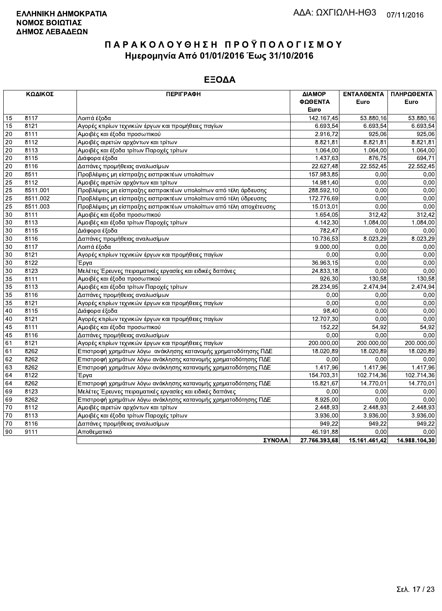| ΦΩΘΕΝΤΑ<br>Euro<br>Euro<br>Euro<br>Λοιπά έξοδα<br>15<br>8117<br>142.167,45<br>53.880,16<br>53.880,16<br>Αγορές κτιρίων τεχνικών έργων και προμήθειες παγίων<br>6.693,54<br>8121<br>6.693,54<br>6.693,54<br>15<br>20<br>8111<br>Αμοιβές και έξοδα προσωπικού<br>2.916,72<br>925,06<br>925,06<br>$\overline{20}$<br>8112<br>Αμοιβές αιρετών αρχόντων και τρίτων<br>8.821,81<br>8.821,81<br>8.821,81<br>20<br>8113<br>Αμοιβές και έξοδα τρίτων Παροχές τρίτων<br>1.064,00<br>1.064,00<br>1.064,00<br>20<br>8115<br>Διάφορα έξοδα<br>1.437,63<br>876,75<br>Δαπάνες προμήθειας αναλωσίμων<br>22.627,48<br>22.552,45<br>20<br>8116<br>22.552,45<br>20<br>8511<br>0,00<br>Προβλέψεις μη είσπραξης εισπρακτέων υπολοίπων<br>157.983,85<br>0,00<br>$\overline{25}$<br>8112<br>0,00<br>Αμοιβές αιρετών αρχόντων και τρίτων<br>14.981,40<br>0,00<br>Προβλέψεις μη είσπραξης εισπρακτέων υπολοίπων από τέλη άρδευσης<br>25<br>8511.001<br>288.592,10<br>0,00<br>0,00<br>$\overline{25}$<br>8511.002<br>0,00<br>Προβλέψεις μη είσπραξης εισπρακτέων υπολοίπων από τέλη ύδρευσης<br>172.776,69<br>0,00<br>25<br>8511.003<br>Προβλέψεις μη είσπραξης εισπρακτέων υπολοίπων από τέλη αποχέτευσης<br>15.013,01<br>0,00<br>0,00<br>30<br>Αμοιβές και έξοδα προσωπικού<br>312,42<br>8111<br>1.654,05<br>312,42<br>30<br>8113<br>Αμοιβές και έξοδα τρίτων Παροχές τρίτων<br>4.142,30<br>1.084,00<br>1.084,00<br>30<br>8115<br>782,47<br>0,00<br>Διάφορα έξοδα<br>0,00<br>Δαπάνες προμήθειας αναλωσίμων<br>10.736,53<br>8.023,29<br>30<br>8116<br>8.023,29<br>30<br>8117<br>Λοιπά έξοδα<br>9.000,00<br>0,00<br>0,00<br>30<br>8121<br>0,00<br>0,00<br>Αγορές κτιρίων τεχνικών έργων και προμήθειες παγίων<br>0,00<br>30<br>8122<br>36.963,15<br>0,00<br>0,00<br>Έργα<br>30<br>8123<br>Μελέτες Έρευνες πειραματικές εργασίες και ειδικές δαπάνες<br>0,00<br>0,00<br>24.833,18<br>35<br>8111<br>Αμοιβές και έξοδα προσωπικού<br>926,30<br>130,58<br>130,58<br>Αμοιβές και έξοδα τρίτων Παροχές τρίτων<br>28.234,95<br>2.474,94<br>35<br>8113<br>2.474,94<br>35<br>8116<br>Δαπάνες προμήθειας αναλωσίμων<br>0.00<br>0,00<br>0,00<br>$\overline{35}$<br>0,00<br>0,00<br>8121<br>Αγορές κτιρίων τεχνικών έργων και προμήθειες παγίων<br>0,00<br>98,40<br>0,00<br>40<br>8115<br>Διάφορα έξοδα<br>0,00<br>8121<br>Αγορές κτιρίων τεχνικών έργων και προμήθειες παγίων<br>12.707,30<br>0,00<br>40<br>0,00<br>8111<br>Αμοιβές και έξοδα προσωπικού<br>54,92<br>45<br>152,22<br>54,92<br>8116<br>0,00<br>0,00<br>45<br>Δαπάνες προμήθειας αναλωσίμων<br>0.00<br>61<br>8121<br>Αγορές κτιρίων τεχνικών έργων και προμήθειες παγίων<br>200.000,00<br>200.000,00<br>200.000,00<br>61<br>8262<br>Επιστροφή χρημάτων λόγω ανάκλησης κατανομής χρηματοδότησης ΠΔΕ<br>18.020,89<br>18.020,89<br>18.020,89<br>62<br>8262<br>Επιστροφή χρημάτων λόγω ανάκλησης κατανομής χρηματοδότησης ΠΔΕ<br>0,00<br>0,00<br>0,00<br>8262<br>1.417,96<br>1.417,96<br>63<br>1.417,96<br>Επιστροφή χρημάτων λόγω ανάκλησης κατανομής χρηματοδότησης ΠΔΕ<br>64<br>8122<br>154.703,31<br>102.714,36<br>102.714,36<br>Έργα<br>64<br>8262<br>Επιστροφή χρημάτων λόγω ανάκλησης κατανομής χρηματοδότησης ΠΔΕ<br>15.821,67<br>14.770,01<br>14.770,01<br>8123<br>69<br>Μελέτες Έρευνες πειραματικές εργασίες και ειδικές δαπάνες<br>0.00<br>0.00<br>0,00<br>69<br>8262<br>Επιστροφή χρημάτων λόγω ανάκλησης κατανομής χρηματοδότησης ΠΔΕ<br>8.925,00<br>0,00<br>0,00<br>$\overline{70}$<br>8112<br>2.448,93<br>2.448,93<br>2.448,93<br>Αμοιβές αιρετών αρχόντων και τρίτων<br>8113<br>Αμοιβές και έξοδα τρίτων Παροχές τρίτων<br>3.936,00<br>3.936,00<br>70<br>70<br>8116<br>949,22<br>949,22<br>949,22<br>Δαπάνες προμήθειας αναλωσίμων<br>90<br>9111<br>46.191,88<br>0,00<br>Αποθεματικό<br>0,00<br>ΣΥΝΟΛΑ<br>27.766.393,68<br>15.161.461,42<br>14.988.104,30 | ΚΩΔΙΚΟΣ | <b>ПЕРІГРАФН</b> | ΔΙΑΜΟΡ | ΕΝΤΑΛΘΕΝΤΑ | ΠΛΗΡΩΘΕΝΤΑ |
|-------------------------------------------------------------------------------------------------------------------------------------------------------------------------------------------------------------------------------------------------------------------------------------------------------------------------------------------------------------------------------------------------------------------------------------------------------------------------------------------------------------------------------------------------------------------------------------------------------------------------------------------------------------------------------------------------------------------------------------------------------------------------------------------------------------------------------------------------------------------------------------------------------------------------------------------------------------------------------------------------------------------------------------------------------------------------------------------------------------------------------------------------------------------------------------------------------------------------------------------------------------------------------------------------------------------------------------------------------------------------------------------------------------------------------------------------------------------------------------------------------------------------------------------------------------------------------------------------------------------------------------------------------------------------------------------------------------------------------------------------------------------------------------------------------------------------------------------------------------------------------------------------------------------------------------------------------------------------------------------------------------------------------------------------------------------------------------------------------------------------------------------------------------------------------------------------------------------------------------------------------------------------------------------------------------------------------------------------------------------------------------------------------------------------------------------------------------------------------------------------------------------------------------------------------------------------------------------------------------------------------------------------------------------------------------------------------------------------------------------------------------------------------------------------------------------------------------------------------------------------------------------------------------------------------------------------------------------------------------------------------------------------------------------------------------------------------------------------------------------------------------------------------------------------------------------------------------------------------------------------------------------------------------------------------------------------------------------------------------------------------------------------------------------------------------------------------------------------------------------------------------------------------------------------------------------------------------------------------------------------------------------------------------------------------------------------------------------------------------------------------------------------------------------------|---------|------------------|--------|------------|------------|
| 694,71<br>3.936,00                                                                                                                                                                                                                                                                                                                                                                                                                                                                                                                                                                                                                                                                                                                                                                                                                                                                                                                                                                                                                                                                                                                                                                                                                                                                                                                                                                                                                                                                                                                                                                                                                                                                                                                                                                                                                                                                                                                                                                                                                                                                                                                                                                                                                                                                                                                                                                                                                                                                                                                                                                                                                                                                                                                                                                                                                                                                                                                                                                                                                                                                                                                                                                                                                                                                                                                                                                                                                                                                                                                                                                                                                                                                                                                                                                              |         |                  |        |            |            |
|                                                                                                                                                                                                                                                                                                                                                                                                                                                                                                                                                                                                                                                                                                                                                                                                                                                                                                                                                                                                                                                                                                                                                                                                                                                                                                                                                                                                                                                                                                                                                                                                                                                                                                                                                                                                                                                                                                                                                                                                                                                                                                                                                                                                                                                                                                                                                                                                                                                                                                                                                                                                                                                                                                                                                                                                                                                                                                                                                                                                                                                                                                                                                                                                                                                                                                                                                                                                                                                                                                                                                                                                                                                                                                                                                                                                 |         |                  |        |            |            |
|                                                                                                                                                                                                                                                                                                                                                                                                                                                                                                                                                                                                                                                                                                                                                                                                                                                                                                                                                                                                                                                                                                                                                                                                                                                                                                                                                                                                                                                                                                                                                                                                                                                                                                                                                                                                                                                                                                                                                                                                                                                                                                                                                                                                                                                                                                                                                                                                                                                                                                                                                                                                                                                                                                                                                                                                                                                                                                                                                                                                                                                                                                                                                                                                                                                                                                                                                                                                                                                                                                                                                                                                                                                                                                                                                                                                 |         |                  |        |            |            |
|                                                                                                                                                                                                                                                                                                                                                                                                                                                                                                                                                                                                                                                                                                                                                                                                                                                                                                                                                                                                                                                                                                                                                                                                                                                                                                                                                                                                                                                                                                                                                                                                                                                                                                                                                                                                                                                                                                                                                                                                                                                                                                                                                                                                                                                                                                                                                                                                                                                                                                                                                                                                                                                                                                                                                                                                                                                                                                                                                                                                                                                                                                                                                                                                                                                                                                                                                                                                                                                                                                                                                                                                                                                                                                                                                                                                 |         |                  |        |            |            |
|                                                                                                                                                                                                                                                                                                                                                                                                                                                                                                                                                                                                                                                                                                                                                                                                                                                                                                                                                                                                                                                                                                                                                                                                                                                                                                                                                                                                                                                                                                                                                                                                                                                                                                                                                                                                                                                                                                                                                                                                                                                                                                                                                                                                                                                                                                                                                                                                                                                                                                                                                                                                                                                                                                                                                                                                                                                                                                                                                                                                                                                                                                                                                                                                                                                                                                                                                                                                                                                                                                                                                                                                                                                                                                                                                                                                 |         |                  |        |            |            |
|                                                                                                                                                                                                                                                                                                                                                                                                                                                                                                                                                                                                                                                                                                                                                                                                                                                                                                                                                                                                                                                                                                                                                                                                                                                                                                                                                                                                                                                                                                                                                                                                                                                                                                                                                                                                                                                                                                                                                                                                                                                                                                                                                                                                                                                                                                                                                                                                                                                                                                                                                                                                                                                                                                                                                                                                                                                                                                                                                                                                                                                                                                                                                                                                                                                                                                                                                                                                                                                                                                                                                                                                                                                                                                                                                                                                 |         |                  |        |            |            |
|                                                                                                                                                                                                                                                                                                                                                                                                                                                                                                                                                                                                                                                                                                                                                                                                                                                                                                                                                                                                                                                                                                                                                                                                                                                                                                                                                                                                                                                                                                                                                                                                                                                                                                                                                                                                                                                                                                                                                                                                                                                                                                                                                                                                                                                                                                                                                                                                                                                                                                                                                                                                                                                                                                                                                                                                                                                                                                                                                                                                                                                                                                                                                                                                                                                                                                                                                                                                                                                                                                                                                                                                                                                                                                                                                                                                 |         |                  |        |            |            |
|                                                                                                                                                                                                                                                                                                                                                                                                                                                                                                                                                                                                                                                                                                                                                                                                                                                                                                                                                                                                                                                                                                                                                                                                                                                                                                                                                                                                                                                                                                                                                                                                                                                                                                                                                                                                                                                                                                                                                                                                                                                                                                                                                                                                                                                                                                                                                                                                                                                                                                                                                                                                                                                                                                                                                                                                                                                                                                                                                                                                                                                                                                                                                                                                                                                                                                                                                                                                                                                                                                                                                                                                                                                                                                                                                                                                 |         |                  |        |            |            |
|                                                                                                                                                                                                                                                                                                                                                                                                                                                                                                                                                                                                                                                                                                                                                                                                                                                                                                                                                                                                                                                                                                                                                                                                                                                                                                                                                                                                                                                                                                                                                                                                                                                                                                                                                                                                                                                                                                                                                                                                                                                                                                                                                                                                                                                                                                                                                                                                                                                                                                                                                                                                                                                                                                                                                                                                                                                                                                                                                                                                                                                                                                                                                                                                                                                                                                                                                                                                                                                                                                                                                                                                                                                                                                                                                                                                 |         |                  |        |            |            |
|                                                                                                                                                                                                                                                                                                                                                                                                                                                                                                                                                                                                                                                                                                                                                                                                                                                                                                                                                                                                                                                                                                                                                                                                                                                                                                                                                                                                                                                                                                                                                                                                                                                                                                                                                                                                                                                                                                                                                                                                                                                                                                                                                                                                                                                                                                                                                                                                                                                                                                                                                                                                                                                                                                                                                                                                                                                                                                                                                                                                                                                                                                                                                                                                                                                                                                                                                                                                                                                                                                                                                                                                                                                                                                                                                                                                 |         |                  |        |            |            |
|                                                                                                                                                                                                                                                                                                                                                                                                                                                                                                                                                                                                                                                                                                                                                                                                                                                                                                                                                                                                                                                                                                                                                                                                                                                                                                                                                                                                                                                                                                                                                                                                                                                                                                                                                                                                                                                                                                                                                                                                                                                                                                                                                                                                                                                                                                                                                                                                                                                                                                                                                                                                                                                                                                                                                                                                                                                                                                                                                                                                                                                                                                                                                                                                                                                                                                                                                                                                                                                                                                                                                                                                                                                                                                                                                                                                 |         |                  |        |            |            |
|                                                                                                                                                                                                                                                                                                                                                                                                                                                                                                                                                                                                                                                                                                                                                                                                                                                                                                                                                                                                                                                                                                                                                                                                                                                                                                                                                                                                                                                                                                                                                                                                                                                                                                                                                                                                                                                                                                                                                                                                                                                                                                                                                                                                                                                                                                                                                                                                                                                                                                                                                                                                                                                                                                                                                                                                                                                                                                                                                                                                                                                                                                                                                                                                                                                                                                                                                                                                                                                                                                                                                                                                                                                                                                                                                                                                 |         |                  |        |            |            |
|                                                                                                                                                                                                                                                                                                                                                                                                                                                                                                                                                                                                                                                                                                                                                                                                                                                                                                                                                                                                                                                                                                                                                                                                                                                                                                                                                                                                                                                                                                                                                                                                                                                                                                                                                                                                                                                                                                                                                                                                                                                                                                                                                                                                                                                                                                                                                                                                                                                                                                                                                                                                                                                                                                                                                                                                                                                                                                                                                                                                                                                                                                                                                                                                                                                                                                                                                                                                                                                                                                                                                                                                                                                                                                                                                                                                 |         |                  |        |            |            |
|                                                                                                                                                                                                                                                                                                                                                                                                                                                                                                                                                                                                                                                                                                                                                                                                                                                                                                                                                                                                                                                                                                                                                                                                                                                                                                                                                                                                                                                                                                                                                                                                                                                                                                                                                                                                                                                                                                                                                                                                                                                                                                                                                                                                                                                                                                                                                                                                                                                                                                                                                                                                                                                                                                                                                                                                                                                                                                                                                                                                                                                                                                                                                                                                                                                                                                                                                                                                                                                                                                                                                                                                                                                                                                                                                                                                 |         |                  |        |            |            |
|                                                                                                                                                                                                                                                                                                                                                                                                                                                                                                                                                                                                                                                                                                                                                                                                                                                                                                                                                                                                                                                                                                                                                                                                                                                                                                                                                                                                                                                                                                                                                                                                                                                                                                                                                                                                                                                                                                                                                                                                                                                                                                                                                                                                                                                                                                                                                                                                                                                                                                                                                                                                                                                                                                                                                                                                                                                                                                                                                                                                                                                                                                                                                                                                                                                                                                                                                                                                                                                                                                                                                                                                                                                                                                                                                                                                 |         |                  |        |            |            |
|                                                                                                                                                                                                                                                                                                                                                                                                                                                                                                                                                                                                                                                                                                                                                                                                                                                                                                                                                                                                                                                                                                                                                                                                                                                                                                                                                                                                                                                                                                                                                                                                                                                                                                                                                                                                                                                                                                                                                                                                                                                                                                                                                                                                                                                                                                                                                                                                                                                                                                                                                                                                                                                                                                                                                                                                                                                                                                                                                                                                                                                                                                                                                                                                                                                                                                                                                                                                                                                                                                                                                                                                                                                                                                                                                                                                 |         |                  |        |            |            |
|                                                                                                                                                                                                                                                                                                                                                                                                                                                                                                                                                                                                                                                                                                                                                                                                                                                                                                                                                                                                                                                                                                                                                                                                                                                                                                                                                                                                                                                                                                                                                                                                                                                                                                                                                                                                                                                                                                                                                                                                                                                                                                                                                                                                                                                                                                                                                                                                                                                                                                                                                                                                                                                                                                                                                                                                                                                                                                                                                                                                                                                                                                                                                                                                                                                                                                                                                                                                                                                                                                                                                                                                                                                                                                                                                                                                 |         |                  |        |            |            |
|                                                                                                                                                                                                                                                                                                                                                                                                                                                                                                                                                                                                                                                                                                                                                                                                                                                                                                                                                                                                                                                                                                                                                                                                                                                                                                                                                                                                                                                                                                                                                                                                                                                                                                                                                                                                                                                                                                                                                                                                                                                                                                                                                                                                                                                                                                                                                                                                                                                                                                                                                                                                                                                                                                                                                                                                                                                                                                                                                                                                                                                                                                                                                                                                                                                                                                                                                                                                                                                                                                                                                                                                                                                                                                                                                                                                 |         |                  |        |            |            |
|                                                                                                                                                                                                                                                                                                                                                                                                                                                                                                                                                                                                                                                                                                                                                                                                                                                                                                                                                                                                                                                                                                                                                                                                                                                                                                                                                                                                                                                                                                                                                                                                                                                                                                                                                                                                                                                                                                                                                                                                                                                                                                                                                                                                                                                                                                                                                                                                                                                                                                                                                                                                                                                                                                                                                                                                                                                                                                                                                                                                                                                                                                                                                                                                                                                                                                                                                                                                                                                                                                                                                                                                                                                                                                                                                                                                 |         |                  |        |            |            |
|                                                                                                                                                                                                                                                                                                                                                                                                                                                                                                                                                                                                                                                                                                                                                                                                                                                                                                                                                                                                                                                                                                                                                                                                                                                                                                                                                                                                                                                                                                                                                                                                                                                                                                                                                                                                                                                                                                                                                                                                                                                                                                                                                                                                                                                                                                                                                                                                                                                                                                                                                                                                                                                                                                                                                                                                                                                                                                                                                                                                                                                                                                                                                                                                                                                                                                                                                                                                                                                                                                                                                                                                                                                                                                                                                                                                 |         |                  |        |            |            |
|                                                                                                                                                                                                                                                                                                                                                                                                                                                                                                                                                                                                                                                                                                                                                                                                                                                                                                                                                                                                                                                                                                                                                                                                                                                                                                                                                                                                                                                                                                                                                                                                                                                                                                                                                                                                                                                                                                                                                                                                                                                                                                                                                                                                                                                                                                                                                                                                                                                                                                                                                                                                                                                                                                                                                                                                                                                                                                                                                                                                                                                                                                                                                                                                                                                                                                                                                                                                                                                                                                                                                                                                                                                                                                                                                                                                 |         |                  |        |            |            |
|                                                                                                                                                                                                                                                                                                                                                                                                                                                                                                                                                                                                                                                                                                                                                                                                                                                                                                                                                                                                                                                                                                                                                                                                                                                                                                                                                                                                                                                                                                                                                                                                                                                                                                                                                                                                                                                                                                                                                                                                                                                                                                                                                                                                                                                                                                                                                                                                                                                                                                                                                                                                                                                                                                                                                                                                                                                                                                                                                                                                                                                                                                                                                                                                                                                                                                                                                                                                                                                                                                                                                                                                                                                                                                                                                                                                 |         |                  |        |            |            |
|                                                                                                                                                                                                                                                                                                                                                                                                                                                                                                                                                                                                                                                                                                                                                                                                                                                                                                                                                                                                                                                                                                                                                                                                                                                                                                                                                                                                                                                                                                                                                                                                                                                                                                                                                                                                                                                                                                                                                                                                                                                                                                                                                                                                                                                                                                                                                                                                                                                                                                                                                                                                                                                                                                                                                                                                                                                                                                                                                                                                                                                                                                                                                                                                                                                                                                                                                                                                                                                                                                                                                                                                                                                                                                                                                                                                 |         |                  |        |            |            |
|                                                                                                                                                                                                                                                                                                                                                                                                                                                                                                                                                                                                                                                                                                                                                                                                                                                                                                                                                                                                                                                                                                                                                                                                                                                                                                                                                                                                                                                                                                                                                                                                                                                                                                                                                                                                                                                                                                                                                                                                                                                                                                                                                                                                                                                                                                                                                                                                                                                                                                                                                                                                                                                                                                                                                                                                                                                                                                                                                                                                                                                                                                                                                                                                                                                                                                                                                                                                                                                                                                                                                                                                                                                                                                                                                                                                 |         |                  |        |            |            |
|                                                                                                                                                                                                                                                                                                                                                                                                                                                                                                                                                                                                                                                                                                                                                                                                                                                                                                                                                                                                                                                                                                                                                                                                                                                                                                                                                                                                                                                                                                                                                                                                                                                                                                                                                                                                                                                                                                                                                                                                                                                                                                                                                                                                                                                                                                                                                                                                                                                                                                                                                                                                                                                                                                                                                                                                                                                                                                                                                                                                                                                                                                                                                                                                                                                                                                                                                                                                                                                                                                                                                                                                                                                                                                                                                                                                 |         |                  |        |            |            |
|                                                                                                                                                                                                                                                                                                                                                                                                                                                                                                                                                                                                                                                                                                                                                                                                                                                                                                                                                                                                                                                                                                                                                                                                                                                                                                                                                                                                                                                                                                                                                                                                                                                                                                                                                                                                                                                                                                                                                                                                                                                                                                                                                                                                                                                                                                                                                                                                                                                                                                                                                                                                                                                                                                                                                                                                                                                                                                                                                                                                                                                                                                                                                                                                                                                                                                                                                                                                                                                                                                                                                                                                                                                                                                                                                                                                 |         |                  |        |            |            |
|                                                                                                                                                                                                                                                                                                                                                                                                                                                                                                                                                                                                                                                                                                                                                                                                                                                                                                                                                                                                                                                                                                                                                                                                                                                                                                                                                                                                                                                                                                                                                                                                                                                                                                                                                                                                                                                                                                                                                                                                                                                                                                                                                                                                                                                                                                                                                                                                                                                                                                                                                                                                                                                                                                                                                                                                                                                                                                                                                                                                                                                                                                                                                                                                                                                                                                                                                                                                                                                                                                                                                                                                                                                                                                                                                                                                 |         |                  |        |            |            |
|                                                                                                                                                                                                                                                                                                                                                                                                                                                                                                                                                                                                                                                                                                                                                                                                                                                                                                                                                                                                                                                                                                                                                                                                                                                                                                                                                                                                                                                                                                                                                                                                                                                                                                                                                                                                                                                                                                                                                                                                                                                                                                                                                                                                                                                                                                                                                                                                                                                                                                                                                                                                                                                                                                                                                                                                                                                                                                                                                                                                                                                                                                                                                                                                                                                                                                                                                                                                                                                                                                                                                                                                                                                                                                                                                                                                 |         |                  |        |            |            |
|                                                                                                                                                                                                                                                                                                                                                                                                                                                                                                                                                                                                                                                                                                                                                                                                                                                                                                                                                                                                                                                                                                                                                                                                                                                                                                                                                                                                                                                                                                                                                                                                                                                                                                                                                                                                                                                                                                                                                                                                                                                                                                                                                                                                                                                                                                                                                                                                                                                                                                                                                                                                                                                                                                                                                                                                                                                                                                                                                                                                                                                                                                                                                                                                                                                                                                                                                                                                                                                                                                                                                                                                                                                                                                                                                                                                 |         |                  |        |            |            |
|                                                                                                                                                                                                                                                                                                                                                                                                                                                                                                                                                                                                                                                                                                                                                                                                                                                                                                                                                                                                                                                                                                                                                                                                                                                                                                                                                                                                                                                                                                                                                                                                                                                                                                                                                                                                                                                                                                                                                                                                                                                                                                                                                                                                                                                                                                                                                                                                                                                                                                                                                                                                                                                                                                                                                                                                                                                                                                                                                                                                                                                                                                                                                                                                                                                                                                                                                                                                                                                                                                                                                                                                                                                                                                                                                                                                 |         |                  |        |            |            |
|                                                                                                                                                                                                                                                                                                                                                                                                                                                                                                                                                                                                                                                                                                                                                                                                                                                                                                                                                                                                                                                                                                                                                                                                                                                                                                                                                                                                                                                                                                                                                                                                                                                                                                                                                                                                                                                                                                                                                                                                                                                                                                                                                                                                                                                                                                                                                                                                                                                                                                                                                                                                                                                                                                                                                                                                                                                                                                                                                                                                                                                                                                                                                                                                                                                                                                                                                                                                                                                                                                                                                                                                                                                                                                                                                                                                 |         |                  |        |            |            |
|                                                                                                                                                                                                                                                                                                                                                                                                                                                                                                                                                                                                                                                                                                                                                                                                                                                                                                                                                                                                                                                                                                                                                                                                                                                                                                                                                                                                                                                                                                                                                                                                                                                                                                                                                                                                                                                                                                                                                                                                                                                                                                                                                                                                                                                                                                                                                                                                                                                                                                                                                                                                                                                                                                                                                                                                                                                                                                                                                                                                                                                                                                                                                                                                                                                                                                                                                                                                                                                                                                                                                                                                                                                                                                                                                                                                 |         |                  |        |            |            |
|                                                                                                                                                                                                                                                                                                                                                                                                                                                                                                                                                                                                                                                                                                                                                                                                                                                                                                                                                                                                                                                                                                                                                                                                                                                                                                                                                                                                                                                                                                                                                                                                                                                                                                                                                                                                                                                                                                                                                                                                                                                                                                                                                                                                                                                                                                                                                                                                                                                                                                                                                                                                                                                                                                                                                                                                                                                                                                                                                                                                                                                                                                                                                                                                                                                                                                                                                                                                                                                                                                                                                                                                                                                                                                                                                                                                 |         |                  |        |            |            |
|                                                                                                                                                                                                                                                                                                                                                                                                                                                                                                                                                                                                                                                                                                                                                                                                                                                                                                                                                                                                                                                                                                                                                                                                                                                                                                                                                                                                                                                                                                                                                                                                                                                                                                                                                                                                                                                                                                                                                                                                                                                                                                                                                                                                                                                                                                                                                                                                                                                                                                                                                                                                                                                                                                                                                                                                                                                                                                                                                                                                                                                                                                                                                                                                                                                                                                                                                                                                                                                                                                                                                                                                                                                                                                                                                                                                 |         |                  |        |            |            |
|                                                                                                                                                                                                                                                                                                                                                                                                                                                                                                                                                                                                                                                                                                                                                                                                                                                                                                                                                                                                                                                                                                                                                                                                                                                                                                                                                                                                                                                                                                                                                                                                                                                                                                                                                                                                                                                                                                                                                                                                                                                                                                                                                                                                                                                                                                                                                                                                                                                                                                                                                                                                                                                                                                                                                                                                                                                                                                                                                                                                                                                                                                                                                                                                                                                                                                                                                                                                                                                                                                                                                                                                                                                                                                                                                                                                 |         |                  |        |            |            |
|                                                                                                                                                                                                                                                                                                                                                                                                                                                                                                                                                                                                                                                                                                                                                                                                                                                                                                                                                                                                                                                                                                                                                                                                                                                                                                                                                                                                                                                                                                                                                                                                                                                                                                                                                                                                                                                                                                                                                                                                                                                                                                                                                                                                                                                                                                                                                                                                                                                                                                                                                                                                                                                                                                                                                                                                                                                                                                                                                                                                                                                                                                                                                                                                                                                                                                                                                                                                                                                                                                                                                                                                                                                                                                                                                                                                 |         |                  |        |            |            |
|                                                                                                                                                                                                                                                                                                                                                                                                                                                                                                                                                                                                                                                                                                                                                                                                                                                                                                                                                                                                                                                                                                                                                                                                                                                                                                                                                                                                                                                                                                                                                                                                                                                                                                                                                                                                                                                                                                                                                                                                                                                                                                                                                                                                                                                                                                                                                                                                                                                                                                                                                                                                                                                                                                                                                                                                                                                                                                                                                                                                                                                                                                                                                                                                                                                                                                                                                                                                                                                                                                                                                                                                                                                                                                                                                                                                 |         |                  |        |            |            |
|                                                                                                                                                                                                                                                                                                                                                                                                                                                                                                                                                                                                                                                                                                                                                                                                                                                                                                                                                                                                                                                                                                                                                                                                                                                                                                                                                                                                                                                                                                                                                                                                                                                                                                                                                                                                                                                                                                                                                                                                                                                                                                                                                                                                                                                                                                                                                                                                                                                                                                                                                                                                                                                                                                                                                                                                                                                                                                                                                                                                                                                                                                                                                                                                                                                                                                                                                                                                                                                                                                                                                                                                                                                                                                                                                                                                 |         |                  |        |            |            |
|                                                                                                                                                                                                                                                                                                                                                                                                                                                                                                                                                                                                                                                                                                                                                                                                                                                                                                                                                                                                                                                                                                                                                                                                                                                                                                                                                                                                                                                                                                                                                                                                                                                                                                                                                                                                                                                                                                                                                                                                                                                                                                                                                                                                                                                                                                                                                                                                                                                                                                                                                                                                                                                                                                                                                                                                                                                                                                                                                                                                                                                                                                                                                                                                                                                                                                                                                                                                                                                                                                                                                                                                                                                                                                                                                                                                 |         |                  |        |            |            |
|                                                                                                                                                                                                                                                                                                                                                                                                                                                                                                                                                                                                                                                                                                                                                                                                                                                                                                                                                                                                                                                                                                                                                                                                                                                                                                                                                                                                                                                                                                                                                                                                                                                                                                                                                                                                                                                                                                                                                                                                                                                                                                                                                                                                                                                                                                                                                                                                                                                                                                                                                                                                                                                                                                                                                                                                                                                                                                                                                                                                                                                                                                                                                                                                                                                                                                                                                                                                                                                                                                                                                                                                                                                                                                                                                                                                 |         |                  |        |            |            |
|                                                                                                                                                                                                                                                                                                                                                                                                                                                                                                                                                                                                                                                                                                                                                                                                                                                                                                                                                                                                                                                                                                                                                                                                                                                                                                                                                                                                                                                                                                                                                                                                                                                                                                                                                                                                                                                                                                                                                                                                                                                                                                                                                                                                                                                                                                                                                                                                                                                                                                                                                                                                                                                                                                                                                                                                                                                                                                                                                                                                                                                                                                                                                                                                                                                                                                                                                                                                                                                                                                                                                                                                                                                                                                                                                                                                 |         |                  |        |            |            |
|                                                                                                                                                                                                                                                                                                                                                                                                                                                                                                                                                                                                                                                                                                                                                                                                                                                                                                                                                                                                                                                                                                                                                                                                                                                                                                                                                                                                                                                                                                                                                                                                                                                                                                                                                                                                                                                                                                                                                                                                                                                                                                                                                                                                                                                                                                                                                                                                                                                                                                                                                                                                                                                                                                                                                                                                                                                                                                                                                                                                                                                                                                                                                                                                                                                                                                                                                                                                                                                                                                                                                                                                                                                                                                                                                                                                 |         |                  |        |            |            |
|                                                                                                                                                                                                                                                                                                                                                                                                                                                                                                                                                                                                                                                                                                                                                                                                                                                                                                                                                                                                                                                                                                                                                                                                                                                                                                                                                                                                                                                                                                                                                                                                                                                                                                                                                                                                                                                                                                                                                                                                                                                                                                                                                                                                                                                                                                                                                                                                                                                                                                                                                                                                                                                                                                                                                                                                                                                                                                                                                                                                                                                                                                                                                                                                                                                                                                                                                                                                                                                                                                                                                                                                                                                                                                                                                                                                 |         |                  |        |            |            |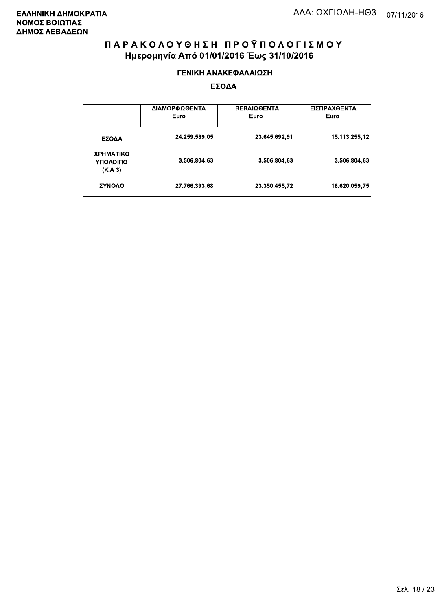#### ΓΕΝΙΚΗ ΑΝΑΚΕΦΑΛΑΙΩΣΗ

|                                         | ΔΙΑΜΟΡΦΩΘΕΝΤΑ<br>Euro | <b>ΒΕΒΑΙΩΘΕΝΤΑ</b><br>Euro | ΕΙΣΠΡΑΧΘΕΝΤΑ<br>Euro |
|-----------------------------------------|-----------------------|----------------------------|----------------------|
| ΕΣΟΔΑ                                   | 24.259.589,05         | 23.645.692,91              | 15.113.255.12        |
| <b>XPHMATIKO</b><br>ΥΠΟΛΟΙΠΟ<br>(K.A.3) | 3.506.804,63          | 3.506.804.63               | 3.506.804.63         |
| ΣΥΝΟΛΟ                                  | 27.766.393,68         | 23.350.455,72              | 18.620.059.75        |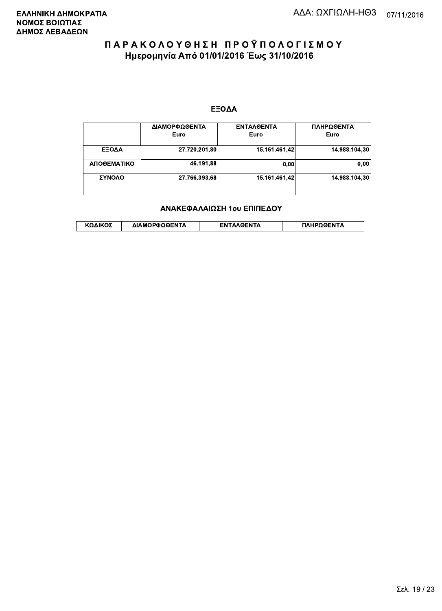#### ΕΞΟΔΑ

|             | ΔΙΑΜΟΡΦΩΘΕΝΤΑ<br>Euro | <b>ENTAAGENTA</b><br>Euro | ΠΛΗΡΩΘΕΝΤΑ<br>Euro |
|-------------|-----------------------|---------------------------|--------------------|
| ΕΞΟΔΑ       | 27.720.201,80         | 15.161.461.42             | 14.988.104.30      |
| ΑΠΟΘΕΜΑΤΙΚΟ | 46.191.88             | 0.00                      | 0.00               |
| ΣΥΝΟΛΟ      | 27.766.393,68         | 15.161.461.42             | 14.988.104.30      |
|             |                       |                           |                    |

#### ΑΝΑΚΕΦΑΛΑΙΩΣΗ 1ου ΕΠΙΠΕΔΟΥ

|  | ΚΩΔΙΚΟΣ | ΔΙΑΜΟΡΦΩΘΕΝΤΑ | <b>AOENTA</b><br>FΝ | ≀OΘFNTA |
|--|---------|---------------|---------------------|---------|
|--|---------|---------------|---------------------|---------|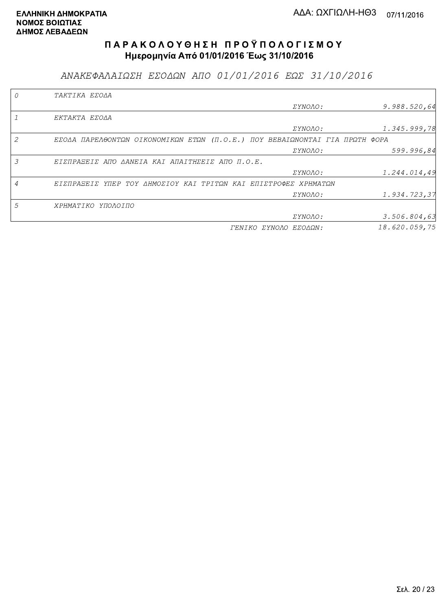ΑΝΑΚΕΦΑΛΑΙΩΣΗ ΕΣΟΔΩΝ ΑΠΟ 01/01/2016 ΕΩΣ 31/10/2016

|   | TAKTIKA EZOAA                                                               |                |               |
|---|-----------------------------------------------------------------------------|----------------|---------------|
|   |                                                                             | <i>EYNOAO:</i> | 9.988.520,64  |
|   | EKTAKTA EZOAA                                                               |                |               |
|   |                                                                             | ΣΥΝΟΛΟ:        | 1.345.999,78  |
| 2 | ΕΣΟΔΑ ΠΑΡΕΛΘΟΝΤΩΝ ΟΙΚΟΝΟΜΙΚΩΝ ΕΤΩΝ (Π.Ο.Ε.) ΠΟΥ ΒΕΒΑΙΩΝΟΝΤΑΙ ΓΙΑ ΠΡΩΤΗ ΦΟΡΑ |                |               |
|   |                                                                             | <i>EYNOAO:</i> | 599.996,84    |
| 3 | ΕΙΣΠΡΑΞΕΙΣ ΑΠΌ ΔΑΝΕΙΑ ΚΑΙ ΑΠΑΙΤΗΣΕΙΣ ΑΠΌ Π.Ο.Ε.                             |                |               |
|   |                                                                             | <i>EYNOAO:</i> | 1.244.014,49  |
|   | ΕΙΣΠΡΑΞΕΙΣ ΥΠΕΡ ΤΟΥ ΔΗΜΟΣΙΟΥ ΚΑΙ ΤΡΙΤΩΝ ΚΑΙ ΕΠΙΣΤΡΟΦΕΣ ΧΡΗΜΑΤΩΝ             |                |               |
|   |                                                                             | ΣΥΝΟΛΟ:        | 1.934.723,37  |
| 5 | ΧΡΗΜΑΤΙΚΟ ΥΠΟΛΟΙΠΟ                                                          |                |               |
|   |                                                                             | ΣΥΝΟΛΟ:        | 3.506.804,63  |
|   | <i>TENIKO ZYNOAO</i>                                                        | ΕΣΟΔΩΝ:        | 18.620.059,75 |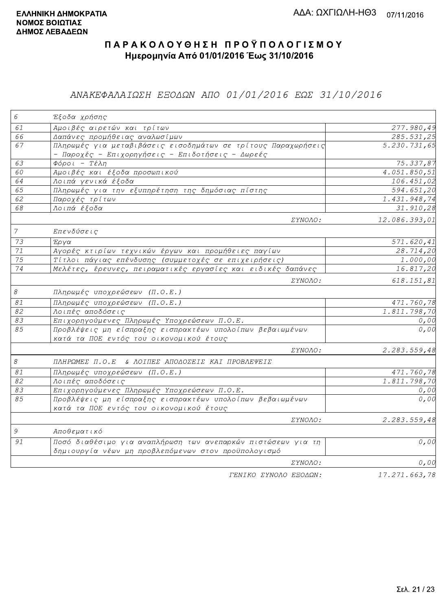### ΑΝΑΚΕΦΑΛΑΙΩΣΗ ΕΞΟΔΩΝ ΑΠΟ 01/01/2016 ΕΩΣ 31/10/2016

| $\epsilon$     | Έξοδα χρήσης                                                                                                        |                         |
|----------------|---------------------------------------------------------------------------------------------------------------------|-------------------------|
| 61             | Αμοιβές αιρετών και τρίτων                                                                                          | 277.980,49              |
| 66             | Δαπάνες προμήθειας αναλωσίμων                                                                                       | 285.531,25              |
| 67             | Πληρωμές για μεταβιβάσεις εισοδημάτων σε τρίτους Παραχωρήσεις<br>- Παροχές - Επιχορηγήσεις - Επιδοτήσεις - Δωρεές   | 5.230.731,65            |
| 63             | $\Phi$ όροι - Τέλη                                                                                                  | 75.337,87               |
| 60             | Αμοιβές και έξοδα προσωπικού                                                                                        | 4.051.850,51            |
| 64             | Λοιπά γενικά έξοδα                                                                                                  | 106.451,02              |
| 65             | Πληρωμές για την εξυπηρέτηση της δημόσιας πίστης                                                                    | $\overline{594.651,20}$ |
| 62             | Παροχές τρίτων                                                                                                      | 1.431.948,74            |
| 68             | Λοιπά έξοδα                                                                                                         | 31.910,28               |
|                | ΣΥΝΟΛΟ:                                                                                                             | 12.086.393,01           |
| $\overline{7}$ | Επενδύσεις                                                                                                          |                         |
| 73             | Έργα                                                                                                                | 571.620,41              |
| $71\,$         | Αγορές κτιρίων τεχνικών έργων και προμήθειες παγίων                                                                 | 28.714,20               |
| 75             | Τίτλοι πάγιας επένδυσης (συμμετοχές σε επιχειρήσεις)                                                                | $\overline{1}$ .000,00  |
| 74             | Μελέτες, έρευνες, πειραματικές εργασίες και ειδικές δαπάνες                                                         | 16.817,20               |
|                | ΣΥΝΟΛΟ:                                                                                                             | 618.151,81              |
| $\mathcal S$   | Πληρωμές υποχρεώσεων (Π.Ο.Ε.)                                                                                       |                         |
| $\mathcal{S}1$ | Πληρωμές υποχρεώσεων (Π.Ο.Ε.)                                                                                       | 471.760,78              |
| 82             | Λοιπές αποδόσεις                                                                                                    | 1.811.798,70            |
| 83             | Επιχορηγούμενες Πληρωμές Υποχρεώσεων Π.Ο.Ε.                                                                         | 0,00                    |
| 85             | Προβλέψεις μη είσπραξης εισπρακτέων υπολοίπων βεβαιωμένων<br>κατά τα ΠΟΕ εντός του οικονομικού έτους                | 0,00                    |
|                | ΣΥΝΟΛΟ:                                                                                                             | 2.283.559,48            |
| $\mathcal S$   | ΠΛΗΡΩΜΕΣ Π.Ο.Ε & ΛΟΙΠΕΣ ΑΠΟΔΟΣΕΙΣ ΚΑΙ ΠΡΟΒΛΕΨΕΙΣ                                                                    |                         |
| 81             | Πληρωμές υποχρεώσεων (Π.Ο.Ε.)                                                                                       | 471.760,78              |
| 82             | Λοιπές αποδόσεις                                                                                                    | 1.811.798,70            |
| 83             | Επιχορηγούμενες Πληρωμές Υποχρεώσεων Π.Ο.Ε.                                                                         | 0,00                    |
| 85             | Προβλέψεις μη είσπραξης εισπρακτέων υπολοίπων βεβαιωμένων<br>κατά τα ΠΟΕ εντός του οικονομικού έτους                | 0,00                    |
|                | ΣΥΝΟΛΟ:                                                                                                             | 2.283.559,48            |
| $\mathcal G$   | Αποθεματικό                                                                                                         |                         |
| 91             | Ποσό διαθέσιμο για αναπλήρωση των ανεπαρκών πιστώσεων για τη<br>δημιουργία νέων μη προβλεπόμενων στον προϋπολογισμό | 0,00                    |
|                | ΣΥΝΟΛΟ:                                                                                                             | 0,00                    |
|                | TENIKO ZYNOAO EEOAQN:                                                                                               | 17.271.663,78           |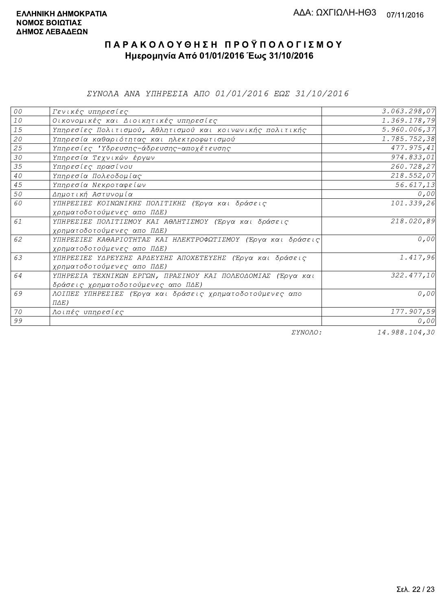ΣΥΝΟΛΑ ΑΝΑ ΥΠΗΡΕΣΙΑ ΑΠΟ 01/01/2016 ΕΩΣ 31/10/2016

| 00   | Γενικές υπηρεσίες                                             | 3.063.298,07    |
|------|---------------------------------------------------------------|-----------------|
| $10$ | Οικονομικές και Διοικητικές υπηρεσίες                         | 1.369.178,79    |
| 15   | Υπηρεσίες Πολιτισμού, Αθλητισμού και κοινωνικής πολιτικής     | 5.960.006,37    |
| 20   | Υπηρεσία καθαριότητας και ηλεκτροφωτισμού                     | 1.785.752,38    |
| 25   | Υπηρεσίες 'Υδρευσης-άδρευσης-αποχέτευσης                      | 477.975,41      |
| 30   | Υπηρεσία Τεχνικών έργων                                       | 974.833,01      |
| 35   | Υπηρεσίες πρασίνου                                            | 260.728,27      |
| 40   | Υπηρεσία Πολεοδομίας                                          | 218.552,07      |
| 45   | Υπηρεσία Νεκροταφείων                                         | 56.617,13       |
| 50   | Δημοτική Αστυνομία                                            | 0,00            |
| 60   | ΥΠΗΡΕΣΙΕΣ ΚΟΙΝΩΝΙΚΗΣ ΠΟΛΙΤΙΚΗΣ (Έργα και δράσεις              | 101.339,26      |
|      | χρηματοδοτούμενες απο ΠΔΕ)                                    |                 |
| 61   | ΥΠΗΡΕΣΙΕΣ ΠΟΛΙΤΙΣΜΟΥ ΚΑΙ ΑΘΛΗΤΙΣΜΟΥ (Έργα και δράσεις         | 218.020,89      |
|      | χρηματοδοτούμενες απο ΠΔΕ)                                    |                 |
| 62   | ΥΠΗΡΕΣΙΕΣ ΚΑΘΑΡΙΟΤΗΤΑΣ ΚΑΙ ΗΛΕΚΤΡΟΦΩΤΙΣΜΟΥ (Έργα και δράσεις) | 0,00            |
|      | χρηματοδοτούμενες απο ΠΔΕ)                                    |                 |
| 63   | ΥΠΗΡΕΣΙΕΣ ΥΔΡΕΥΣΗΣ ΑΡΔΕΥΣΗΣ ΑΠΟΧΕΤΕΥΣΗΣ (Έργα και δράσεις     | 1.417,96        |
|      | χρηματοδοτούμενες απο ΠΔΕ)                                    |                 |
| 64   | ΥΠΗΡΕΣΙΑ ΤΕΧΝΙΚΩΝ ΕΡΓΩΝ, ΠΡΑΣΙΝΟΥ ΚΑΙ ΠΟΛΕΟΔΟΜΙΑΣ (Έργα και   | 322.477,10      |
|      | δράσεις χρηματοδοτούμενες απο ΠΔΕ)                            |                 |
| 69   | ΛΟΙΠΕΣ ΥΠΗΡΕΣΙΕΣ (Έργα και δράσεις χρηματοδοτούμενες απο      | 0,00            |
|      | $\Pi \Delta E$ )                                              |                 |
| 70   | Λοιπές υπηρεσίες                                              | 177.907,59      |
| 99   |                                                               | 0,00            |
|      | $\Box$                                                        | $11.0001101.00$ |

ΣΥΝΟΛΟ:

14.988.104,30